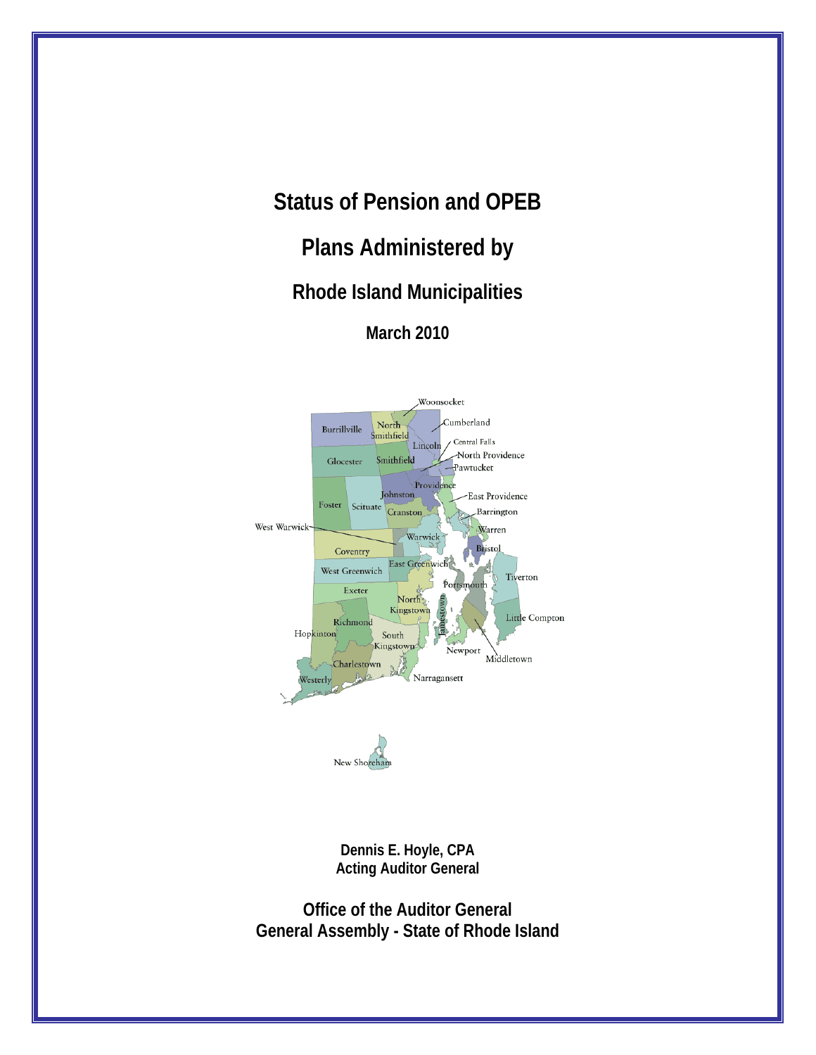# **Status of Pension and OPEB**

# **Plans Administered by**

# **Rhode Island Municipalities**

**March 2010** 



**Dennis E. Hoyle, CPA Acting Auditor General** 

**Office of the Auditor General General Assembly - State of Rhode Island**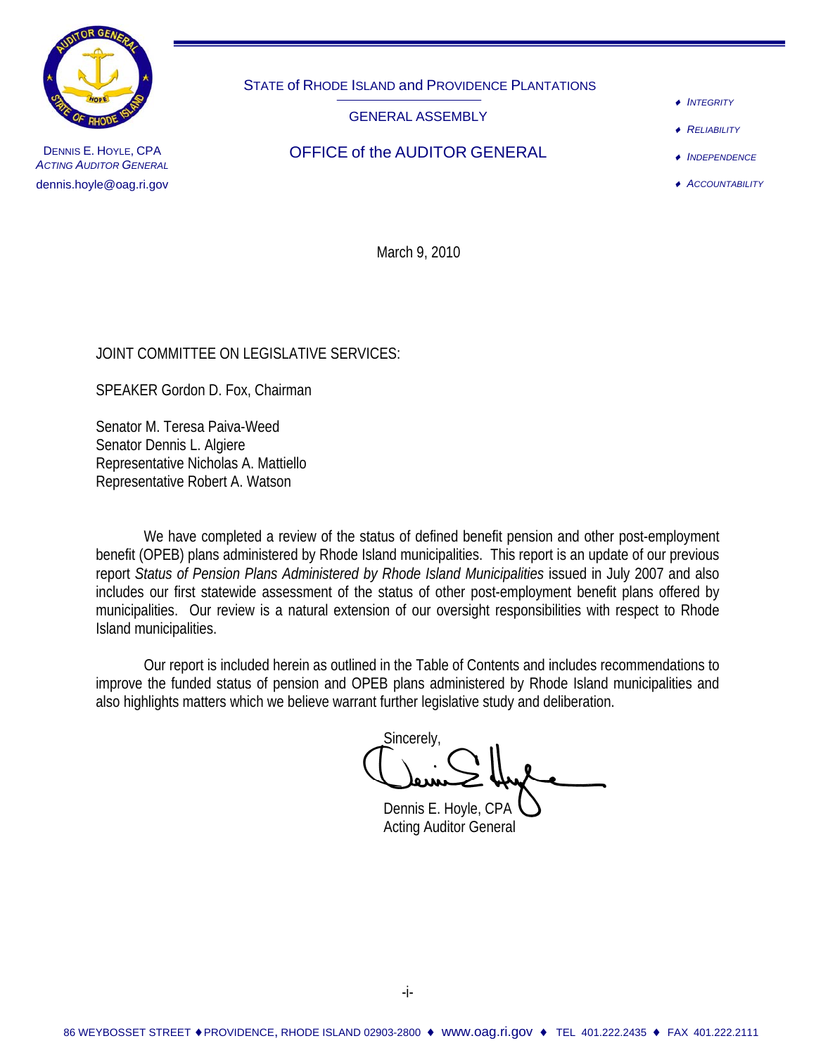

STATE of RHODE ISLAND and PROVIDENCE PLANTATIONS

GENERAL ASSEMBLY

♦ *INTEGRITY*

**RELIABILITY** 

♦ *INDEPENDENCE*

♦ *ACCOUNTABILITY*

DENNIS E. HOYLE, CPA **DERICE OF THE OFFICE Of the AUDITOR GENERAL** *ACTING AUDITOR GENERAL* dennis.hoyle@oag.ri.gov

March 9, 2010

# JOINT COMMITTEE ON LEGISLATIVE SERVICES:

SPEAKER Gordon D. Fox, Chairman

Senator M. Teresa Paiva-Weed Senator Dennis L. Algiere Representative Nicholas A. Mattiello Representative Robert A. Watson

We have completed a review of the status of defined benefit pension and other post-employment benefit (OPEB) plans administered by Rhode Island municipalities. This report is an update of our previous report *Status of Pension Plans Administered by Rhode Island Municipalities* issued in July 2007 and also includes our first statewide assessment of the status of other post-employment benefit plans offered by municipalities. Our review is a natural extension of our oversight responsibilities with respect to Rhode Island municipalities.

 Our report is included herein as outlined in the Table of Contents and includes recommendations to improve the funded status of pension and OPEB plans administered by Rhode Island municipalities and also highlights matters which we believe warrant further legislative study and deliberation.

Sincerely,

Dennis E. Hoyle, CPA Acting Auditor General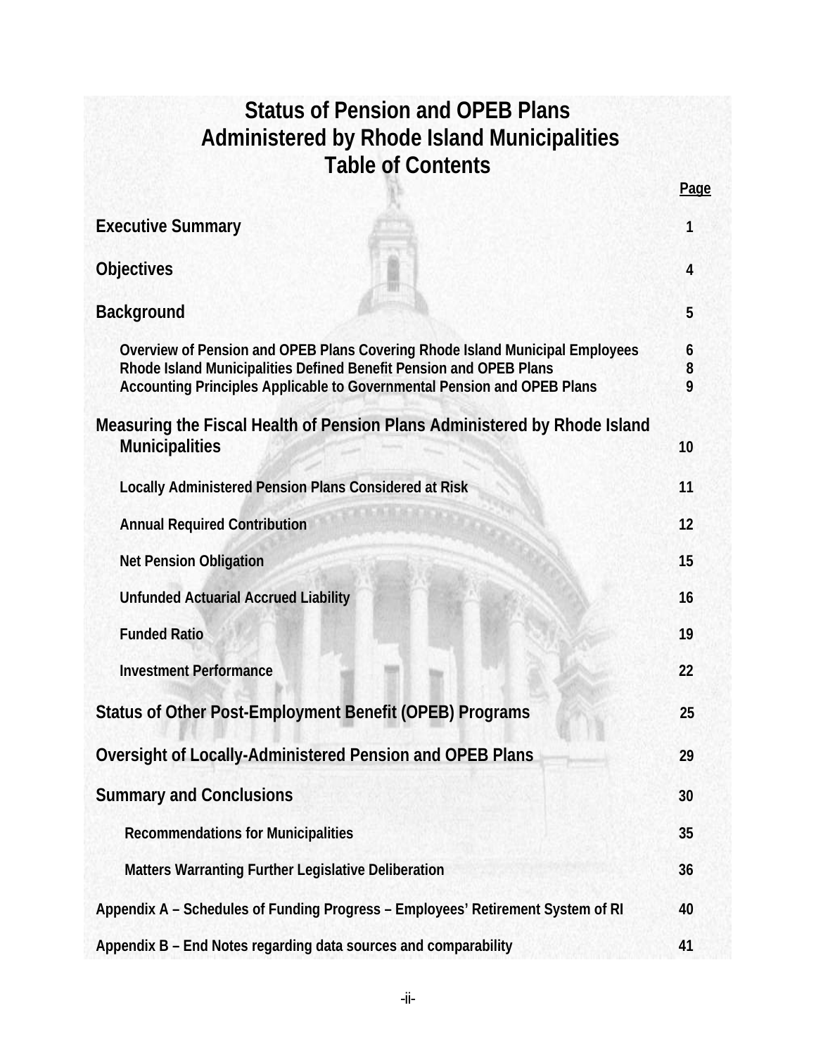| <b>Status of Pension and OPEB Plans</b><br><b>Administered by Rhode Island Municipalities</b><br><b>Table of Contents</b>                                                                                                     |             |
|-------------------------------------------------------------------------------------------------------------------------------------------------------------------------------------------------------------------------------|-------------|
|                                                                                                                                                                                                                               | Page        |
| <b>Executive Summary</b>                                                                                                                                                                                                      | 1           |
| <b>Objectives</b>                                                                                                                                                                                                             | 4           |
| <b>Background</b>                                                                                                                                                                                                             | 5           |
| Overview of Pension and OPEB Plans Covering Rhode Island Municipal Employees<br>Rhode Island Municipalities Defined Benefit Pension and OPEB Plans<br>Accounting Principles Applicable to Governmental Pension and OPEB Plans | 6<br>8<br>9 |
| Measuring the Fiscal Health of Pension Plans Administered by Rhode Island<br><b>Municipalities</b>                                                                                                                            | 10          |
| <b>Locally Administered Pension Plans Considered at Risk</b>                                                                                                                                                                  | 11          |
| <b>Annual Required Contribution</b>                                                                                                                                                                                           | 12          |
| <b>Net Pension Obligation</b>                                                                                                                                                                                                 | 15          |
| <b>Unfunded Actuarial Accrued Liability</b>                                                                                                                                                                                   | 16          |
| <b>Funded Ratio</b>                                                                                                                                                                                                           | 19          |
| <b>Investment Performance</b>                                                                                                                                                                                                 | 22          |
| Status of Other Post-Employment Benefit (OPEB) Programs                                                                                                                                                                       | 25          |
| Oversight of Locally-Administered Pension and OPEB Plans                                                                                                                                                                      | 29          |
| <b>Summary and Conclusions</b>                                                                                                                                                                                                | 30          |
| <b>Recommendations for Municipalities</b>                                                                                                                                                                                     | 35          |
| Matters Warranting Further Legislative Deliberation                                                                                                                                                                           | 36          |
| Appendix A - Schedules of Funding Progress - Employees' Retirement System of RI                                                                                                                                               | 40          |
| Appendix B - End Notes regarding data sources and comparability                                                                                                                                                               | 41          |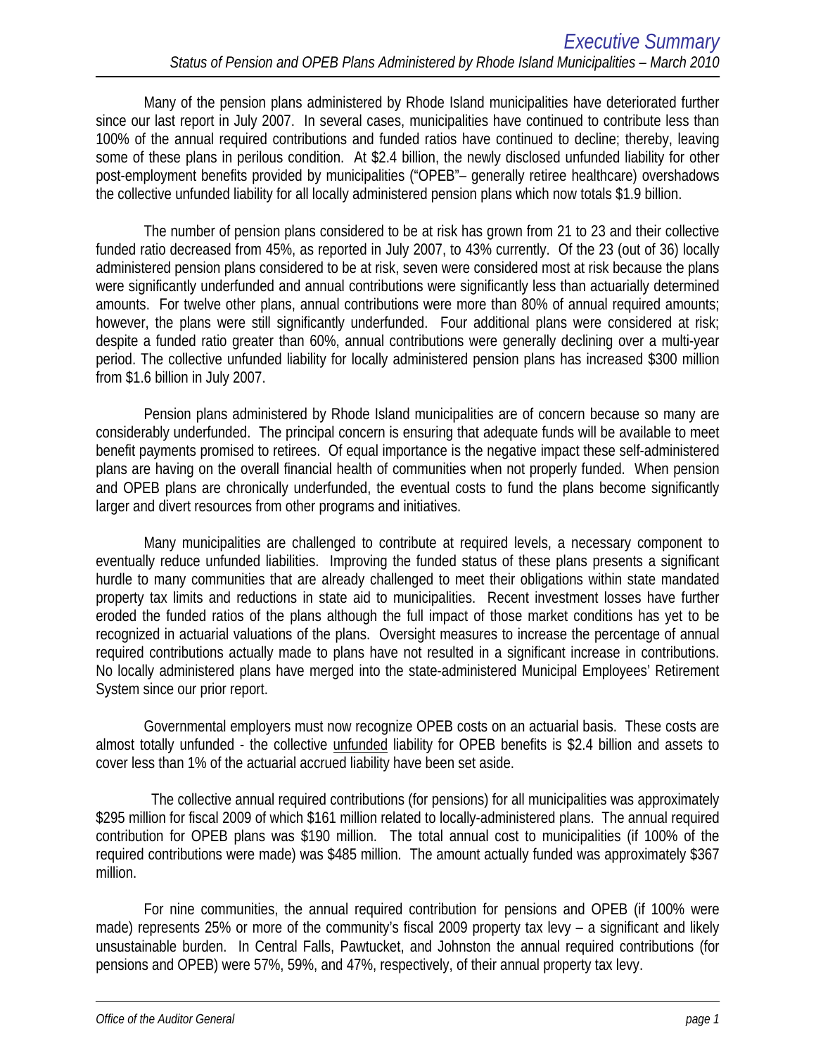Many of the pension plans administered by Rhode Island municipalities have deteriorated further since our last report in July 2007. In several cases, municipalities have continued to contribute less than 100% of the annual required contributions and funded ratios have continued to decline; thereby, leaving some of these plans in perilous condition. At \$2.4 billion, the newly disclosed unfunded liability for other post-employment benefits provided by municipalities ("OPEB"– generally retiree healthcare) overshadows the collective unfunded liability for all locally administered pension plans which now totals \$1.9 billion.

The number of pension plans considered to be at risk has grown from 21 to 23 and their collective funded ratio decreased from 45%, as reported in July 2007, to 43% currently. Of the 23 (out of 36) locally administered pension plans considered to be at risk, seven were considered most at risk because the plans were significantly underfunded and annual contributions were significantly less than actuarially determined amounts. For twelve other plans, annual contributions were more than 80% of annual required amounts; however, the plans were still significantly underfunded. Four additional plans were considered at risk; despite a funded ratio greater than 60%, annual contributions were generally declining over a multi-year period. The collective unfunded liability for locally administered pension plans has increased \$300 million from \$1.6 billion in July 2007.

Pension plans administered by Rhode Island municipalities are of concern because so many are considerably underfunded. The principal concern is ensuring that adequate funds will be available to meet benefit payments promised to retirees. Of equal importance is the negative impact these self-administered plans are having on the overall financial health of communities when not properly funded. When pension and OPEB plans are chronically underfunded, the eventual costs to fund the plans become significantly larger and divert resources from other programs and initiatives.

Many municipalities are challenged to contribute at required levels, a necessary component to eventually reduce unfunded liabilities. Improving the funded status of these plans presents a significant hurdle to many communities that are already challenged to meet their obligations within state mandated property tax limits and reductions in state aid to municipalities. Recent investment losses have further eroded the funded ratios of the plans although the full impact of those market conditions has yet to be recognized in actuarial valuations of the plans. Oversight measures to increase the percentage of annual required contributions actually made to plans have not resulted in a significant increase in contributions. No locally administered plans have merged into the state-administered Municipal Employees' Retirement System since our prior report.

Governmental employers must now recognize OPEB costs on an actuarial basis. These costs are almost totally unfunded - the collective unfunded liability for OPEB benefits is \$2.4 billion and assets to cover less than 1% of the actuarial accrued liability have been set aside.

 The collective annual required contributions (for pensions) for all municipalities was approximately \$295 million for fiscal 2009 of which \$161 million related to locally-administered plans. The annual required contribution for OPEB plans was \$190 million. The total annual cost to municipalities (if 100% of the required contributions were made) was \$485 million. The amount actually funded was approximately \$367 million.

For nine communities, the annual required contribution for pensions and OPEB (if 100% were made) represents 25% or more of the community's fiscal 2009 property tax levy – a significant and likely unsustainable burden. In Central Falls, Pawtucket, and Johnston the annual required contributions (for pensions and OPEB) were 57%, 59%, and 47%, respectively, of their annual property tax levy.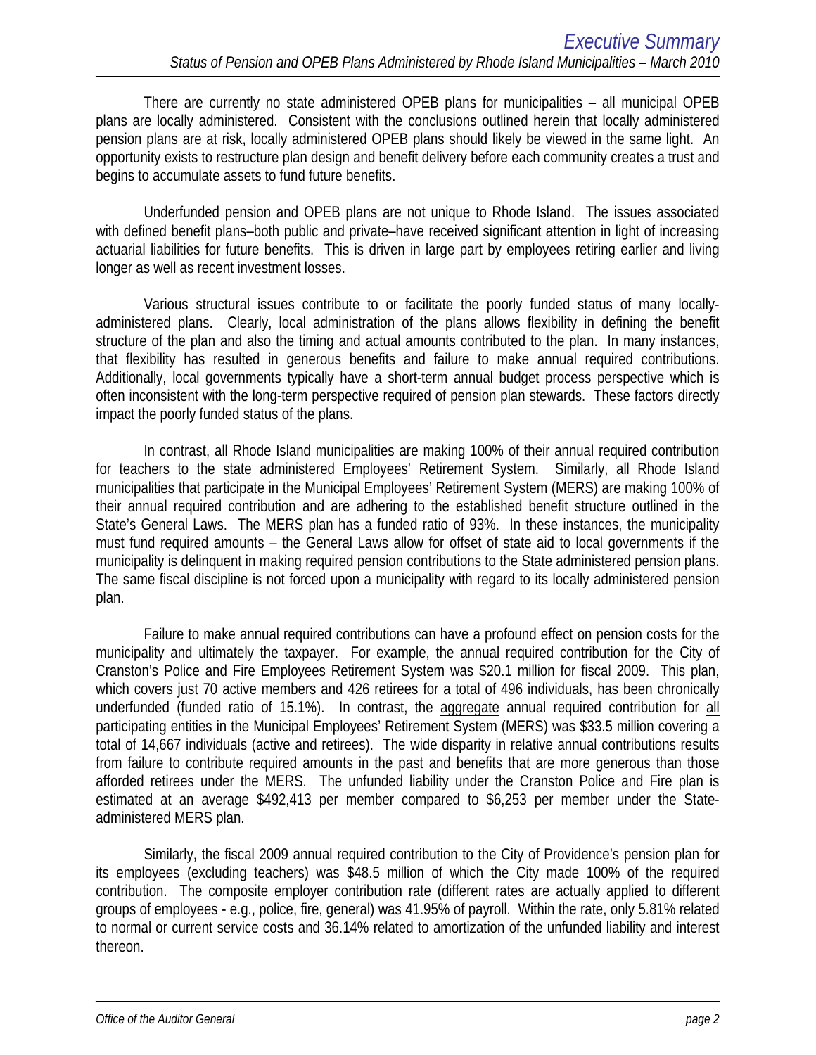There are currently no state administered OPEB plans for municipalities – all municipal OPEB plans are locally administered. Consistent with the conclusions outlined herein that locally administered pension plans are at risk, locally administered OPEB plans should likely be viewed in the same light. An opportunity exists to restructure plan design and benefit delivery before each community creates a trust and begins to accumulate assets to fund future benefits.

Underfunded pension and OPEB plans are not unique to Rhode Island. The issues associated with defined benefit plans–both public and private–have received significant attention in light of increasing actuarial liabilities for future benefits. This is driven in large part by employees retiring earlier and living longer as well as recent investment losses.

Various structural issues contribute to or facilitate the poorly funded status of many locallyadministered plans. Clearly, local administration of the plans allows flexibility in defining the benefit structure of the plan and also the timing and actual amounts contributed to the plan. In many instances, that flexibility has resulted in generous benefits and failure to make annual required contributions. Additionally, local governments typically have a short-term annual budget process perspective which is often inconsistent with the long-term perspective required of pension plan stewards. These factors directly impact the poorly funded status of the plans.

In contrast, all Rhode Island municipalities are making 100% of their annual required contribution for teachers to the state administered Employees' Retirement System. Similarly, all Rhode Island municipalities that participate in the Municipal Employees' Retirement System (MERS) are making 100% of their annual required contribution and are adhering to the established benefit structure outlined in the State's General Laws. The MERS plan has a funded ratio of 93%. In these instances, the municipality must fund required amounts – the General Laws allow for offset of state aid to local governments if the municipality is delinquent in making required pension contributions to the State administered pension plans. The same fiscal discipline is not forced upon a municipality with regard to its locally administered pension plan.

Failure to make annual required contributions can have a profound effect on pension costs for the municipality and ultimately the taxpayer. For example, the annual required contribution for the City of Cranston's Police and Fire Employees Retirement System was \$20.1 million for fiscal 2009. This plan, which covers just 70 active members and 426 retirees for a total of 496 individuals, has been chronically underfunded (funded ratio of 15.1%). In contrast, the aggregate annual required contribution for all participating entities in the Municipal Employees' Retirement System (MERS) was \$33.5 million covering a total of 14,667 individuals (active and retirees). The wide disparity in relative annual contributions results from failure to contribute required amounts in the past and benefits that are more generous than those afforded retirees under the MERS. The unfunded liability under the Cranston Police and Fire plan is estimated at an average \$492,413 per member compared to \$6,253 per member under the Stateadministered MERS plan.

Similarly, the fiscal 2009 annual required contribution to the City of Providence's pension plan for its employees (excluding teachers) was \$48.5 million of which the City made 100% of the required contribution. The composite employer contribution rate (different rates are actually applied to different groups of employees - e.g., police, fire, general) was 41.95% of payroll. Within the rate, only 5.81% related to normal or current service costs and 36.14% related to amortization of the unfunded liability and interest thereon.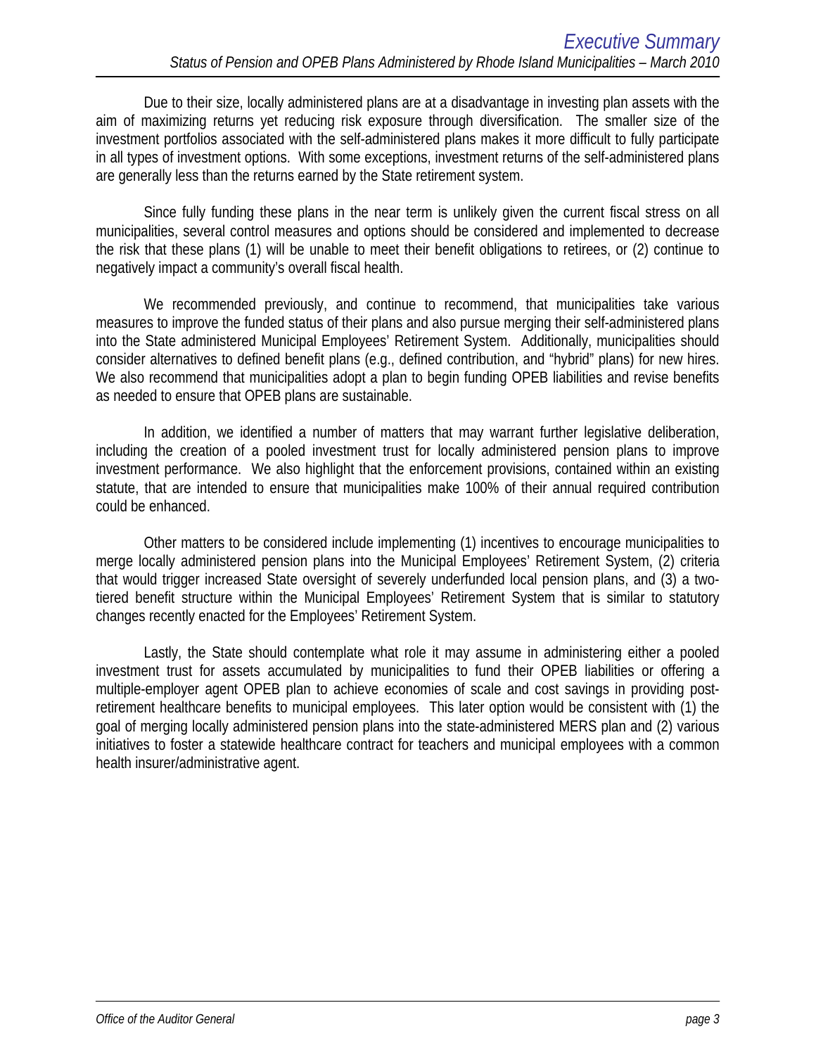Due to their size, locally administered plans are at a disadvantage in investing plan assets with the aim of maximizing returns yet reducing risk exposure through diversification. The smaller size of the investment portfolios associated with the self-administered plans makes it more difficult to fully participate in all types of investment options. With some exceptions, investment returns of the self-administered plans are generally less than the returns earned by the State retirement system.

Since fully funding these plans in the near term is unlikely given the current fiscal stress on all municipalities, several control measures and options should be considered and implemented to decrease the risk that these plans (1) will be unable to meet their benefit obligations to retirees, or (2) continue to negatively impact a community's overall fiscal health.

We recommended previously, and continue to recommend, that municipalities take various measures to improve the funded status of their plans and also pursue merging their self-administered plans into the State administered Municipal Employees' Retirement System. Additionally, municipalities should consider alternatives to defined benefit plans (e.g., defined contribution, and "hybrid" plans) for new hires. We also recommend that municipalities adopt a plan to begin funding OPEB liabilities and revise benefits as needed to ensure that OPEB plans are sustainable.

In addition, we identified a number of matters that may warrant further legislative deliberation, including the creation of a pooled investment trust for locally administered pension plans to improve investment performance. We also highlight that the enforcement provisions, contained within an existing statute, that are intended to ensure that municipalities make 100% of their annual required contribution could be enhanced.

Other matters to be considered include implementing (1) incentives to encourage municipalities to merge locally administered pension plans into the Municipal Employees' Retirement System, (2) criteria that would trigger increased State oversight of severely underfunded local pension plans, and (3) a twotiered benefit structure within the Municipal Employees' Retirement System that is similar to statutory changes recently enacted for the Employees' Retirement System.

Lastly, the State should contemplate what role it may assume in administering either a pooled investment trust for assets accumulated by municipalities to fund their OPEB liabilities or offering a multiple-employer agent OPEB plan to achieve economies of scale and cost savings in providing postretirement healthcare benefits to municipal employees. This later option would be consistent with (1) the goal of merging locally administered pension plans into the state-administered MERS plan and (2) various initiatives to foster a statewide healthcare contract for teachers and municipal employees with a common health insurer/administrative agent.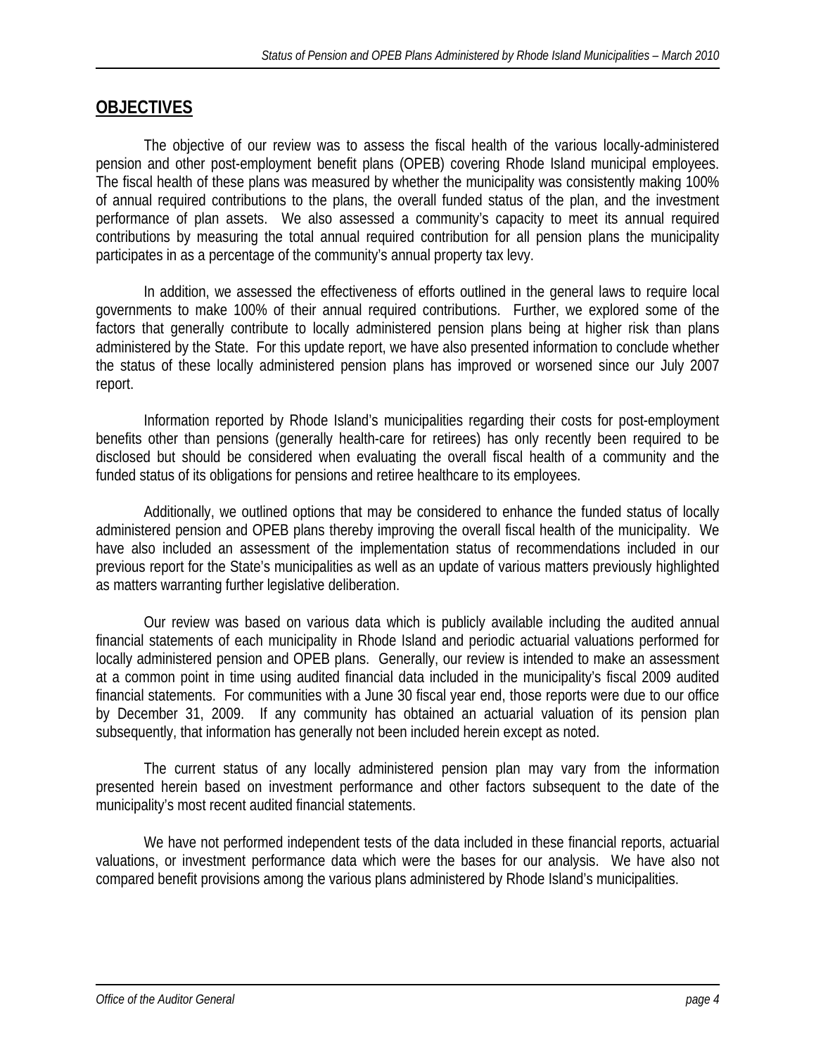# **OBJECTIVES**

The objective of our review was to assess the fiscal health of the various locally-administered pension and other post-employment benefit plans (OPEB) covering Rhode Island municipal employees. The fiscal health of these plans was measured by whether the municipality was consistently making 100% of annual required contributions to the plans, the overall funded status of the plan, and the investment performance of plan assets. We also assessed a community's capacity to meet its annual required contributions by measuring the total annual required contribution for all pension plans the municipality participates in as a percentage of the community's annual property tax levy.

In addition, we assessed the effectiveness of efforts outlined in the general laws to require local governments to make 100% of their annual required contributions. Further, we explored some of the factors that generally contribute to locally administered pension plans being at higher risk than plans administered by the State. For this update report, we have also presented information to conclude whether the status of these locally administered pension plans has improved or worsened since our July 2007 report.

Information reported by Rhode Island's municipalities regarding their costs for post-employment benefits other than pensions (generally health-care for retirees) has only recently been required to be disclosed but should be considered when evaluating the overall fiscal health of a community and the funded status of its obligations for pensions and retiree healthcare to its employees.

Additionally, we outlined options that may be considered to enhance the funded status of locally administered pension and OPEB plans thereby improving the overall fiscal health of the municipality. We have also included an assessment of the implementation status of recommendations included in our previous report for the State's municipalities as well as an update of various matters previously highlighted as matters warranting further legislative deliberation.

 Our review was based on various data which is publicly available including the audited annual financial statements of each municipality in Rhode Island and periodic actuarial valuations performed for locally administered pension and OPEB plans. Generally, our review is intended to make an assessment at a common point in time using audited financial data included in the municipality's fiscal 2009 audited financial statements. For communities with a June 30 fiscal year end, those reports were due to our office by December 31, 2009. If any community has obtained an actuarial valuation of its pension plan subsequently, that information has generally not been included herein except as noted.

The current status of any locally administered pension plan may vary from the information presented herein based on investment performance and other factors subsequent to the date of the municipality's most recent audited financial statements.

 We have not performed independent tests of the data included in these financial reports, actuarial valuations, or investment performance data which were the bases for our analysis. We have also not compared benefit provisions among the various plans administered by Rhode Island's municipalities.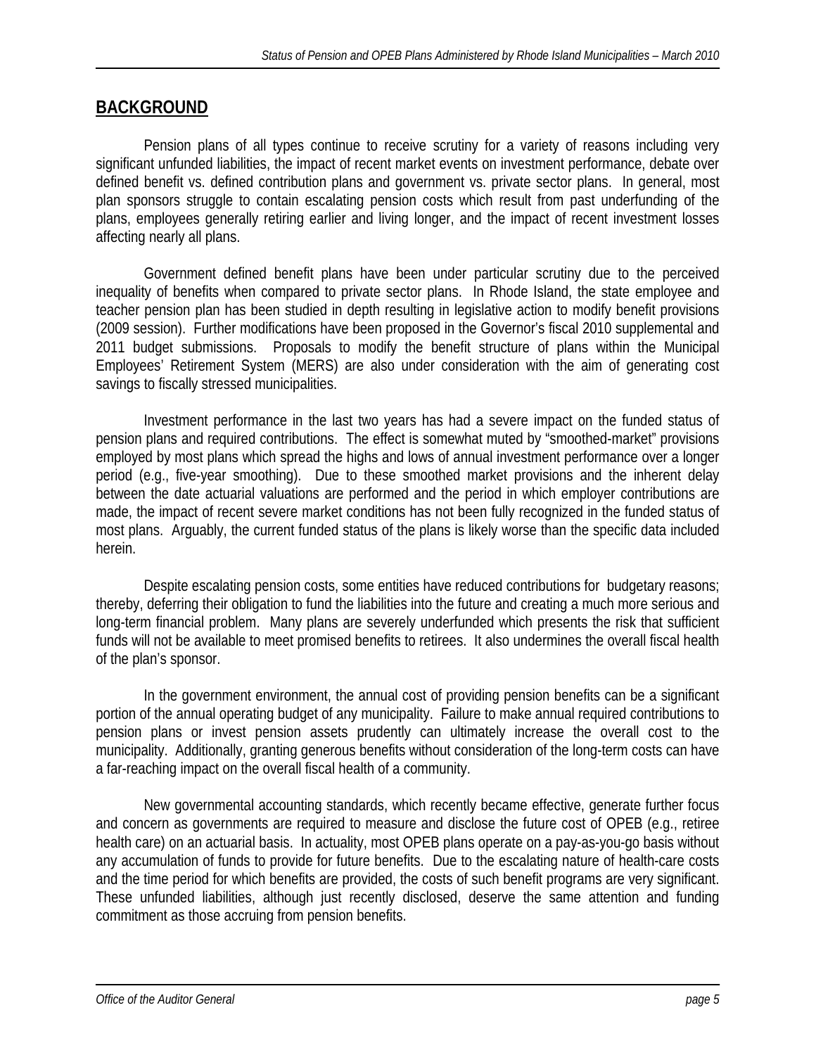# **BACKGROUND**

 Pension plans of all types continue to receive scrutiny for a variety of reasons including very significant unfunded liabilities, the impact of recent market events on investment performance, debate over defined benefit vs. defined contribution plans and government vs. private sector plans. In general, most plan sponsors struggle to contain escalating pension costs which result from past underfunding of the plans, employees generally retiring earlier and living longer, and the impact of recent investment losses affecting nearly all plans.

Government defined benefit plans have been under particular scrutiny due to the perceived inequality of benefits when compared to private sector plans. In Rhode Island, the state employee and teacher pension plan has been studied in depth resulting in legislative action to modify benefit provisions (2009 session). Further modifications have been proposed in the Governor's fiscal 2010 supplemental and 2011 budget submissions. Proposals to modify the benefit structure of plans within the Municipal Employees' Retirement System (MERS) are also under consideration with the aim of generating cost savings to fiscally stressed municipalities.

 Investment performance in the last two years has had a severe impact on the funded status of pension plans and required contributions. The effect is somewhat muted by "smoothed-market" provisions employed by most plans which spread the highs and lows of annual investment performance over a longer period (e.g., five-year smoothing). Due to these smoothed market provisions and the inherent delay between the date actuarial valuations are performed and the period in which employer contributions are made, the impact of recent severe market conditions has not been fully recognized in the funded status of most plans. Arguably, the current funded status of the plans is likely worse than the specific data included herein.

Despite escalating pension costs, some entities have reduced contributions for budgetary reasons; thereby, deferring their obligation to fund the liabilities into the future and creating a much more serious and long-term financial problem. Many plans are severely underfunded which presents the risk that sufficient funds will not be available to meet promised benefits to retirees. It also undermines the overall fiscal health of the plan's sponsor.

 In the government environment, the annual cost of providing pension benefits can be a significant portion of the annual operating budget of any municipality. Failure to make annual required contributions to pension plans or invest pension assets prudently can ultimately increase the overall cost to the municipality. Additionally, granting generous benefits without consideration of the long-term costs can have a far-reaching impact on the overall fiscal health of a community.

 New governmental accounting standards, which recently became effective, generate further focus and concern as governments are required to measure and disclose the future cost of OPEB (e.g., retiree health care) on an actuarial basis. In actuality, most OPEB plans operate on a pay-as-you-go basis without any accumulation of funds to provide for future benefits. Due to the escalating nature of health-care costs and the time period for which benefits are provided, the costs of such benefit programs are very significant. These unfunded liabilities, although just recently disclosed, deserve the same attention and funding commitment as those accruing from pension benefits.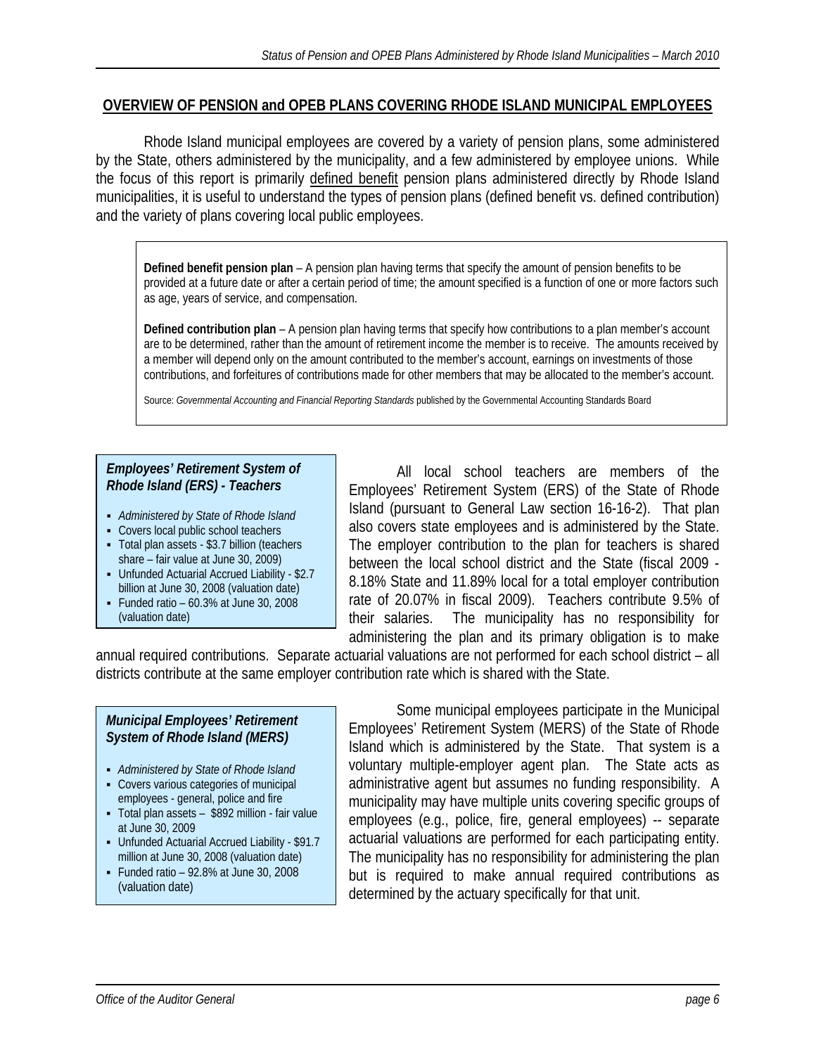### **OVERVIEW OF PENSION and OPEB PLANS COVERING RHODE ISLAND MUNICIPAL EMPLOYEES**

 Rhode Island municipal employees are covered by a variety of pension plans, some administered by the State, others administered by the municipality, and a few administered by employee unions. While the focus of this report is primarily defined benefit pension plans administered directly by Rhode Island municipalities, it is useful to understand the types of pension plans (defined benefit vs. defined contribution) and the variety of plans covering local public employees.

**Defined benefit pension plan** – A pension plan having terms that specify the amount of pension benefits to be provided at a future date or after a certain period of time; the amount specified is a function of one or more factors such as age, years of service, and compensation.

**Defined contribution plan** – A pension plan having terms that specify how contributions to a plan member's account are to be determined, rather than the amount of retirement income the member is to receive. The amounts received by a member will depend only on the amount contributed to the member's account, earnings on investments of those contributions, and forfeitures of contributions made for other members that may be allocated to the member's account.

Source: *Governmental Accounting and Financial Reporting Standards* published by the Governmental Accounting Standards Board

### *Employees' Retirement System of Rhode Island (ERS) - Teachers*

- *Administered by State of Rhode Island*
- Covers local public school teachers
- Total plan assets \$3.7 billion (teachers share – fair value at June 30, 2009)
- Unfunded Actuarial Accrued Liability \$2.7 billion at June 30, 2008 (valuation date)
- Funded ratio  $60.3\%$  at June 30, 2008 (valuation date)

 All local school teachers are members of the Employees' Retirement System (ERS) of the State of Rhode Island (pursuant to General Law section 16-16-2). That plan also covers state employees and is administered by the State. The employer contribution to the plan for teachers is shared between the local school district and the State (fiscal 2009 - 8.18% State and 11.89% local for a total employer contribution rate of 20.07% in fiscal 2009). Teachers contribute 9.5% of their salaries. The municipality has no responsibility for administering the plan and its primary obligation is to make

annual required contributions. Separate actuarial valuations are not performed for each school district – all districts contribute at the same employer contribution rate which is shared with the State.

### *Municipal Employees' Retirement System of Rhode Island (MERS)*

- *Administered by State of Rhode Island*
- Covers various categories of municipal employees - general, police and fire
- Total plan assets \$892 million fair value at June 30, 2009
- Unfunded Actuarial Accrued Liability \$91.7 million at June 30, 2008 (valuation date)
- Funded ratio  $-92.8\%$  at June 30, 2008
- (valuation date)

 Some municipal employees participate in the Municipal Employees' Retirement System (MERS) of the State of Rhode Island which is administered by the State. That system is a voluntary multiple-employer agent plan. The State acts as administrative agent but assumes no funding responsibility. A municipality may have multiple units covering specific groups of employees (e.g., police, fire, general employees) -- separate actuarial valuations are performed for each participating entity. The municipality has no responsibility for administering the plan but is required to make annual required contributions as determined by the actuary specifically for that unit.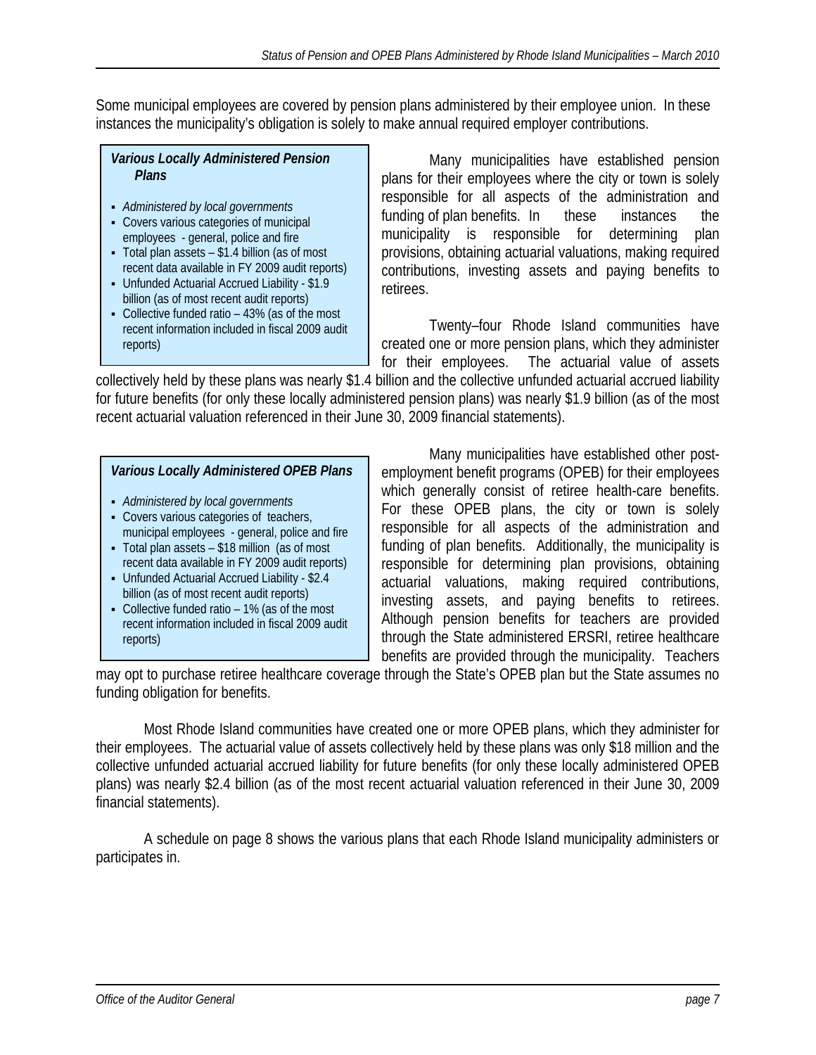Some municipal employees are covered by pension plans administered by their employee union. In these instances the municipality's obligation is solely to make annual required employer contributions.

# *Various Locally Administered Pension Plans*

- *Administered by local governments*
- Covers various categories of municipal employees - general, police and fire
- Total plan assets \$1.4 billion (as of most recent data available in FY 2009 audit reports)
- Unfunded Actuarial Accrued Liability \$1.9 billion (as of most recent audit reports)
- Collective funded ratio 43% (as of the most recent information included in fiscal 2009 audit reports)

Many municipalities have established pension plans for their employees where the city or town is solely responsible for all aspects of the administration and funding of plan benefits. In these instances the municipality is responsible for determining plan provisions, obtaining actuarial valuations, making required contributions, investing assets and paying benefits to retirees.

 Twenty–four Rhode Island communities have created one or more pension plans, which they administer for their employees. The actuarial value of assets

collectively held by these plans was nearly \$1.4 billion and the collective unfunded actuarial accrued liability for future benefits (for only these locally administered pension plans) was nearly \$1.9 billion (as of the most recent actuarial valuation referenced in their June 30, 2009 financial statements).

# *Various Locally Administered OPEB Plans*

- *Administered by local governments*
- Covers various categories of teachers, municipal employees - general, police and fire
- Total plan assets \$18 million (as of most recent data available in FY 2009 audit reports)
- Unfunded Actuarial Accrued Liability \$2.4 billion (as of most recent audit reports)
- Collective funded ratio 1% (as of the most recent information included in fiscal 2009 audit reports)

 Many municipalities have established other postemployment benefit programs (OPEB) for their employees which generally consist of retiree health-care benefits. For these OPEB plans, the city or town is solely responsible for all aspects of the administration and funding of plan benefits. Additionally, the municipality is responsible for determining plan provisions, obtaining actuarial valuations, making required contributions, investing assets, and paying benefits to retirees. Although pension benefits for teachers are provided through the State administered ERSRI, retiree healthcare benefits are provided through the municipality. Teachers

may opt to purchase retiree healthcare coverage through the State's OPEB plan but the State assumes no funding obligation for benefits.

 Most Rhode Island communities have created one or more OPEB plans, which they administer for their employees. The actuarial value of assets collectively held by these plans was only \$18 million and the collective unfunded actuarial accrued liability for future benefits (for only these locally administered OPEB plans) was nearly \$2.4 billion (as of the most recent actuarial valuation referenced in their June 30, 2009 financial statements).

 A schedule on page 8 shows the various plans that each Rhode Island municipality administers or participates in.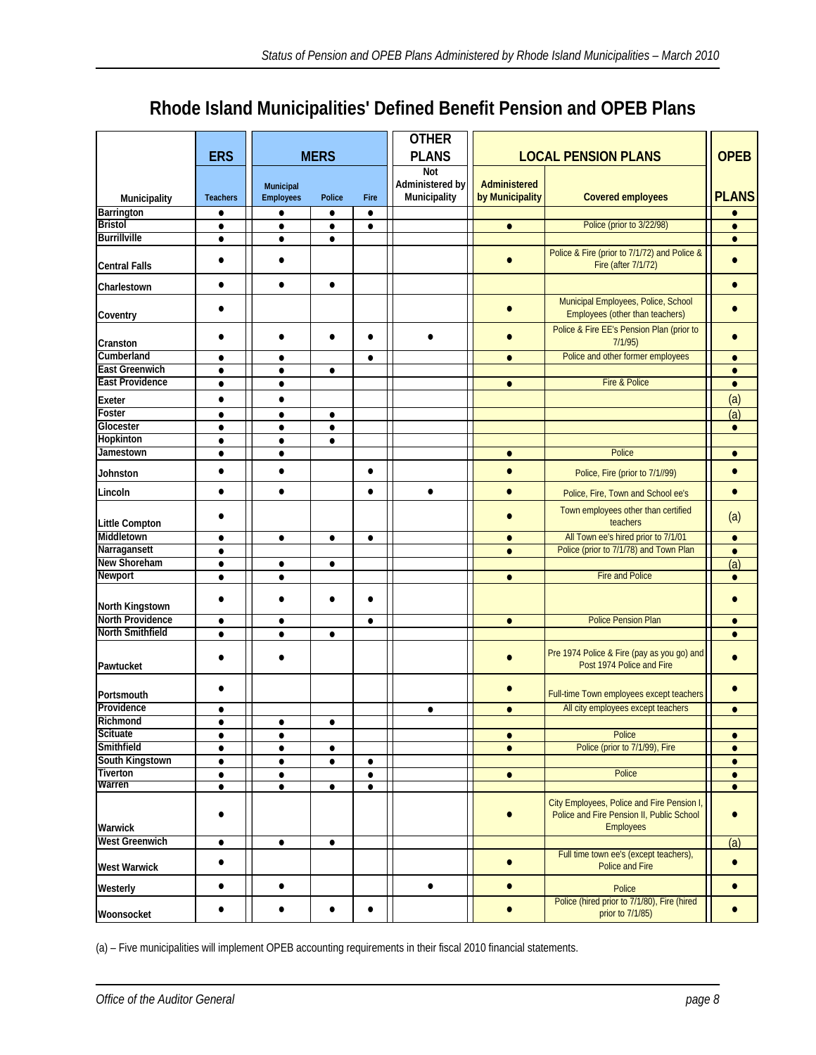# **Rhode Island Municipalities' Defined Benefit Pension and OPEB Plans**

|                         |                 |                               |               |           | <b>OTHER</b>    |                 |                                                                                                             |              |
|-------------------------|-----------------|-------------------------------|---------------|-----------|-----------------|-----------------|-------------------------------------------------------------------------------------------------------------|--------------|
|                         | <b>ERS</b>      |                               | <b>MERS</b>   |           | <b>PLANS</b>    |                 | <b>LOCAL PENSION PLANS</b>                                                                                  | <b>OPEB</b>  |
|                         |                 |                               |               |           | Not             |                 |                                                                                                             |              |
|                         |                 |                               |               |           | Administered by | Administered    |                                                                                                             |              |
| Municipality            | <b>Teachers</b> | Municipal<br><b>Employees</b> | <b>Police</b> | Fire      | Municipality    | by Municipality | <b>Covered employees</b>                                                                                    | <b>PLANS</b> |
| Barrington              | ٠               | $\bullet$                     | ٠             | $\bullet$ |                 |                 |                                                                                                             |              |
| <b>Bristol</b>          | $\bullet$       | $\bullet$                     | $\bullet$     | $\bullet$ |                 | $\bullet$       | Police (prior to 3/22/98)                                                                                   | $\bullet$    |
| <b>Burrillville</b>     | $\bullet$       | $\bullet$                     | ٠             |           |                 |                 |                                                                                                             | $\bullet$    |
|                         |                 |                               |               |           |                 |                 | Police & Fire (prior to 7/1/72) and Police &                                                                |              |
| <b>Central Falls</b>    | $\bullet$       | $\bullet$                     |               |           |                 | $\bullet$       | Fire (after 7/1/72)                                                                                         | $\bullet$    |
| Charlestown             | $\bullet$       | $\bullet$                     | $\bullet$     |           |                 |                 |                                                                                                             | $\bullet$    |
| Coventry                | $\bullet$       |                               |               |           |                 |                 | Municipal Employees, Police, School<br>Employees (other than teachers)                                      |              |
| Cranston                |                 | $\bullet$                     |               | $\bullet$ |                 |                 | Police & Fire EE's Pension Plan (prior to<br>7/1/95)                                                        | $\bullet$    |
| Cumberland              | $\bullet$       | $\bullet$                     |               | $\bullet$ |                 | $\bullet$       | Police and other former employees                                                                           | $\bullet$    |
| <b>East Greenwich</b>   | $\bullet$       | $\bullet$                     | $\bullet$     |           |                 |                 |                                                                                                             | $\bullet$    |
| <b>East Providence</b>  | $\bullet$       | $\bullet$                     |               |           |                 | $\bullet$       | Fire & Police                                                                                               | $\bullet$    |
| Exeter                  | $\bullet$       | $\bullet$                     |               |           |                 |                 |                                                                                                             | (a)          |
| Foster                  | $\bullet$       | $\bullet$                     | $\bullet$     |           |                 |                 |                                                                                                             | (a)          |
| Glocester               | $\bullet$       | $\bullet$                     | $\bullet$     |           |                 |                 |                                                                                                             | $\bullet$    |
| Hopkinton               | $\bullet$       | $\bullet$                     | $\bullet$     |           |                 |                 |                                                                                                             |              |
| Jamestown               | $\bullet$       | $\bullet$                     |               |           |                 | $\bullet$       | Police                                                                                                      | $\bullet$    |
| Johnston                | $\bullet$       | $\bullet$                     |               | $\bullet$ |                 | $\bullet$       | Police, Fire (prior to 7/1//99)                                                                             |              |
| Lincoln                 | $\bullet$       | $\bullet$                     |               | $\bullet$ | $\bullet$       | $\bullet$       | Police, Fire, Town and School ee's                                                                          | $\bullet$    |
| <b>Little Compton</b>   | $\bullet$       |                               |               |           |                 |                 | Town employees other than certified<br>teachers                                                             | (a)          |
| Middletown              | $\bullet$       | $\bullet$                     | $\bullet$     | $\bullet$ |                 | $\bullet$       | All Town ee's hired prior to 7/1/01                                                                         | $\bullet$    |
| Narragansett            | ٠               |                               |               |           |                 | $\bullet$       | Police (prior to 7/1/78) and Town Plan                                                                      | $\bullet$    |
| New Shoreham            | $\bullet$       | $\bullet$                     | $\bullet$     |           |                 |                 |                                                                                                             | (a)          |
| <b>Newport</b>          | $\bullet$       | $\bullet$                     |               |           |                 | $\bullet$       | <b>Fire and Police</b>                                                                                      | $\bullet$    |
|                         | $\bullet$       | $\bullet$                     | $\bullet$     | $\bullet$ |                 |                 |                                                                                                             | $\bullet$    |
| North Kingstown         |                 |                               |               |           |                 |                 |                                                                                                             |              |
| <b>North Providence</b> | ٠               | $\bullet$                     |               | $\bullet$ |                 | $\bullet$       | <b>Police Pension Plan</b>                                                                                  | $\bullet$    |
| <b>North Smithfield</b> | $\bullet$       | $\bullet$                     | $\bullet$     |           |                 |                 |                                                                                                             | $\bullet$    |
| Pawtucket               |                 |                               |               |           |                 |                 | Pre 1974 Police & Fire (pay as you go) and<br>Post 1974 Police and Fire                                     |              |
| Portsmouth              |                 |                               |               |           |                 |                 | Full-time Town employees except teachers                                                                    | $\bullet$    |
| Providence              | $\bullet$       |                               |               |           | $\bullet$       | $\bullet$       | All city employees except teachers                                                                          | $\bullet$    |
| Richmond                | $\bullet$       |                               |               |           |                 |                 |                                                                                                             |              |
| <b>Scituate</b>         | $\bullet$       | $\bullet$                     |               |           |                 | $\bullet$       | Police                                                                                                      | $\bullet$    |
| Smithfield              | $\bullet$       | $\bullet$                     | $\bullet$     |           |                 | $\bullet$       | Police (prior to 7/1/99), Fire                                                                              | $\bullet$    |
| South Kingstown         | $\bullet$       | $\bullet$                     | $\bullet$     | $\bullet$ |                 |                 |                                                                                                             | $\bullet$    |
| Tiverton                | $\bullet$       | $\bullet$                     |               | $\bullet$ |                 | $\bullet$       | Police                                                                                                      | $\bullet$    |
| Warren                  | $\bullet$       | $\bullet$                     | $\bullet$     | $\bullet$ |                 |                 |                                                                                                             | $\bullet$    |
| Warwick                 |                 |                               |               |           |                 |                 | City Employees, Police and Fire Pension I,<br>Police and Fire Pension II, Public School<br><b>Employees</b> | $\bullet$    |
| <b>West Greenwich</b>   | $\bullet$       | ٠                             | $\bullet$     |           |                 |                 |                                                                                                             | (a)          |
| <b>West Warwick</b>     | $\bullet$       |                               |               |           |                 | $\bullet$       | Full time town ee's (except teachers),<br>Police and Fire                                                   | $\bullet$    |
| Westerly                | $\bullet$       | $\bullet$                     |               |           | $\bullet$       | $\bullet$       | Police                                                                                                      | $\bullet$    |
| Woonsocket              | $\bullet$       | $\bullet$                     | $\bullet$     | $\bullet$ |                 | $\bullet$       | Police (hired prior to 7/1/80), Fire (hired<br>prior to 7/1/85)                                             | $\bullet$    |

(a) – Five municipalities will implement OPEB accounting requirements in their fiscal 2010 financial statements.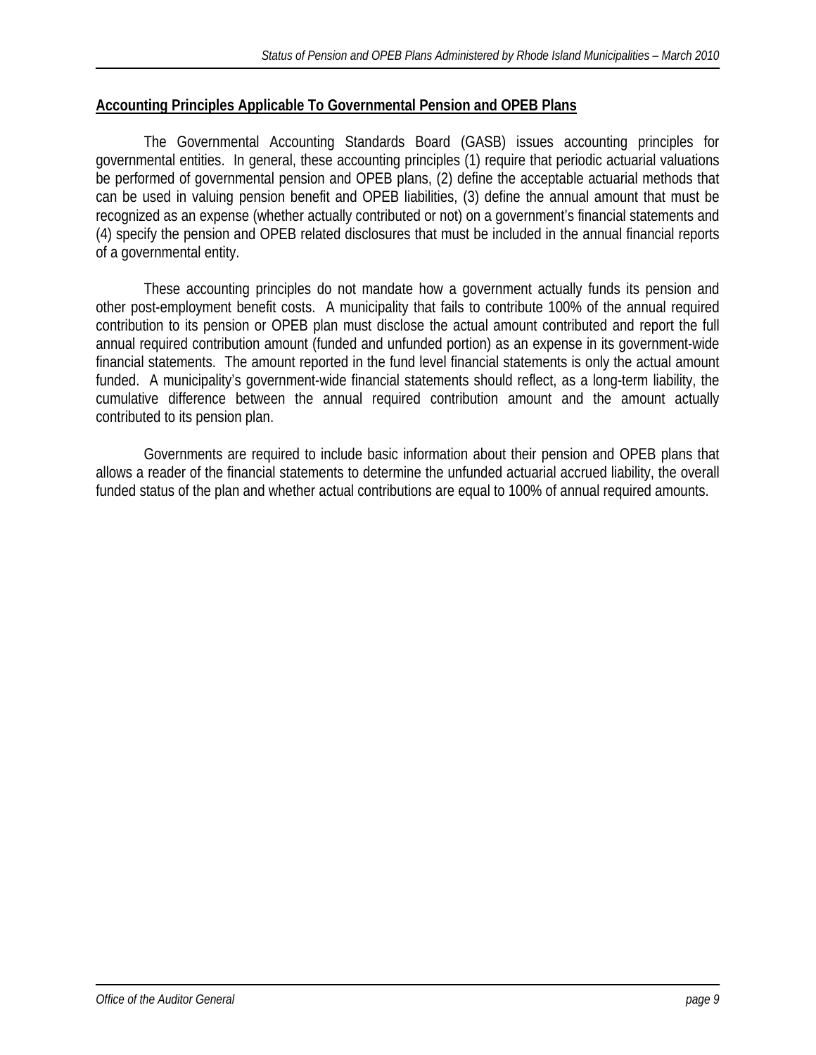# **Accounting Principles Applicable To Governmental Pension and OPEB Plans**

 The Governmental Accounting Standards Board (GASB) issues accounting principles for governmental entities. In general, these accounting principles (1) require that periodic actuarial valuations be performed of governmental pension and OPEB plans, (2) define the acceptable actuarial methods that can be used in valuing pension benefit and OPEB liabilities, (3) define the annual amount that must be recognized as an expense (whether actually contributed or not) on a government's financial statements and (4) specify the pension and OPEB related disclosures that must be included in the annual financial reports of a governmental entity.

 These accounting principles do not mandate how a government actually funds its pension and other post-employment benefit costs. A municipality that fails to contribute 100% of the annual required contribution to its pension or OPEB plan must disclose the actual amount contributed and report the full annual required contribution amount (funded and unfunded portion) as an expense in its government-wide financial statements. The amount reported in the fund level financial statements is only the actual amount funded. A municipality's government-wide financial statements should reflect, as a long-term liability, the cumulative difference between the annual required contribution amount and the amount actually contributed to its pension plan.

Governments are required to include basic information about their pension and OPEB plans that allows a reader of the financial statements to determine the unfunded actuarial accrued liability, the overall funded status of the plan and whether actual contributions are equal to 100% of annual required amounts.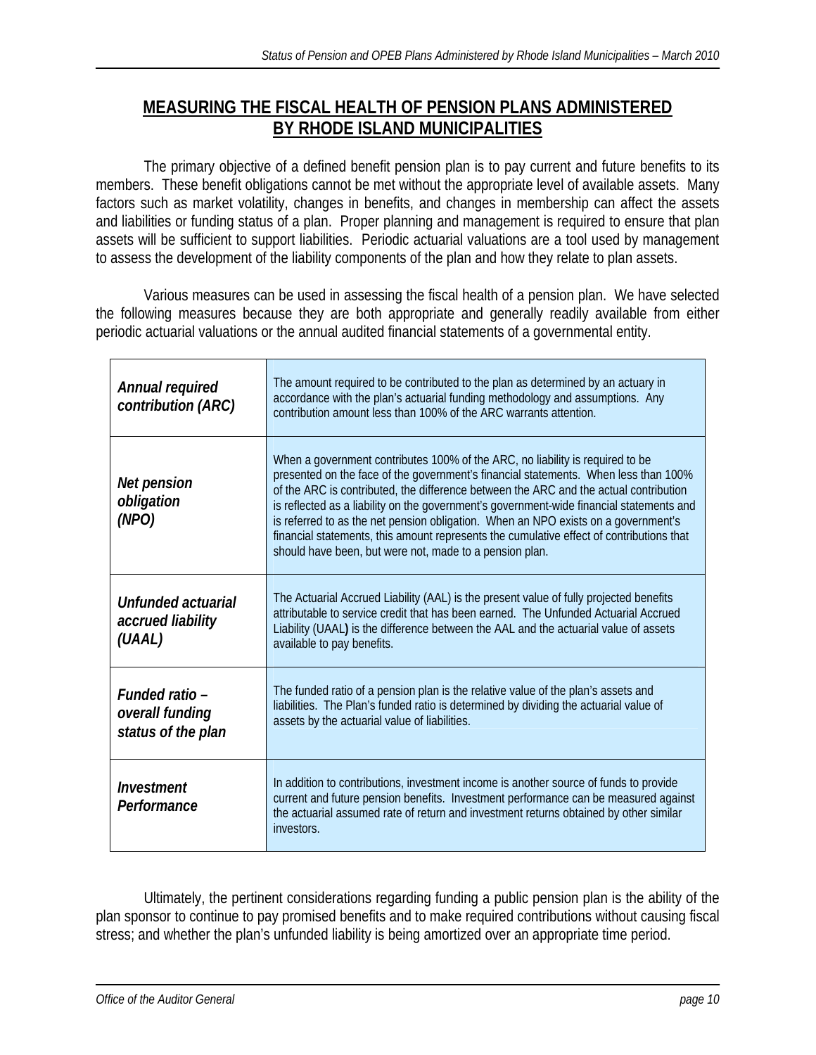# **MEASURING THE FISCAL HEALTH OF PENSION PLANS ADMINISTERED BY RHODE ISLAND MUNICIPALITIES**

 The primary objective of a defined benefit pension plan is to pay current and future benefits to its members. These benefit obligations cannot be met without the appropriate level of available assets. Many factors such as market volatility, changes in benefits, and changes in membership can affect the assets and liabilities or funding status of a plan. Proper planning and management is required to ensure that plan assets will be sufficient to support liabilities. Periodic actuarial valuations are a tool used by management to assess the development of the liability components of the plan and how they relate to plan assets.

 Various measures can be used in assessing the fiscal health of a pension plan. We have selected the following measures because they are both appropriate and generally readily available from either periodic actuarial valuations or the annual audited financial statements of a governmental entity.

| Annual required<br>contribution (ARC)                   | The amount required to be contributed to the plan as determined by an actuary in<br>accordance with the plan's actuarial funding methodology and assumptions. Any<br>contribution amount less than 100% of the ARC warrants attention.                                                                                                                                                                                                                                                                                                                                                                 |
|---------------------------------------------------------|--------------------------------------------------------------------------------------------------------------------------------------------------------------------------------------------------------------------------------------------------------------------------------------------------------------------------------------------------------------------------------------------------------------------------------------------------------------------------------------------------------------------------------------------------------------------------------------------------------|
| Net pension<br>obligation<br>(NPO)                      | When a government contributes 100% of the ARC, no liability is required to be<br>presented on the face of the government's financial statements. When less than 100%<br>of the ARC is contributed, the difference between the ARC and the actual contribution<br>is reflected as a liability on the government's government-wide financial statements and<br>is referred to as the net pension obligation. When an NPO exists on a government's<br>financial statements, this amount represents the cumulative effect of contributions that<br>should have been, but were not, made to a pension plan. |
| Unfunded actuarial<br>accrued liability<br>(UAAL)       | The Actuarial Accrued Liability (AAL) is the present value of fully projected benefits<br>attributable to service credit that has been earned. The Unfunded Actuarial Accrued<br>Liability (UAAL) is the difference between the AAL and the actuarial value of assets<br>available to pay benefits.                                                                                                                                                                                                                                                                                                    |
| Funded ratio -<br>overall funding<br>status of the plan | The funded ratio of a pension plan is the relative value of the plan's assets and<br>liabilities. The Plan's funded ratio is determined by dividing the actuarial value of<br>assets by the actuarial value of liabilities.                                                                                                                                                                                                                                                                                                                                                                            |
| Investment<br>Performance                               | In addition to contributions, investment income is another source of funds to provide<br>current and future pension benefits. Investment performance can be measured against<br>the actuarial assumed rate of return and investment returns obtained by other similar<br>investors.                                                                                                                                                                                                                                                                                                                    |

 Ultimately, the pertinent considerations regarding funding a public pension plan is the ability of the plan sponsor to continue to pay promised benefits and to make required contributions without causing fiscal stress; and whether the plan's unfunded liability is being amortized over an appropriate time period.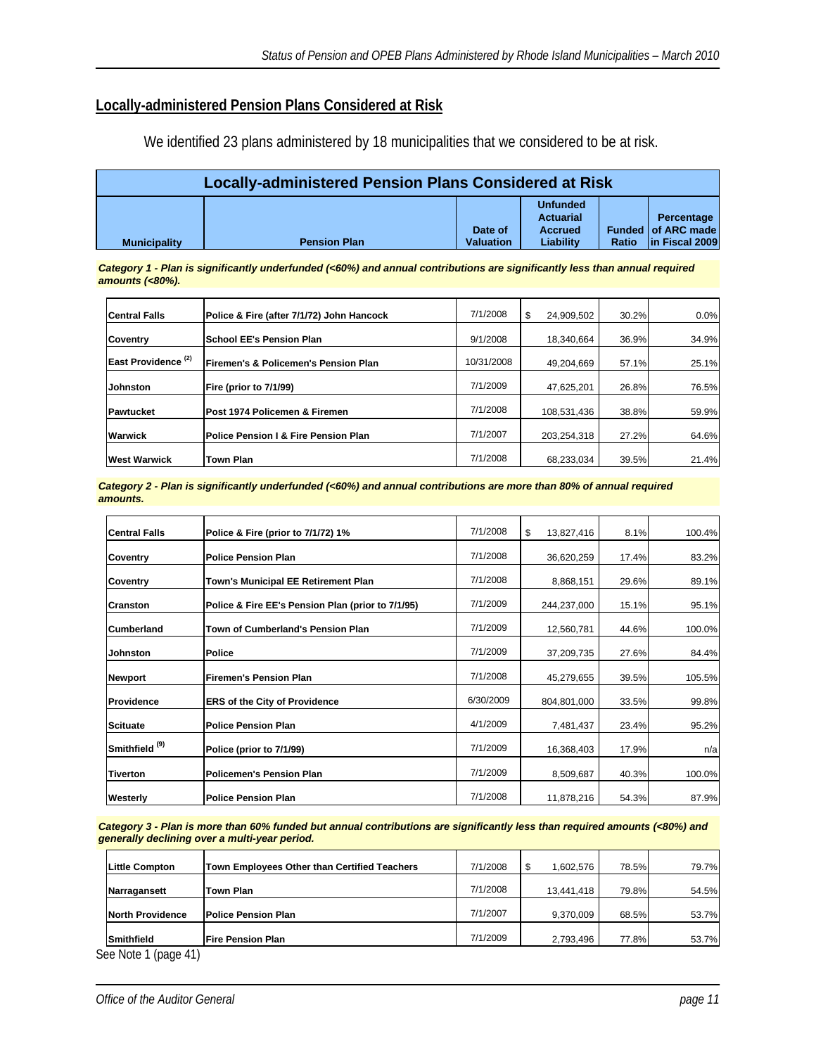# **Locally-administered Pension Plans Considered at Risk**

We identified 23 plans administered by 18 municipalities that we considered to be at risk.

| Locally-administered Pension Plans Considered at Risk |                     |                             |                                                             |       |                                                    |  |  |  |  |  |  |
|-------------------------------------------------------|---------------------|-----------------------------|-------------------------------------------------------------|-------|----------------------------------------------------|--|--|--|--|--|--|
| <b>Municipality</b>                                   | <b>Pension Plan</b> | Date of<br><b>Valuation</b> | <b>Unfunded</b><br>Actuarial<br><b>Accrued</b><br>Liabilitv | Ratio | Percentage<br>Funded of ARC made<br>In Fiscal 2009 |  |  |  |  |  |  |

*Category 1 - Plan is significantly underfunded (<60%) and annual contributions are significantly less than annual required amounts (<80%).*

| <b>Central Falls</b>           | Police & Fire (after 7/1/72) John Hancock | 7/1/2008   | 24,909,502  | 30.2% | $0.0\%$ |
|--------------------------------|-------------------------------------------|------------|-------------|-------|---------|
| <b>Coventry</b>                | <b>School EE's Pension Plan</b>           | 9/1/2008   | 18.340.664  | 36.9% | 34.9%   |
| East Providence <sup>(2)</sup> | Firemen's & Policemen's Pension Plan      | 10/31/2008 | 49.204.669  | 57.1% | 25.1%   |
| <b>Johnston</b>                | Fire (prior to 7/1/99)                    | 7/1/2009   | 47,625,201  | 26.8% | 76.5%   |
| <b>IPawtucket</b>              | Post 1974 Policemen & Firemen             | 7/1/2008   | 108,531,436 | 38.8% | 59.9%   |
| <b>Warwick</b>                 | Police Pension I & Fire Pension Plan      | 7/1/2007   | 203,254,318 | 27.2% | 64.6%   |
| <b>West Warwick</b>            | <b>Town Plan</b>                          | 7/1/2008   | 68,233,034  | 39.5% | 21.4%   |

*Category 2 - Plan is significantly underfunded (<60%) and annual contributions are more than 80% of annual required amounts.*

| 100.4% |
|--------|
| 83.2%  |
| 89.1%  |
| 95.1%  |
| 100.0% |
| 84.4%  |
| 105.5% |
| 99.8%  |
| 95.2%  |
| n/a    |
| 100.0% |
| 87.9%  |
|        |

*Category 3 - Plan is more than 60% funded but annual contributions are significantly less than required amounts (<80%) and generally declining over a multi-year period.* 

| Little Compton    | Town Employees Other than Certified Teachers | 7/1/2008 | 1.602.576  | 78.5% | 79.7% |
|-------------------|----------------------------------------------|----------|------------|-------|-------|
| Narragansett      | Town Plan                                    | 7/1/2008 | 13,441,418 | 79.8% | 54.5% |
| North Providence  | <b>IPolice Pension Plan</b>                  | 7/1/2007 | 9,370,009  | 68.5% | 53.7% |
| <b>Smithfield</b> | l Fire Pension Plan                          | 7/1/2009 | 2,793,496  | 77.8% | 53.7% |

See Note 1 (page 41)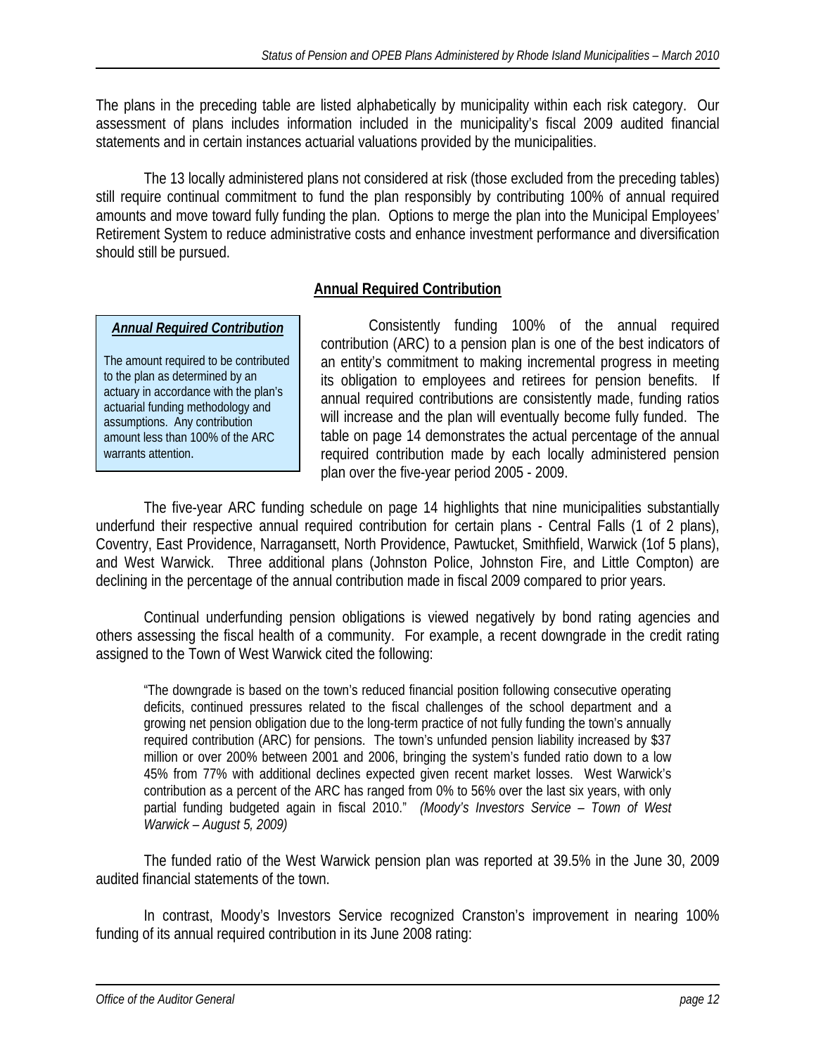The plans in the preceding table are listed alphabetically by municipality within each risk category. Our assessment of plans includes information included in the municipality's fiscal 2009 audited financial statements and in certain instances actuarial valuations provided by the municipalities.

 The 13 locally administered plans not considered at risk (those excluded from the preceding tables) still require continual commitment to fund the plan responsibly by contributing 100% of annual required amounts and move toward fully funding the plan. Options to merge the plan into the Municipal Employees' Retirement System to reduce administrative costs and enhance investment performance and diversification should still be pursued.

# **Annual Required Contribution**

## *Annual Required Contribution*

The amount required to be contributed to the plan as determined by an actuary in accordance with the plan's actuarial funding methodology and assumptions. Any contribution amount less than 100% of the ARC warrants attention.

 Consistently funding 100% of the annual required contribution (ARC) to a pension plan is one of the best indicators of an entity's commitment to making incremental progress in meeting its obligation to employees and retirees for pension benefits. If annual required contributions are consistently made, funding ratios will increase and the plan will eventually become fully funded. The table on page 14 demonstrates the actual percentage of the annual required contribution made by each locally administered pension plan over the five-year period 2005 - 2009.

 The five-year ARC funding schedule on page 14 highlights that nine municipalities substantially underfund their respective annual required contribution for certain plans - Central Falls (1 of 2 plans), Coventry, East Providence, Narragansett, North Providence, Pawtucket, Smithfield, Warwick (1of 5 plans), and West Warwick. Three additional plans (Johnston Police, Johnston Fire, and Little Compton) are declining in the percentage of the annual contribution made in fiscal 2009 compared to prior years.

Continual underfunding pension obligations is viewed negatively by bond rating agencies and others assessing the fiscal health of a community. For example, a recent downgrade in the credit rating assigned to the Town of West Warwick cited the following:

"The downgrade is based on the town's reduced financial position following consecutive operating deficits, continued pressures related to the fiscal challenges of the school department and a growing net pension obligation due to the long-term practice of not fully funding the town's annually required contribution (ARC) for pensions. The town's unfunded pension liability increased by \$37 million or over 200% between 2001 and 2006, bringing the system's funded ratio down to a low 45% from 77% with additional declines expected given recent market losses. West Warwick's contribution as a percent of the ARC has ranged from 0% to 56% over the last six years, with only partial funding budgeted again in fiscal 2010." *(Moody's Investors Service – Town of West Warwick – August 5, 2009)* 

The funded ratio of the West Warwick pension plan was reported at 39.5% in the June 30, 2009 audited financial statements of the town.

In contrast, Moody's Investors Service recognized Cranston's improvement in nearing 100% funding of its annual required contribution in its June 2008 rating: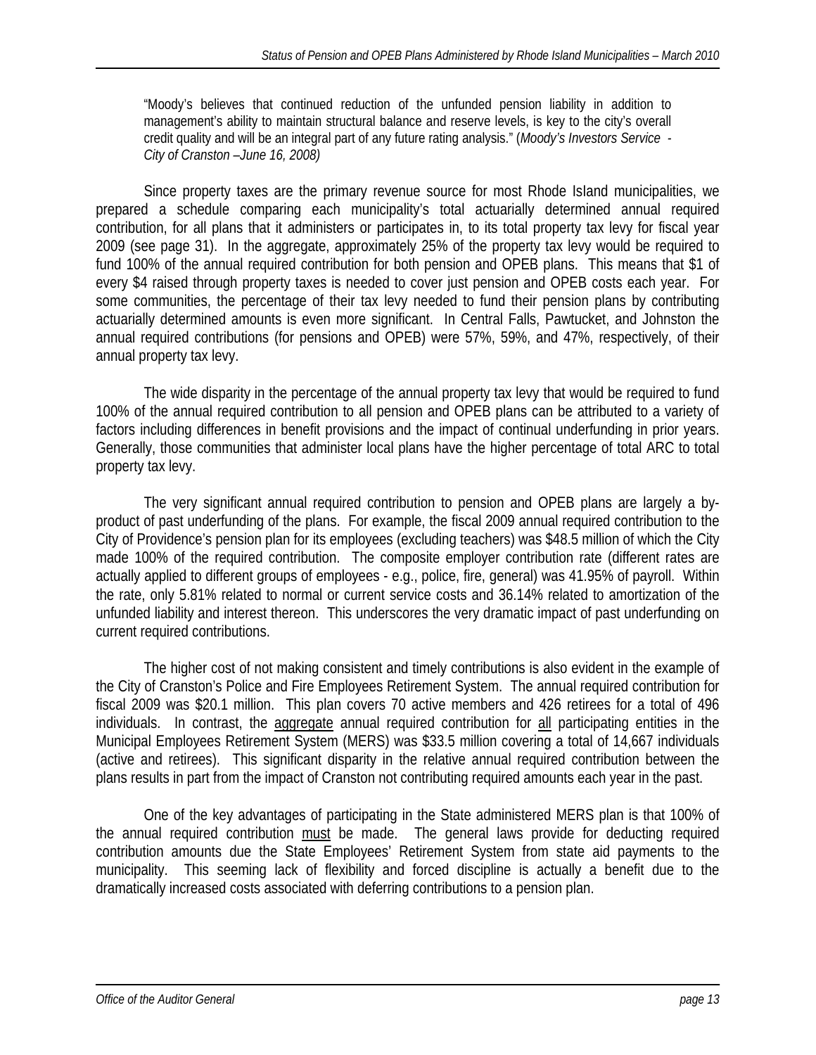"Moody's believes that continued reduction of the unfunded pension liability in addition to management's ability to maintain structural balance and reserve levels, is key to the city's overall credit quality and will be an integral part of any future rating analysis." (*Moody's Investors Service - City of Cranston –June 16, 2008)* 

Since property taxes are the primary revenue source for most Rhode IsIand municipalities, we prepared a schedule comparing each municipality's total actuarially determined annual required contribution, for all plans that it administers or participates in, to its total property tax levy for fiscal year 2009 (see page 31). In the aggregate, approximately 25% of the property tax levy would be required to fund 100% of the annual required contribution for both pension and OPEB plans. This means that \$1 of every \$4 raised through property taxes is needed to cover just pension and OPEB costs each year. For some communities, the percentage of their tax levy needed to fund their pension plans by contributing actuarially determined amounts is even more significant. In Central Falls, Pawtucket, and Johnston the annual required contributions (for pensions and OPEB) were 57%, 59%, and 47%, respectively, of their annual property tax levy.

The wide disparity in the percentage of the annual property tax levy that would be required to fund 100% of the annual required contribution to all pension and OPEB plans can be attributed to a variety of factors including differences in benefit provisions and the impact of continual underfunding in prior years. Generally, those communities that administer local plans have the higher percentage of total ARC to total property tax levy.

 The very significant annual required contribution to pension and OPEB plans are largely a byproduct of past underfunding of the plans. For example, the fiscal 2009 annual required contribution to the City of Providence's pension plan for its employees (excluding teachers) was \$48.5 million of which the City made 100% of the required contribution. The composite employer contribution rate (different rates are actually applied to different groups of employees - e.g., police, fire, general) was 41.95% of payroll. Within the rate, only 5.81% related to normal or current service costs and 36.14% related to amortization of the unfunded liability and interest thereon. This underscores the very dramatic impact of past underfunding on current required contributions.

The higher cost of not making consistent and timely contributions is also evident in the example of the City of Cranston's Police and Fire Employees Retirement System. The annual required contribution for fiscal 2009 was \$20.1 million. This plan covers 70 active members and 426 retirees for a total of 496 individuals. In contrast, the aggregate annual required contribution for all participating entities in the Municipal Employees Retirement System (MERS) was \$33.5 million covering a total of 14,667 individuals (active and retirees). This significant disparity in the relative annual required contribution between the plans results in part from the impact of Cranston not contributing required amounts each year in the past.

 One of the key advantages of participating in the State administered MERS plan is that 100% of the annual required contribution must be made. The general laws provide for deducting required contribution amounts due the State Employees' Retirement System from state aid payments to the municipality. This seeming lack of flexibility and forced discipline is actually a benefit due to the dramatically increased costs associated with deferring contributions to a pension plan.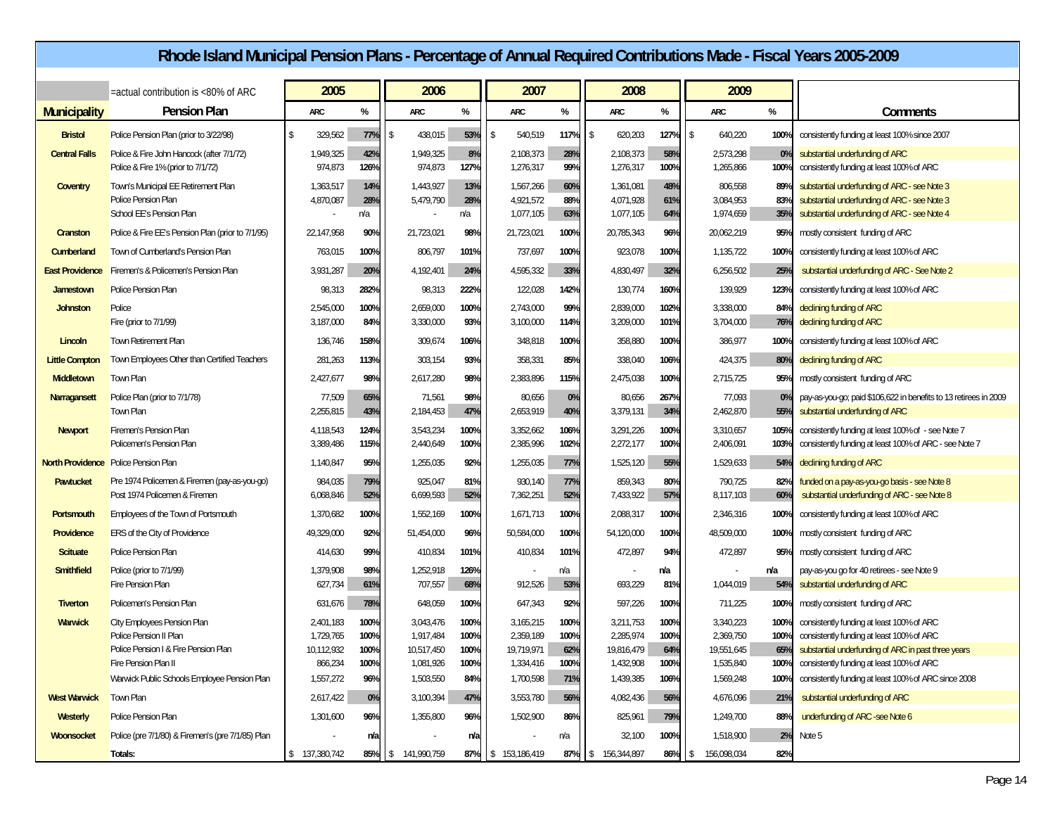|                         |                                                                                               | Rhode Island Municipal Pension Plans - Percentage of Annual Required Contributions Made - Fiscal Years 2005-2009 |                        |                   |                           |                   |                                     |                   |      |                                     |                   |                                   |                       |                                                                                                                                              |
|-------------------------|-----------------------------------------------------------------------------------------------|------------------------------------------------------------------------------------------------------------------|------------------------|-------------------|---------------------------|-------------------|-------------------------------------|-------------------|------|-------------------------------------|-------------------|-----------------------------------|-----------------------|----------------------------------------------------------------------------------------------------------------------------------------------|
|                         | =actual contribution is <80% of ARC                                                           |                                                                                                                  | 2005                   |                   | 2006                      |                   | 2007                                |                   |      | 2008                                |                   | 2009                              |                       |                                                                                                                                              |
| <b>Municipality</b>     | <b>Pension Plan</b>                                                                           |                                                                                                                  | ARC                    | %                 | ARC                       | %                 | <b>ARC</b>                          | %                 |      | <b>ARC</b>                          | %                 | ARC                               | %                     | Comments                                                                                                                                     |
| <b>Bristol</b>          | Police Pension Plan (prior to 3/22/98)                                                        | -S                                                                                                               | 329,562                | 77%               | 438,015                   | 53%               | 540,519<br>۱S                       | 117%              | l \$ | 620,203                             | 127%              | 640,220<br><b>S</b>               | 100                   | consistently funding at least 100% since 2007                                                                                                |
| <b>Central Falls</b>    | Police & Fire John Hancock (after 7/1/72)<br>Police & Fire 1% (prior to 7/1/72)               |                                                                                                                  | 1,949,325<br>974,873   | 42%<br>126%       | 1,949,325<br>974,873      | 8%<br>127%        | 2,108,373<br>1,276,317              | 28%<br>99%        |      | 2,108,373<br>1,276,317              | 58%<br>100%       | 2,573,298<br>1,265,866            | 0%<br>100%            | substantial underfunding of ARC<br>consistently funding at least 100% of ARC                                                                 |
| Coventry                | Town's Municipal EE Retirement Plan<br><b>Police Pension Plan</b><br>School EE's Pension Plan |                                                                                                                  | 1,363,517<br>4,870,087 | 14%<br>28%<br>n/a | 1,443,927<br>5,479,790    | 13%<br>28%<br>n/a | 1,567,266<br>4,921,572<br>1,077,105 | 60%<br>88%<br>63% |      | 1,361,081<br>4,071,928<br>1,077,105 | 48%<br>61%<br>64% | 806,558<br>3,084,953<br>1,974,659 | 899<br>83%<br>35%     | substantial underfunding of ARC - see Note 3<br>substantial underfunding of ARC - see Note 3<br>substantial underfunding of ARC - see Note 4 |
| Cranston                | Police & Fire EE's Pension Plan (prior to 7/1/95)                                             |                                                                                                                  | 22,147,958             | 90%               | 21,723,021                | 98%               | 21,723,021                          | 100%              |      | 20,785,343                          | 96%               | 20,062,219                        | 95%                   | mostly consistent funding of ARC                                                                                                             |
| Cumberland              | Town of Cumberland's Pension Plan                                                             |                                                                                                                  | 763,015                | 100%              | 806,797                   | 101%              | 737,697                             | 100%              |      | 923,078                             | 100%              | 1,135,722                         | 100%                  | consistently funding at least 100% of ARC                                                                                                    |
| <b>East Providence</b>  | Firemen's & Policemen's Pension Plan                                                          |                                                                                                                  | 3,931,287              | 20%               | 4,192,401                 | 24%               | 4,595,332                           | 33%               |      | 4,830,497                           | 32%               | 6,256,502                         | 25%                   | substantial underfunding of ARC - See Note 2                                                                                                 |
| Jamestown               | <b>Police Pension Plan</b>                                                                    |                                                                                                                  | 98,313                 | 282%              | 98,313                    | 222%              | 122,028                             | 142%              |      | 130,774                             | 160%              | 139,929                           | 123%                  | consistently funding at least 100% of ARC                                                                                                    |
| <b>Johnston</b>         | Police<br>Fire (prior to 7/1/99)                                                              |                                                                                                                  | 2,545,000<br>3,187,000 | 100%<br>84%       | 2,659,000<br>3,330,000    | 100%<br>93%       | 2,743,000<br>3,100,000              | 99%<br>114%       |      | 2,839,000<br>3,209,000              | 102%<br>101%      | 3,338,000<br>3,704,000            | 84%<br>76%            | declining funding of ARC<br>declining funding of ARC                                                                                         |
| Lincoln                 | Town Retirement Plan                                                                          |                                                                                                                  | 136,746                | 158%              | 309,674                   | 106%              | 348,818                             | 100%              |      | 358,880                             | 100%              | 386,977                           | 100 <sup>°</sup>      | consistently funding at least 100% of ARC                                                                                                    |
| <b>Little Compton</b>   | Town Employees Other than Certified Teachers                                                  |                                                                                                                  | 281,263                | 113%              | 303,154                   | 93%               | 358,331                             | 85%               |      | 338,040                             | 106%              | 424,375                           | 80%                   | declining funding of ARC                                                                                                                     |
| <b>Middletown</b>       | Town Plan                                                                                     |                                                                                                                  | 2,427,677              | 98%               | 2,617,280                 | 98%               | 2,383,896                           | 115%              |      | 2,475,038                           | 100%              | 2,715,725                         | 95%                   | mostly consistent funding of ARC                                                                                                             |
| Narragansett            | Police Plan (prior to 7/1/78)<br>Town Plan                                                    |                                                                                                                  | 77,509<br>2,255,815    | 65%<br>43%        | 71,561<br>2,184,453       | 98%<br>47%        | 80,656<br>2,653,919                 | 0%<br>40%         |      | 80,656<br>3,379,131                 | 267%<br>34%       | 77,093<br>2,462,870               | 0 <sup>9</sup><br>55% | pay-as-you-go; paid \$106,622 in benefits to 13 retirees in 2009<br>substantial underfunding of ARC                                          |
| <b>Newport</b>          | Firemen's Pension Plan<br>Policemen's Pension Plan                                            |                                                                                                                  | 4,118,543<br>3,389,486 | 124%<br>115%      | 3,543,234<br>2,440,649    | 100%<br>100%      | 3,352,662<br>2,385,996              | 106%<br>102%      |      | 3,291,226<br>2,272,177              | 100%<br>100%      | 3,310,657<br>2,406,091            | 105%<br>103%          | consistently funding at least 100% of - see Note 7<br>consistently funding at least 100% of ARC - see Note 7                                 |
| <b>North Providence</b> | <b>Police Pension Plan</b>                                                                    |                                                                                                                  | 1,140,847              | 95%               | 1,255,035                 | 92%               | 1,255,035                           | 77%               |      | 1,525,120                           | 55%               | 1,529,633                         | 54%                   | declining funding of ARC                                                                                                                     |
| Pawtucket               | Pre 1974 Policemen & Firemen (pay-as-you-go)<br>Post 1974 Policemen & Firemen                 |                                                                                                                  | 984,035<br>6,068,846   | 79%<br>52%        | 925,047<br>6,699,593      | 81%<br>52%        | 930,140<br>7,362,251                | 77%<br>52%        |      | 859,343<br>7,433,922                | 80%<br>57%        | 790,725<br>8,117,103              | 82%<br>60%            | funded on a pay-as-you-go basis - see Note 8<br>substantial underfunding of ARC - see Note 8                                                 |
| Portsmouth              | Employees of the Town of Portsmouth                                                           |                                                                                                                  | 1,370,682              | 100%              | 1,552,169                 | 100%              | 1,671,713                           | 100%              |      | 2,088,317                           | 100%              | 2,346,316                         | 100%                  | consistently funding at least 100% of ARC                                                                                                    |
| Providence              | <b>ERS</b> of the City of Providence                                                          |                                                                                                                  | 49,329,000             | 92%               | 51,454,000                | 96%               | 50,584,000                          | 100%              |      | 54,120,000                          | 100%              | 48,509,000                        | 100%                  | mostly consistent funding of ARC                                                                                                             |
| <b>Scituate</b>         | Police Pension Plan                                                                           |                                                                                                                  | 414,630                | 99%               | 410,834                   | 101%              | 410,834                             | 101%              |      | 472,897                             | 94%               | 472,897                           | 95%                   | mostly consistent funding of ARC                                                                                                             |
| <b>Smithfield</b>       | Police (prior to 7/1/99)<br><b>Fire Pension Plan</b>                                          |                                                                                                                  | 1,379,908<br>627,734   | 98%<br>61%        | 1,252,918<br>707,557      | 126%<br>68%       | 912,526                             | n/a<br>53%        |      | 693,229                             | n/a<br>81%        | 1,044,019                         | n/a<br>54%            | pay-as-you go for 40 retirees - see Note 9<br>substantial underfunding of ARC                                                                |
| <b>Tiverton</b>         | Policemen's Pension Plan                                                                      |                                                                                                                  | 631,676                | 78%               | 648,059                   | 100%              | 647,343                             | 92%               |      | 597,226                             | 100%              | 711,225                           | 100%                  | mostly consistent funding of ARC                                                                                                             |
| Warwick                 | City Employees Pension Plan<br>Police Pension II Plan                                         |                                                                                                                  | 2,401,183<br>1,729,765 | 100%<br>100%      | 3,043,476<br>1,917,484    | 100%<br>100%      | 3,165,215<br>2,359,189              | 100%<br>100%      |      | 3,211,753<br>2,285,974              | 100%<br>100%      | 3,340,223<br>2,369,750            | 100%<br>100%          | consistently funding at least 100% of ARC<br>consistently funding at least 100% of ARC                                                       |
|                         | Police Pension I & Fire Pension Plan                                                          |                                                                                                                  | 10,112,932             | 100%              | 10,517,450                | 100%              | 19,719,971                          | 62%               |      | 19,816,479                          | 64%               | 19,551,645                        | 65%                   | substantial underfunding of ARC in past three years                                                                                          |
|                         | Fire Pension Plan II<br>Warwick Public Schools Employee Pension Plan                          |                                                                                                                  | 866,234<br>1,557,272   | 100%<br>96%       | 1,081,926<br>1,503,550    | 100%<br>84%       | 1,334,416<br>1,700,598              | 100%<br>71%       |      | 1,432,908<br>1,439,385              | 100%<br>106%      | 1,535,840<br>1,569,248            | 100%<br>100%          | consistently funding at least 100% of ARC<br>consistently funding at least 100% of ARC since 2008                                            |
| <b>West Warwick</b>     | Town Plan                                                                                     |                                                                                                                  | 2,617,422              | 0%                | 3,100,394                 | 47%               | 3,553,780                           | 56%               |      | 4,082,436                           | 56%               | 4,676,096                         | 21%                   | substantial underfunding of ARC                                                                                                              |
| Westerly                | Police Pension Plan                                                                           |                                                                                                                  | 1,301,600              | 96%               | 1,355,800                 | 96%               | 1,502,900                           | 86%               |      | 825,961                             | 79%               | 1,249,700                         | 88%                   | underfunding of ARC -see Note 6                                                                                                              |
| Woonsocket              | Police (pre 7/1/80) & Firemen's (pre 7/1/85) Plan                                             |                                                                                                                  |                        | n/a               |                           | n/a               |                                     | n/a               |      | 32,100                              | 100%              | 1,518,900                         | 2%                    | Note 5                                                                                                                                       |
|                         | Totals:                                                                                       |                                                                                                                  | \$ 137,380,742         | 85%               | 141,990,759<br>$\sqrt{2}$ |                   | 87%   \$ 153,186,419                |                   |      | 87%   \$ 156,344,897                | 86% \$            | 156,098,034                       | 82%                   |                                                                                                                                              |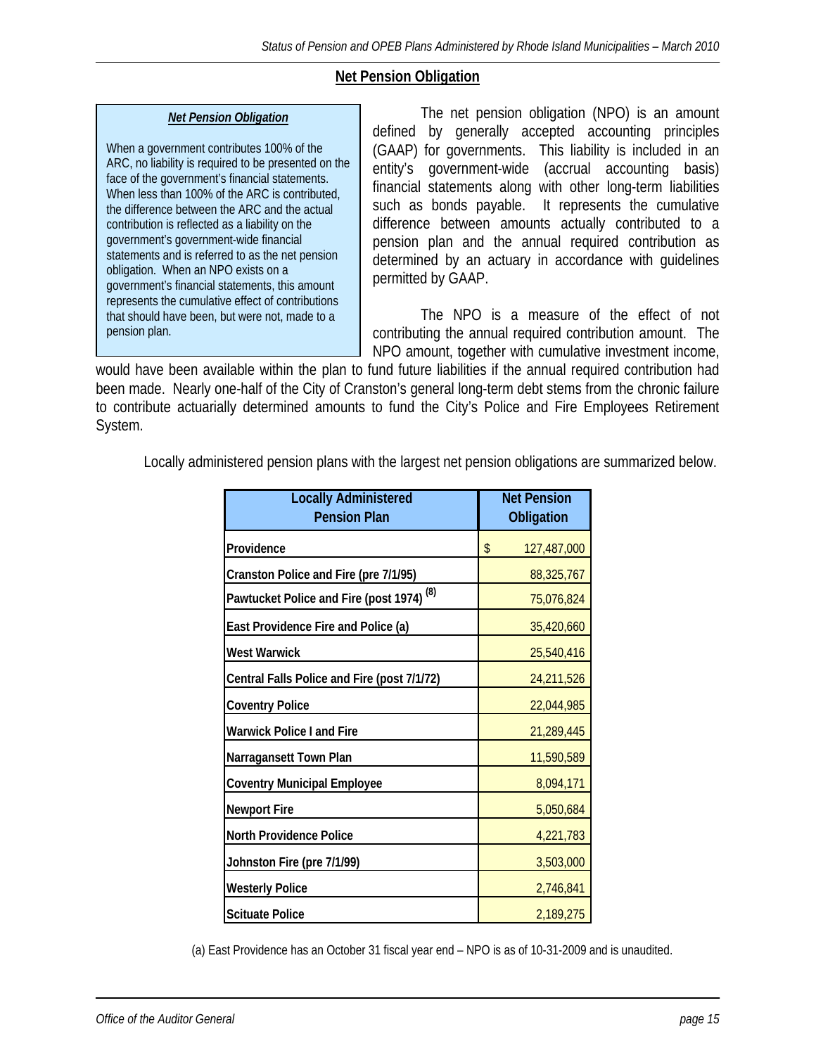# **Net Pension Obligation**

### *Net Pension Obligation*

When a government contributes 100% of the ARC, no liability is required to be presented on the face of the government's financial statements. When less than 100% of the ARC is contributed, the difference between the ARC and the actual contribution is reflected as a liability on the government's government-wide financial statements and is referred to as the net pension obligation. When an NPO exists on a government's financial statements, this amount represents the cumulative effect of contributions that should have been, but were not, made to a pension plan.

 The net pension obligation (NPO) is an amount defined by generally accepted accounting principles (GAAP) for governments. This liability is included in an entity's government-wide (accrual accounting basis) financial statements along with other long-term liabilities such as bonds payable. It represents the cumulative difference between amounts actually contributed to a pension plan and the annual required contribution as determined by an actuary in accordance with guidelines permitted by GAAP.

 The NPO is a measure of the effect of not contributing the annual required contribution amount. The NPO amount, together with cumulative investment income,

would have been available within the plan to fund future liabilities if the annual required contribution had been made. Nearly one-half of the City of Cranston's general long-term debt stems from the chronic failure to contribute actuarially determined amounts to fund the City's Police and Fire Employees Retirement System.

Locally administered pension plans with the largest net pension obligations are summarized below.

| <b>Locally Administered</b><br><b>Pension Plan</b>   | <b>Net Pension</b><br>Obligation |
|------------------------------------------------------|----------------------------------|
| Providence                                           | \$<br>127,487,000                |
| Cranston Police and Fire (pre 7/1/95)                | 88,325,767                       |
| Pawtucket Police and Fire (post 1974) <sup>(8)</sup> | 75,076,824                       |
| East Providence Fire and Police (a)                  | 35,420,660                       |
| <b>West Warwick</b>                                  | 25,540,416                       |
| Central Falls Police and Fire (post 7/1/72)          | 24,211,526                       |
| <b>Coventry Police</b>                               | 22,044,985                       |
| <b>Warwick Police I and Fire</b>                     | 21,289,445                       |
| Narragansett Town Plan                               | 11,590,589                       |
| <b>Coventry Municipal Employee</b>                   | 8,094,171                        |
| <b>Newport Fire</b>                                  | 5,050,684                        |
| <b>North Providence Police</b>                       | 4,221,783                        |
| Johnston Fire (pre 7/1/99)                           | 3,503,000                        |
| <b>Westerly Police</b>                               | 2,746,841                        |
| <b>Scituate Police</b>                               | 2,189,275                        |

(a) East Providence has an October 31 fiscal year end – NPO is as of 10-31-2009 and is unaudited.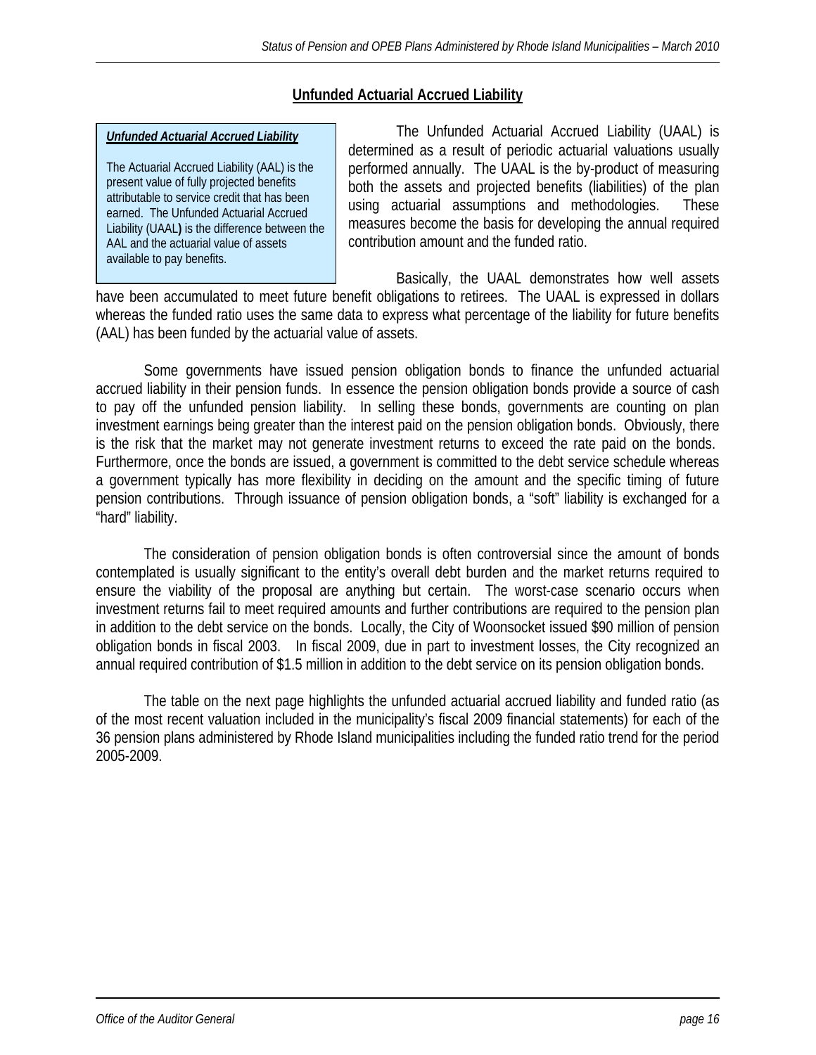# **Unfunded Actuarial Accrued Liability**

### *Unfunded Actuarial Accrued Liability*

The Actuarial Accrued Liability (AAL) is the present value of fully projected benefits attributable to service credit that has been earned. The Unfunded Actuarial Accrued Liability (UAAL**)** is the difference between the AAL and the actuarial value of assets available to pay benefits.

 The Unfunded Actuarial Accrued Liability (UAAL) is determined as a result of periodic actuarial valuations usually performed annually. The UAAL is the by-product of measuring both the assets and projected benefits (liabilities) of the plan using actuarial assumptions and methodologies. These measures become the basis for developing the annual required contribution amount and the funded ratio.

 Basically, the UAAL demonstrates how well assets have been accumulated to meet future benefit obligations to retirees. The UAAL is expressed in dollars whereas the funded ratio uses the same data to express what percentage of the liability for future benefits (AAL) has been funded by the actuarial value of assets.

Some governments have issued pension obligation bonds to finance the unfunded actuarial accrued liability in their pension funds. In essence the pension obligation bonds provide a source of cash to pay off the unfunded pension liability. In selling these bonds, governments are counting on plan investment earnings being greater than the interest paid on the pension obligation bonds. Obviously, there is the risk that the market may not generate investment returns to exceed the rate paid on the bonds. Furthermore, once the bonds are issued, a government is committed to the debt service schedule whereas a government typically has more flexibility in deciding on the amount and the specific timing of future pension contributions. Through issuance of pension obligation bonds, a "soft" liability is exchanged for a "hard" liability.

The consideration of pension obligation bonds is often controversial since the amount of bonds contemplated is usually significant to the entity's overall debt burden and the market returns required to ensure the viability of the proposal are anything but certain. The worst-case scenario occurs when investment returns fail to meet required amounts and further contributions are required to the pension plan in addition to the debt service on the bonds. Locally, the City of Woonsocket issued \$90 million of pension obligation bonds in fiscal 2003. In fiscal 2009, due in part to investment losses, the City recognized an annual required contribution of \$1.5 million in addition to the debt service on its pension obligation bonds.

 The table on the next page highlights the unfunded actuarial accrued liability and funded ratio (as of the most recent valuation included in the municipality's fiscal 2009 financial statements) for each of the 36 pension plans administered by Rhode Island municipalities including the funded ratio trend for the period 2005-2009.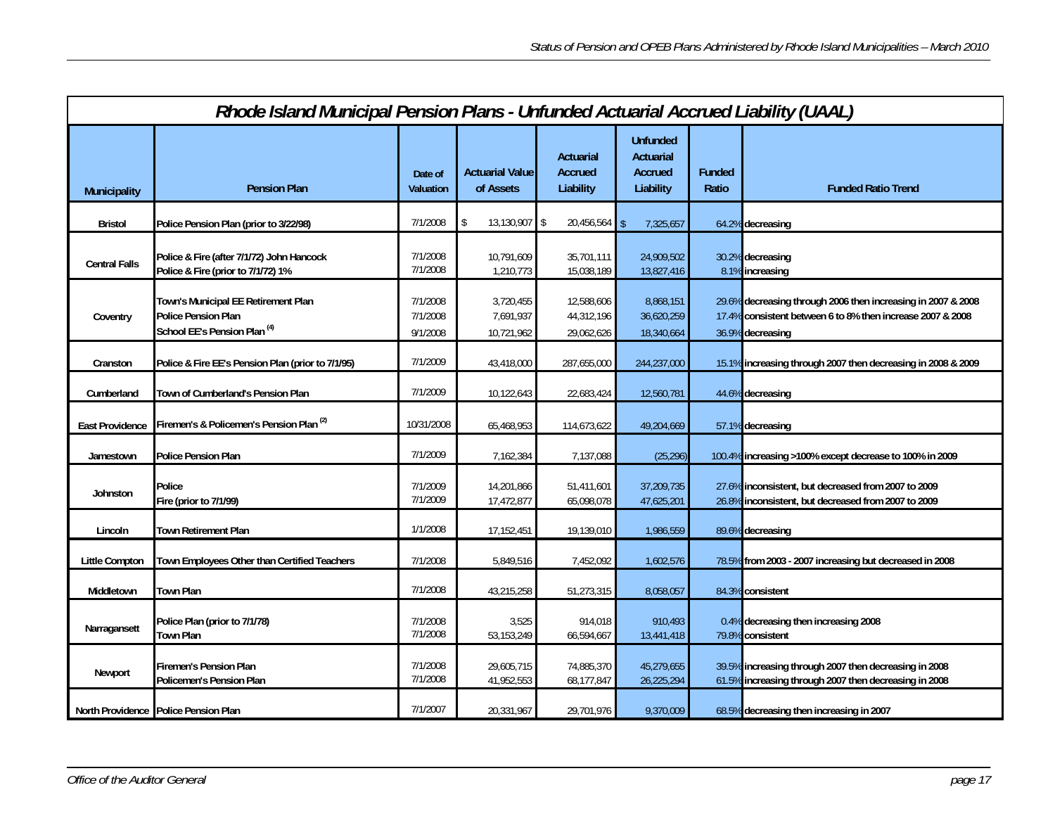| Rhode Island Municipal Pension Plans - Unfunded Actuarial Accrued Liability (UAAL) |                                                                                                              |                                  |                                      |                                                 |                                                      |                        |                                                                                                                                                |  |  |
|------------------------------------------------------------------------------------|--------------------------------------------------------------------------------------------------------------|----------------------------------|--------------------------------------|-------------------------------------------------|------------------------------------------------------|------------------------|------------------------------------------------------------------------------------------------------------------------------------------------|--|--|
| <b>Municipality</b>                                                                | <b>Pension Plan</b>                                                                                          | Date of<br>Valuation             | <b>Actuarial Value</b><br>of Assets  | <b>Actuarial</b><br><b>Accrued</b><br>Liability | <b>Unfunded</b><br>Actuarial<br>Accrued<br>Liability | <b>Funded</b><br>Ratio | <b>Funded Ratio Trend</b>                                                                                                                      |  |  |
| <b>Bristol</b>                                                                     | Police Pension Plan (prior to 3/22/98)                                                                       | 7/1/2008                         | 13,130,907 \$                        | $20,456,564$ \$                                 | 7,325,657                                            |                        | 64.2% decreasing                                                                                                                               |  |  |
| <b>Central Falls</b>                                                               | Police & Fire (after 7/1/72) John Hancock<br>Police & Fire (prior to 7/1/72) 1%                              | 7/1/2008<br>7/1/2008             | 10,791,609<br>1,210,773              | 35,701,111<br>15,038,189                        | 24,909,502<br>13,827,416                             |                        | 30.2% decreasing<br>8.1% increasing                                                                                                            |  |  |
| Coventry                                                                           | Town's Municipal EE Retirement Plan<br><b>Police Pension Plan</b><br>School EE's Pension Plan <sup>(4)</sup> | 7/1/2008<br>7/1/2008<br>9/1/2008 | 3,720,455<br>7,691,937<br>10,721,962 | 12,588,606<br>44,312,196<br>29,062,626          | 8,868,151<br>36,620,259<br>18,340,664                |                        | 29.6% decreasing through 2006 then increasing in 2007 & 2008<br>17.4% consistent between 6 to 8% then increase 2007 & 2008<br>36.9% decreasing |  |  |
| Cranston                                                                           | Police & Fire EE's Pension Plan (prior to 7/1/95)                                                            | 7/1/2009                         | 43,418,000                           | 287,655,000                                     | 244,237,000                                          |                        | 15.1% increasing through 2007 then decreasing in 2008 & 2009                                                                                   |  |  |
| Cumberland                                                                         | Town of Cumberland's Pension Plan                                                                            | 7/1/2009                         | 10,122,643                           | 22,683,424                                      | 12,560,781                                           |                        | 44.6% decreasing                                                                                                                               |  |  |
| <b>East Providence</b>                                                             | Firemen's & Policemen's Pension Plan <sup>(2)</sup>                                                          | 10/31/2008                       | 65,468,953                           | 114,673,622                                     | 49,204,669                                           |                        | 57.1% decreasing                                                                                                                               |  |  |
| Jamestown                                                                          | <b>Police Pension Plan</b>                                                                                   | 7/1/2009                         | 7,162,384                            | 7,137,088                                       | (25, 296)                                            |                        | 100.4% increasing >100% except decrease to 100% in 2009                                                                                        |  |  |
| <b>Johnston</b>                                                                    | Police<br>Fire (prior to 7/1/99)                                                                             | 7/1/2009<br>7/1/2009             | 14,201,866<br>17,472,877             | 51,411,601<br>65,098,078                        | 37,209,735<br>47,625,201                             |                        | 27.6% inconsistent, but decreased from 2007 to 2009<br>26.8% inconsistent, but decreased from 2007 to 2009                                     |  |  |
| Lincoln                                                                            | Town Retirement Plan                                                                                         | 1/1/2008                         | 17,152,451                           | 19,139,010                                      | 1,986,559                                            |                        | 89.6% decreasing                                                                                                                               |  |  |
| <b>Little Compton</b>                                                              | Town Employees Other than Certified Teachers                                                                 | 7/1/2008                         | 5,849,516                            | 7,452,092                                       | 1,602,576                                            |                        | 78.5% from 2003 - 2007 increasing but decreased in 2008                                                                                        |  |  |
| Middletown                                                                         | <b>Town Plan</b>                                                                                             | 7/1/2008                         | 43,215,258                           | 51,273,315                                      | 8,058,057                                            |                        | 84.3% consistent                                                                                                                               |  |  |
| Narragansett                                                                       | Police Plan (prior to 7/1/78)<br><b>Town Plan</b>                                                            | 7/1/2008<br>7/1/2008             | 3,525<br>53, 153, 249                | 914,018<br>66,594,667                           | 910,493<br>13,441,418                                |                        | 0.4% decreasing then increasing 2008<br>79.8% consistent                                                                                       |  |  |
| Newport                                                                            | <b>Firemen's Pension Plan</b><br>Policemen's Pension Plan                                                    | 7/1/2008<br>7/1/2008             | 29,605,715<br>41,952,553             | 74,885,370<br>68,177,847                        | 45,279,655<br>26,225,294                             |                        | 39.5% increasing through 2007 then decreasing in 2008<br>61.5% increasing through 2007 then decreasing in 2008                                 |  |  |
|                                                                                    | North Providence Police Pension Plan                                                                         | 7/1/2007                         | 20,331,967                           | 29,701,976                                      | 9,370,009                                            |                        | 68.5% decreasing then increasing in 2007                                                                                                       |  |  |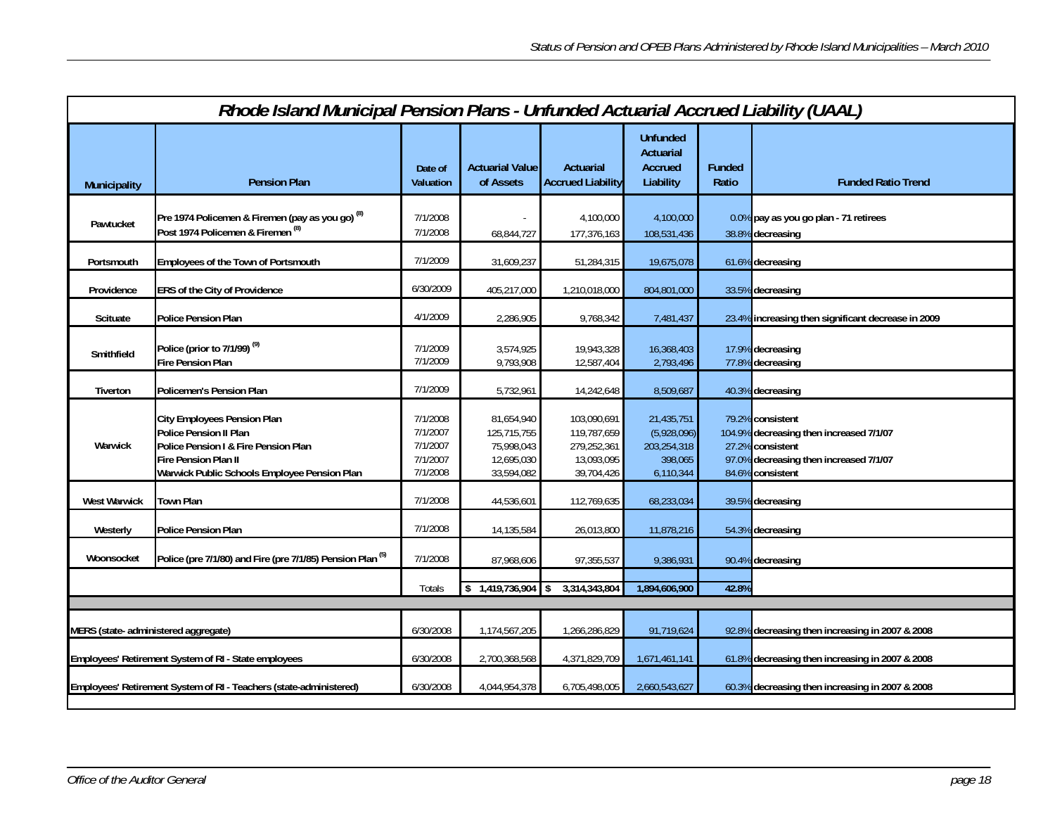|                                                             | Rhode Island Municipal Pension Plans - Unfunded Actuarial Accrued Liability (UAAL)                                                                                                  |                                                          |                                                                     |                                                                       |                                                                  |                        |                                                                                                                                               |  |  |
|-------------------------------------------------------------|-------------------------------------------------------------------------------------------------------------------------------------------------------------------------------------|----------------------------------------------------------|---------------------------------------------------------------------|-----------------------------------------------------------------------|------------------------------------------------------------------|------------------------|-----------------------------------------------------------------------------------------------------------------------------------------------|--|--|
| <b>Municipality</b>                                         | <b>Pension Plan</b>                                                                                                                                                                 | Date of<br><b>Valuation</b>                              | <b>Actuarial Value</b><br>of Assets                                 | Actuarial<br><b>Accrued Liability</b>                                 | <b>Unfunded</b><br>Actuarial<br>Accrued<br>Liability             | <b>Funded</b><br>Ratio | <b>Funded Ratio Trend</b>                                                                                                                     |  |  |
| Pawtucket                                                   | Pre 1974 Policemen & Firemen (pay as you go) (8)<br>Post 1974 Policemen & Firemen <sup>(8)</sup>                                                                                    | 7/1/2008<br>7/1/2008                                     | 68,844,727                                                          | 4,100,000<br>177,376,163                                              | 4,100,000<br>108,531,436                                         |                        | 0.0% pay as you go plan - 71 retirees<br>38.8% decreasing                                                                                     |  |  |
| Portsmouth                                                  | Employees of the Town of Portsmouth                                                                                                                                                 | 7/1/2009                                                 | 31,609,237                                                          | 51,284,315                                                            | 19,675,078                                                       |                        | 61.6% decreasing                                                                                                                              |  |  |
| Providence                                                  | ERS of the City of Providence                                                                                                                                                       | 6/30/2009                                                | 405,217,000                                                         | 1,210,018,000                                                         | 804,801,000                                                      |                        | 33.5% decreasing                                                                                                                              |  |  |
| Scituate                                                    | <b>Police Pension Plan</b>                                                                                                                                                          | 4/1/2009                                                 | 2,286,905                                                           | 9,768,342                                                             | 7,481,437                                                        |                        | 23.4% increasing then significant decrease in 2009                                                                                            |  |  |
| Smithfield                                                  | Police (prior to 7/1/99) <sup>(9)</sup><br>Fire Pension Plan                                                                                                                        | 7/1/2009<br>7/1/2009                                     | 3,574,925<br>9,793,908                                              | 19,943,328<br>12,587,404                                              | 16,368,403<br>2,793,496                                          |                        | 17.9% decreasing<br>77.8% decreasing                                                                                                          |  |  |
| Tiverton                                                    | Policemen's Pension Plan                                                                                                                                                            | 7/1/2009                                                 | 5,732,961                                                           | 14,242,648                                                            | 8,509,687                                                        |                        | 40.3% decreasing                                                                                                                              |  |  |
| Warwick                                                     | <b>City Employees Pension Plan</b><br><b>Police Pension II Plan</b><br>Police Pension I & Fire Pension Plan<br>Fire Pension Plan II<br>Warwick Public Schools Employee Pension Plan | 7/1/2008<br>7/1/2007<br>7/1/2007<br>7/1/2007<br>7/1/2008 | 81,654,940<br>125,715,755<br>75,998,043<br>12,695,030<br>33,594,082 | 103,090,691<br>119.787.659<br>279,252,361<br>13,093,095<br>39,704,426 | 21,435,751<br>(5,928,096)<br>203,254,318<br>398,065<br>6,110,344 |                        | 79.2% consistent<br>104.9% decreasing then increased 7/1/07<br>27.2% consistent<br>97.0% decreasing then increased 7/1/07<br>84.6% consistent |  |  |
| West Warwick                                                | <b>Town Plan</b>                                                                                                                                                                    | 7/1/2008                                                 | 44,536,601                                                          | 112,769,635                                                           | 68,233,034                                                       |                        | 39.5% decreasing                                                                                                                              |  |  |
| Westerly                                                    | <b>Police Pension Plan</b>                                                                                                                                                          | 7/1/2008                                                 | 14,135,584                                                          | 26,013,800                                                            | 11,878,216                                                       |                        | 54.3% decreasing                                                                                                                              |  |  |
| Woonsocket                                                  | Police (pre 7/1/80) and Fire (pre 7/1/85) Pension Plan (5)                                                                                                                          | 7/1/2008                                                 | 87,968,606                                                          | 97,355,537                                                            | 9,386,931                                                        |                        | 90.4% decreasing                                                                                                                              |  |  |
|                                                             |                                                                                                                                                                                     | <b>Totals</b>                                            | 1,419,736,904<br>\$                                                 | 3,314,343,804                                                         | 1,894,606,900                                                    | 42.8%                  |                                                                                                                                               |  |  |
|                                                             |                                                                                                                                                                                     |                                                          |                                                                     |                                                                       |                                                                  |                        |                                                                                                                                               |  |  |
| MERS (state- administered aggregate)                        |                                                                                                                                                                                     | 6/30/2008                                                | 1,174,567,205                                                       | 1,266,286,829                                                         | 91,719,624                                                       |                        | 92.8% decreasing then increasing in 2007 & 2008                                                                                               |  |  |
| <b>Employees' Retirement System of RI - State employees</b> |                                                                                                                                                                                     | 6/30/2008                                                | 2,700,368,568                                                       | 4,371,829,709                                                         | 1,671,461,141                                                    |                        | 61.8% decreasing then increasing in 2007 & 2008                                                                                               |  |  |
|                                                             | Employees' Retirement System of RI - Teachers (state-administered)                                                                                                                  | 6/30/2008                                                | 4,044,954,378                                                       | 6,705,498,005                                                         | 2,660,543,627                                                    |                        | 60.3% decreasing then increasing in 2007 & 2008                                                                                               |  |  |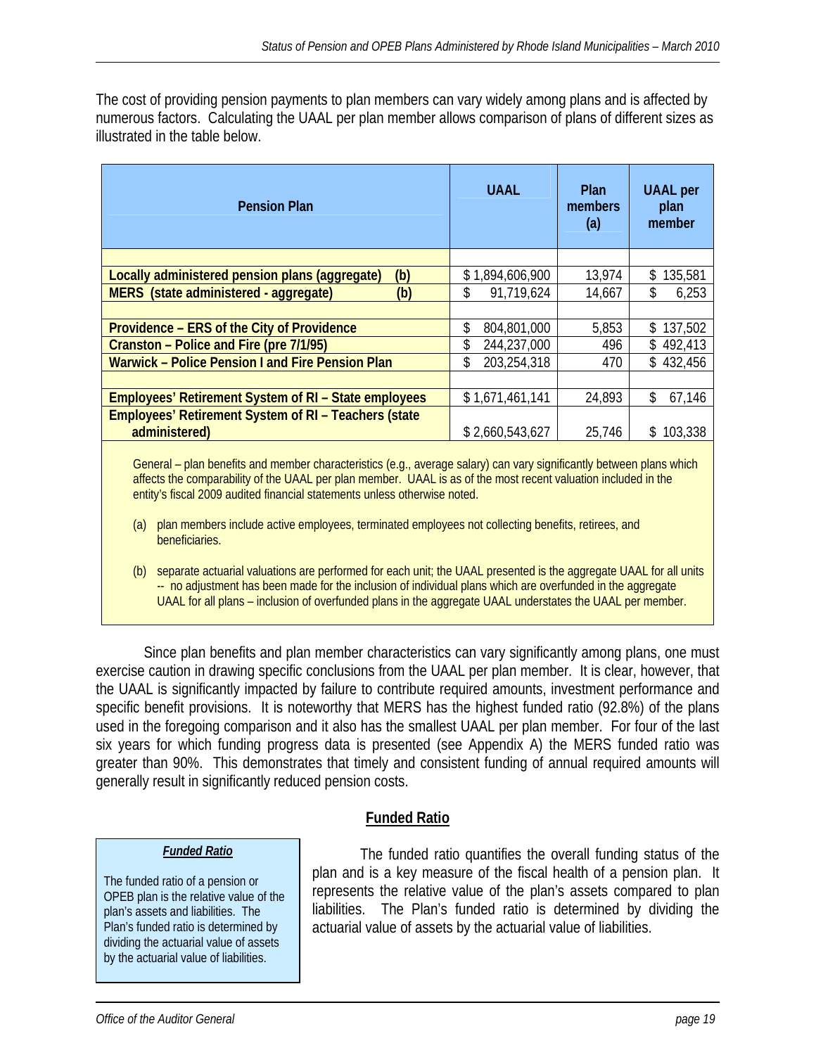The cost of providing pension payments to plan members can vary widely among plans and is affected by numerous factors. Calculating the UAAL per plan member allows comparison of plans of different sizes as illustrated in the table below.

| <b>Pension Plan</b>                                         | <b>UAAL</b>        | <b>Plan</b><br>members<br>(a) | <b>UAAL</b> per<br>plan<br>member |
|-------------------------------------------------------------|--------------------|-------------------------------|-----------------------------------|
|                                                             |                    |                               |                                   |
| Locally administered pension plans (aggregate)<br>(b)       | \$1,894,606,900    | 13,974                        | 135,581<br>\$                     |
| MERS (state administered - aggregate)<br>(b)                | 91,719,624<br>\$   | 14,667                        | \$<br>6,253                       |
|                                                             |                    |                               |                                   |
| Providence – ERS of the City of Providence                  | \$<br>804,801,000  | 5,853                         | \$137,502                         |
| Cranston – Police and Fire (pre 7/1/95)                     | 244,237,000<br>\$  | 496                           | \$492,413                         |
| <b>Warwick - Police Pension I and Fire Pension Plan</b>     | 203,254,318<br>\$. | 470                           | \$432,456                         |
|                                                             |                    |                               |                                   |
| <b>Employees' Retirement System of RI - State employees</b> | \$1,671,461,141    | 24,893                        | \$<br>67,146                      |
| <b>Employees' Retirement System of RI - Teachers (state</b> |                    |                               |                                   |
| administered)                                               | \$2,660,543,627    | 25.746                        | \$103,338                         |

General – plan benefits and member characteristics (e.g., average salary) can vary significantly between plans which affects the comparability of the UAAL per plan member. UAAL is as of the most recent valuation included in the entity's fiscal 2009 audited financial statements unless otherwise noted.

- (a) plan members include active employees, terminated employees not collecting benefits, retirees, and beneficiaries.
- (b) separate actuarial valuations are performed for each unit; the UAAL presented is the aggregate UAAL for all units -- no adjustment has been made for the inclusion of individual plans which are overfunded in the aggregate UAAL for all plans – inclusion of overfunded plans in the aggregate UAAL understates the UAAL per member.

 Since plan benefits and plan member characteristics can vary significantly among plans, one must exercise caution in drawing specific conclusions from the UAAL per plan member. It is clear, however, that the UAAL is significantly impacted by failure to contribute required amounts, investment performance and specific benefit provisions. It is noteworthy that MERS has the highest funded ratio (92.8%) of the plans used in the foregoing comparison and it also has the smallest UAAL per plan member. For four of the last six years for which funding progress data is presented (see Appendix A) the MERS funded ratio was greater than 90%. This demonstrates that timely and consistent funding of annual required amounts will generally result in significantly reduced pension costs.

**Funded Ratio**

# *Funded Ratio*

The funded ratio of a pension or OPEB plan is the relative value of the plan's assets and liabilities. The Plan's funded ratio is determined by dividing the actuarial value of assets by the actuarial value of liabilities.

 The funded ratio quantifies the overall funding status of the plan and is a key measure of the fiscal health of a pension plan. It represents the relative value of the plan's assets compared to plan liabilities. The Plan's funded ratio is determined by dividing the actuarial value of assets by the actuarial value of liabilities.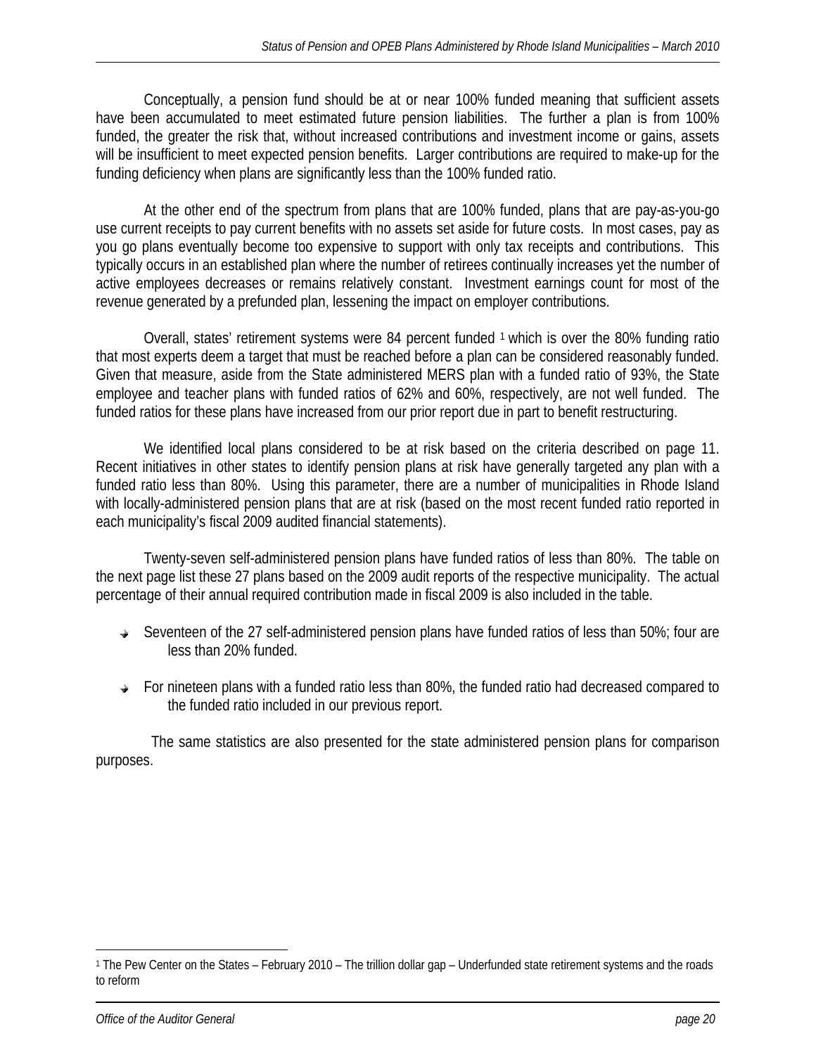Conceptually, a pension fund should be at or near 100% funded meaning that sufficient assets have been accumulated to meet estimated future pension liabilities. The further a plan is from 100% funded, the greater the risk that, without increased contributions and investment income or gains, assets will be insufficient to meet expected pension benefits. Larger contributions are required to make-up for the funding deficiency when plans are significantly less than the 100% funded ratio.

 At the other end of the spectrum from plans that are 100% funded, plans that are pay-as-you-go use current receipts to pay current benefits with no assets set aside for future costs. In most cases, pay as you go plans eventually become too expensive to support with only tax receipts and contributions. This typically occurs in an established plan where the number of retirees continually increases yet the number of active employees decreases or remains relatively constant. Investment earnings count for most of the revenue generated by a prefunded plan, lessening the impact on employer contributions.

 Overall, states' retirement systems were 84 percent funded 1 which is over the 80% funding ratio that most experts deem a target that must be reached before a plan can be considered reasonably funded. Given that measure, aside from the State administered MERS plan with a funded ratio of 93%, the State employee and teacher plans with funded ratios of 62% and 60%, respectively, are not well funded. The funded ratios for these plans have increased from our prior report due in part to benefit restructuring.

 We identified local plans considered to be at risk based on the criteria described on page 11. Recent initiatives in other states to identify pension plans at risk have generally targeted any plan with a funded ratio less than 80%. Using this parameter, there are a number of municipalities in Rhode Island with locally-administered pension plans that are at risk (based on the most recent funded ratio reported in each municipality's fiscal 2009 audited financial statements).

Twenty-seven self-administered pension plans have funded ratios of less than 80%. The table on the next page list these 27 plans based on the 2009 audit reports of the respective municipality. The actual percentage of their annual required contribution made in fiscal 2009 is also included in the table.

- $\rightarrow$  Seventeen of the 27 self-administered pension plans have funded ratios of less than 50%; four are less than 20% funded.
- $\rightarrow$  For nineteen plans with a funded ratio less than 80%, the funded ratio had decreased compared to the funded ratio included in our previous report.

 The same statistics are also presented for the state administered pension plans for comparison purposes.

 $\overline{a}$ 

<sup>1</sup> The Pew Center on the States – February 2010 – The trillion dollar gap – Underfunded state retirement systems and the roads to reform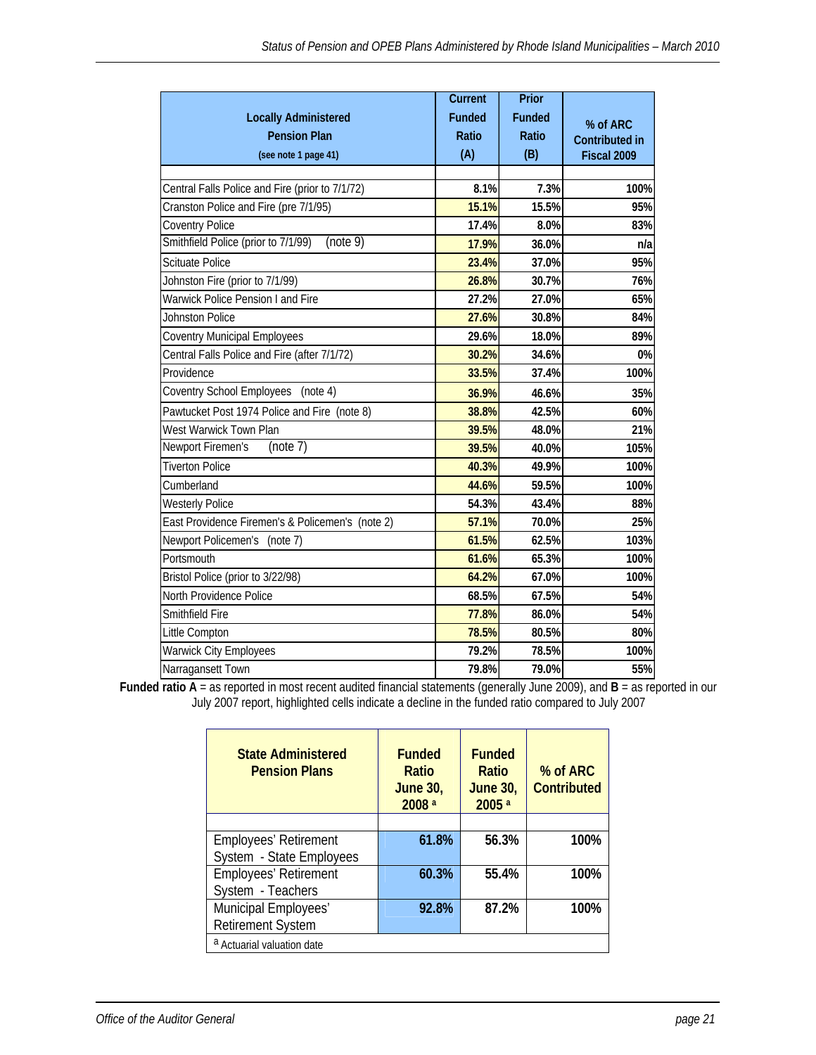|                                                  | <b>Current</b> | Prior  |                       |
|--------------------------------------------------|----------------|--------|-----------------------|
| <b>Locally Administered</b>                      | <b>Funded</b>  | Funded | % of ARC              |
| <b>Pension Plan</b>                              | Ratio          | Ratio  | <b>Contributed in</b> |
| (see note 1 page 41)                             | (A)            | (B)    | Fiscal 2009           |
|                                                  |                |        |                       |
| Central Falls Police and Fire (prior to 7/1/72)  | 8.1%           | 7.3%   | 100%                  |
| Cranston Police and Fire (pre 7/1/95)            | 15.1%          | 15.5%  | 95%                   |
| Coventry Police                                  | 17.4%          | 8.0%   | 83%                   |
| Smithfield Police (prior to 7/1/99)<br>(note 9)  | 17.9%          | 36.0%  | n/a                   |
| <b>Scituate Police</b>                           | 23.4%          | 37.0%  | 95%                   |
| Johnston Fire (prior to 7/1/99)                  | 26.8%          | 30.7%  | 76%                   |
| Warwick Police Pension I and Fire                | 27.2%          | 27.0%  | 65%                   |
| Johnston Police                                  | 27.6%          | 30.8%  | 84%                   |
| <b>Coventry Municipal Employees</b>              | 29.6%          | 18.0%  | 89%                   |
| Central Falls Police and Fire (after 7/1/72)     | 30.2%          | 34.6%  | 0%                    |
| Providence                                       | 33.5%          | 37.4%  | 100%                  |
| <b>Coventry School Employees</b><br>(note 4)     | 36.9%          | 46.6%  | 35%                   |
| Pawtucket Post 1974 Police and Fire (note 8)     | 38.8%          | 42.5%  | 60%                   |
| West Warwick Town Plan                           | 39.5%          | 48.0%  | 21%                   |
| <b>Newport Firemen's</b><br>(note 7)             | 39.5%          | 40.0%  | 105%                  |
| <b>Tiverton Police</b>                           | 40.3%          | 49.9%  | 100%                  |
| Cumberland                                       | 44.6%          | 59.5%  | 100%                  |
| <b>Westerly Police</b>                           | 54.3%          | 43.4%  | 88%                   |
| East Providence Firemen's & Policemen's (note 2) | 57.1%          | 70.0%  | 25%                   |
| Newport Policemen's<br>(note 7)                  | 61.5%          | 62.5%  | 103%                  |
| Portsmouth                                       | 61.6%          | 65.3%  | 100%                  |
| Bristol Police (prior to 3/22/98)                | 64.2%          | 67.0%  | 100%                  |
| North Providence Police                          | 68.5%          | 67.5%  | 54%                   |
| Smithfield Fire                                  | 77.8%          | 86.0%  | 54%                   |
| Little Compton                                   | 78.5%          | 80.5%  | 80%                   |
| <b>Warwick City Employees</b>                    | 79.2%          | 78.5%  | 100%                  |
| Narragansett Town                                | 79.8%          | 79.0%  | 55%                   |

**Funded ratio A** = as reported in most recent audited financial statements (generally June 2009), and **B** = as reported in our July 2007 report, highlighted cells indicate a decline in the funded ratio compared to July 2007

| <b>State Administered</b><br><b>Pension Plans</b> | <b>Funded</b><br>Ratio<br><b>June 30,</b><br>2008 <sup>a</sup> | <b>Funded</b><br>Ratio<br><b>June 30,</b><br>2005 <sup>a</sup> | % of ARC<br><b>Contributed</b> |  |  |  |  |  |  |  |
|---------------------------------------------------|----------------------------------------------------------------|----------------------------------------------------------------|--------------------------------|--|--|--|--|--|--|--|
|                                                   |                                                                |                                                                |                                |  |  |  |  |  |  |  |
| Employees' Retirement                             | 61.8%                                                          | 56.3%                                                          | 100%                           |  |  |  |  |  |  |  |
| System - State Employees                          |                                                                |                                                                |                                |  |  |  |  |  |  |  |
| <b>Employees' Retirement</b>                      | 60.3%                                                          | 55.4%                                                          | 100%                           |  |  |  |  |  |  |  |
| System - Teachers                                 |                                                                |                                                                |                                |  |  |  |  |  |  |  |
| Municipal Employees'                              | 92.8%                                                          | 87.2%                                                          | 100%                           |  |  |  |  |  |  |  |
| <b>Retirement System</b>                          |                                                                |                                                                |                                |  |  |  |  |  |  |  |
| <sup>a</sup> Actuarial valuation date             |                                                                |                                                                |                                |  |  |  |  |  |  |  |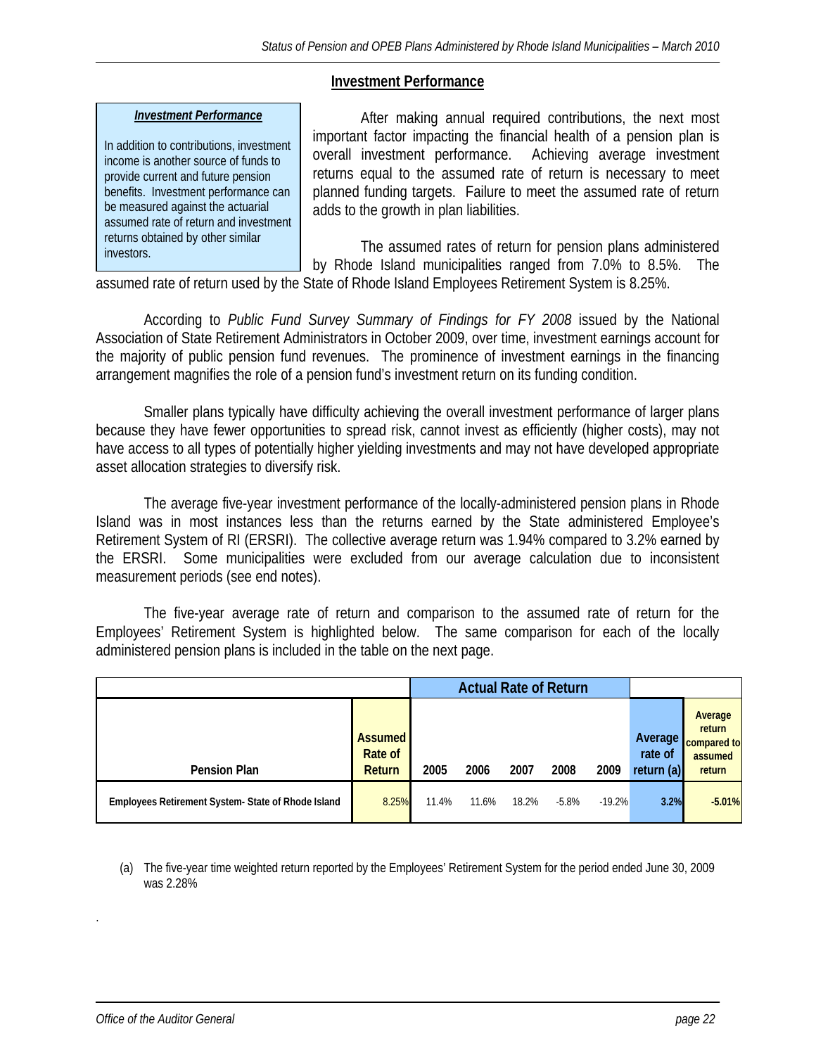### **Investment Performance**

### *Investment Performance*

In addition to contributions, investment income is another source of funds to provide current and future pension benefits. Investment performance can be measured against the actuarial assumed rate of return and investment returns obtained by other similar investors.

 After making annual required contributions, the next most important factor impacting the financial health of a pension plan is overall investment performance. Achieving average investment returns equal to the assumed rate of return is necessary to meet planned funding targets. Failure to meet the assumed rate of return adds to the growth in plan liabilities.

 The assumed rates of return for pension plans administered by Rhode Island municipalities ranged from 7.0% to 8.5%. The

assumed rate of return used by the State of Rhode Island Employees Retirement System is 8.25%.

According to *Public Fund Survey Summary of Findings for FY 2008* issued by the National Association of State Retirement Administrators in October 2009, over time, investment earnings account for the majority of public pension fund revenues. The prominence of investment earnings in the financing arrangement magnifies the role of a pension fund's investment return on its funding condition.

Smaller plans typically have difficulty achieving the overall investment performance of larger plans because they have fewer opportunities to spread risk, cannot invest as efficiently (higher costs), may not have access to all types of potentially higher yielding investments and may not have developed appropriate asset allocation strategies to diversify risk.

The average five-year investment performance of the locally-administered pension plans in Rhode Island was in most instances less than the returns earned by the State administered Employee's Retirement System of RI (ERSRI). The collective average return was 1.94% compared to 3.2% earned by the ERSRI. Some municipalities were excluded from our average calculation due to inconsistent measurement periods (see end notes).

The five-year average rate of return and comparison to the assumed rate of return for the Employees' Retirement System is highlighted below. The same comparison for each of the locally administered pension plans is included in the table on the next page.

|                                                   | <b>Actual Rate of Return</b>        |       |       |       |         |          |                                    |                                                       |
|---------------------------------------------------|-------------------------------------|-------|-------|-------|---------|----------|------------------------------------|-------------------------------------------------------|
| <b>Pension Plan</b>                               | <b>Assumed</b><br>Rate of<br>Return | 2005  | 2006  | 2007  | 2008    | 2009     | Average '<br>rate of<br>return (a) | Average<br>return<br>compared to<br>assumed<br>return |
| Employees Retirement System-State of Rhode Island | 8.25%                               | 11.4% | 11.6% | 18.2% | $-5.8%$ | $-19.2%$ | 3.2%                               | $-5.01%$                                              |

(a) The five-year time weighted return reported by the Employees' Retirement System for the period ended June 30, 2009 was 2.28%

.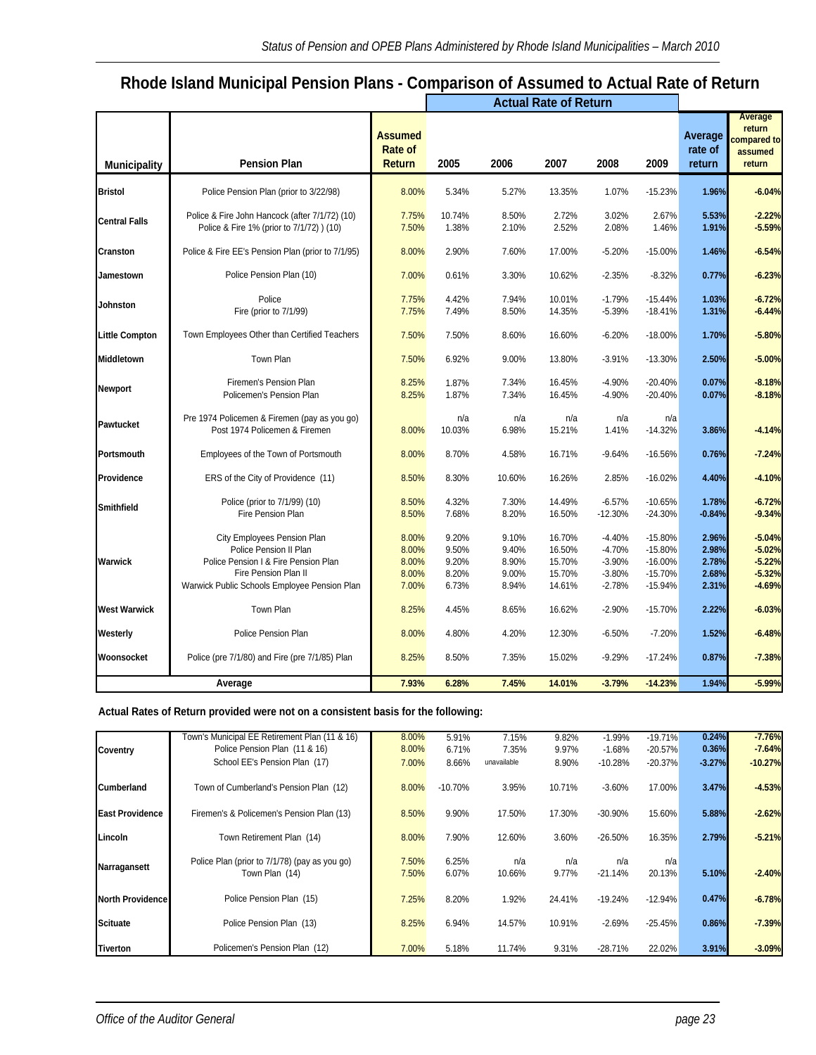# **Rhode Island Municipal Pension Plans - Comparison of Assumed to Actual Rate of Return**

|                       |                                                                                                                                                                       |                                                   |                                           | <b>Actual Rate of Return</b>              |                                                |                                                          |                                                               |                                           |                                                          |
|-----------------------|-----------------------------------------------------------------------------------------------------------------------------------------------------------------------|---------------------------------------------------|-------------------------------------------|-------------------------------------------|------------------------------------------------|----------------------------------------------------------|---------------------------------------------------------------|-------------------------------------------|----------------------------------------------------------|
| <b>Municipality</b>   | <b>Pension Plan</b>                                                                                                                                                   | <b>Assumed</b><br><b>Rate of</b><br><b>Return</b> | 2005                                      | 2006                                      | 2007                                           | 2008                                                     | 2009                                                          | Average<br>rate of<br>return              | Average<br>return<br>:ompared to<br>assumed<br>return    |
| <b>Bristol</b>        | Police Pension Plan (prior to 3/22/98)                                                                                                                                | 8.00%                                             | 5.34%                                     | 5.27%                                     | 13.35%                                         | 1.07%                                                    | $-15.23%$                                                     | 1.96%                                     | $-6.04%$                                                 |
| <b>Central Falls</b>  | Police & Fire John Hancock (after 7/1/72) (10)<br>Police & Fire 1% (prior to 7/1/72) ) (10)                                                                           | 7.75%<br>7.50%                                    | 10.74%<br>1.38%                           | 8.50%<br>2.10%                            | 2.72%<br>2.52%                                 | 3.02%<br>2.08%                                           | 2.67%<br>1.46%                                                | 5.53%<br>1.91%                            | $-2.22%$<br>$-5.59%$                                     |
| Cranston              | Police & Fire EE's Pension Plan (prior to 7/1/95)                                                                                                                     | 8.00%                                             | 2.90%                                     | 7.60%                                     | 17.00%                                         | $-5.20%$                                                 | $-15.00%$                                                     | 1.46%                                     | $-6.54%$                                                 |
| Jamestown             | Police Pension Plan (10)                                                                                                                                              | 7.00%                                             | 0.61%                                     | 3.30%                                     | 10.62%                                         | $-2.35%$                                                 | $-8.32%$                                                      | 0.77%                                     | $-6.23%$                                                 |
| Johnston              | Police<br>Fire (prior to 7/1/99)                                                                                                                                      | 7.75%<br>7.75%                                    | 4.42%<br>7.49%                            | 7.94%<br>8.50%                            | 10.01%<br>14.35%                               | $-1.79%$<br>$-5.39%$                                     | $-15.44%$<br>$-18.41%$                                        | 1.03%<br>1.31%                            | $-6.72%$<br>$-6.44%$                                     |
| <b>Little Compton</b> | Town Employees Other than Certified Teachers                                                                                                                          | 7.50%                                             | 7.50%                                     | 8.60%                                     | 16.60%                                         | $-6.20%$                                                 | $-18.00%$                                                     | 1.70%                                     | $-5.80%$                                                 |
| Middletown            | Town Plan                                                                                                                                                             | 7.50%                                             | 6.92%                                     | 9.00%                                     | 13.80%                                         | $-3.91%$                                                 | $-13.30%$                                                     | 2.50%                                     | $-5.00%$                                                 |
| Newport               | Firemen's Pension Plan<br>Policemen's Pension Plan                                                                                                                    | 8.25%<br>8.25%                                    | 1.87%<br>1.87%                            | 7.34%<br>7.34%                            | 16.45%<br>16.45%                               | $-4.90%$<br>$-4.90%$                                     | $-20.40%$<br>$-20.40%$                                        | 0.07%<br>0.07%                            | $-8.18%$<br>$-8.18%$                                     |
| Pawtucket             | Pre 1974 Policemen & Firemen (pay as you go)<br>Post 1974 Policemen & Firemen                                                                                         | 8.00%                                             | n/a<br>10.03%                             | n/a<br>6.98%                              | n/a<br>15.21%                                  | n/a<br>1.41%                                             | n/a<br>$-14.32%$                                              | 3.86%                                     | $-4.14%$                                                 |
| Portsmouth            | Employees of the Town of Portsmouth                                                                                                                                   | 8.00%                                             | 8.70%                                     | 4.58%                                     | 16.71%                                         | $-9.64%$                                                 | $-16.56%$                                                     | 0.76%                                     | $-7.24%$                                                 |
| Providence            | ERS of the City of Providence (11)                                                                                                                                    | 8.50%                                             | 8.30%                                     | 10.60%                                    | 16.26%                                         | 2.85%                                                    | $-16.02%$                                                     | 4.40%                                     | $-4.10%$                                                 |
| Smithfield            | Police (prior to 7/1/99) (10)<br>Fire Pension Plan                                                                                                                    | 8.50%<br>8.50%                                    | 4.32%<br>7.68%                            | 7.30%<br>8.20%                            | 14.49%<br>16.50%                               | $-6.57%$<br>$-12.30%$                                    | $-10.65%$<br>$-24.30%$                                        | 1.78%<br>$-0.84%$                         | $-6.72%$<br>$-9.34%$                                     |
| Warwick               | City Employees Pension Plan<br>Police Pension II Plan<br>Police Pension I & Fire Pension Plan<br>Fire Pension Plan II<br>Warwick Public Schools Employee Pension Plan | 8.00%<br>8.00%<br>8.00%<br>8.00%<br>7.00%         | 9.20%<br>9.50%<br>9.20%<br>8.20%<br>6.73% | 9.10%<br>9.40%<br>8.90%<br>9.00%<br>8.94% | 16.70%<br>16.50%<br>15.70%<br>15.70%<br>14.61% | $-4.40%$<br>$-4.70%$<br>$-3.90%$<br>$-3.80%$<br>$-2.78%$ | $-15.80%$<br>$-15.80%$<br>$-16.00%$<br>$-15.70%$<br>$-15.94%$ | 2.96%<br>2.98%<br>2.78%<br>2.68%<br>2.31% | $-5.04%$<br>$-5.02%$<br>$-5.22%$<br>$-5.32%$<br>$-4.69%$ |
| <b>West Warwick</b>   | Town Plan                                                                                                                                                             | 8.25%                                             | 4.45%                                     | 8.65%                                     | 16.62%                                         | $-2.90%$                                                 | $-15.70%$                                                     | 2.22%                                     | $-6.03%$                                                 |
| Westerly              | Police Pension Plan                                                                                                                                                   | 8.00%                                             | 4.80%                                     | 4.20%                                     | 12.30%                                         | $-6.50%$                                                 | $-7.20%$                                                      | 1.52%                                     | $-6.48%$                                                 |
| Woonsocket            | Police (pre 7/1/80) and Fire (pre 7/1/85) Plan                                                                                                                        | 8.25%                                             | 8.50%                                     | 7.35%                                     | 15.02%                                         | $-9.29%$                                                 | $-17.24%$                                                     | 0.87%                                     | $-7.38%$                                                 |
|                       | Average                                                                                                                                                               | 7.93%                                             | 6.28%                                     | 7.45%                                     | 14.01%                                         | $-3.79%$                                                 | $-14.23%$                                                     | 1.94%                                     | $-5.99%$                                                 |

#### **Actual Rates of Return provided were not on a consistent basis for the following:**

|                        | Town's Municipal EE Retirement Plan (11 & 16)                   | 8.00%          | 5.91%          | 7.15%         | 9.82%        | $-1.99\%$        | $-19.71%$     | 0.24%    | $-7.76%$  |
|------------------------|-----------------------------------------------------------------|----------------|----------------|---------------|--------------|------------------|---------------|----------|-----------|
| Coventry               | Police Pension Plan (11 & 16)                                   | 8.00%          | 6.71%          | 7.35%         | 9.97%        | $-1.68%$         | $-20.57%$     | 0.36%    | $-7.64%$  |
|                        | School EE's Pension Plan (17)                                   | 7.00%          | 8.66%          | unavailable   | 8.90%        | $-10.28%$        | $-20.37%$     | $-3.27%$ | $-10.27%$ |
| Cumberland             | Town of Cumberland's Pension Plan (12)                          | 8.00%          | $-10.70%$      | 3.95%         | 10.71%       | $-3.60%$         | 17.00%        | 3.47%    | $-4.53%$  |
| <b>East Providence</b> | Firemen's & Policemen's Pension Plan (13)                       | 8.50%          | 9.90%          | 17.50%        | 17.30%       | $-30.90%$        | 15.60%        | 5.88%    | $-2.62%$  |
| Lincoln                | Town Retirement Plan (14)                                       | 8.00%          | 7.90%          | 12.60%        | 3.60%        | $-26.50%$        | 16.35%        | 2.79%    | $-5.21%$  |
| Narragansett           | Police Plan (prior to 7/1/78) (pay as you go)<br>Town Plan (14) | 7.50%<br>7.50% | 6.25%<br>6.07% | n/a<br>10.66% | n/a<br>9.77% | n/a<br>$-21.14%$ | n/a<br>20.13% | 5.10%    | $-2.40%$  |
| North Providence       | Police Pension Plan (15)                                        | 7.25%          | 8.20%          | 1.92%         | 24.41%       | $-19.24%$        | $-12.94%$     | 0.47%    | $-6.78%$  |
| <b>Scituate</b>        | Police Pension Plan (13)                                        | 8.25%          | 6.94%          | 14.57%        | 10.91%       | $-2.69%$         | $-25.45%$     | 0.86%    | $-7.39%$  |
| Tiverton               | Policemen's Pension Plan (12)                                   | 7.00%          | 5.18%          | 11.74%        | 9.31%        | $-28.71%$        | 22.02%        | 3.91%    | $-3.09%$  |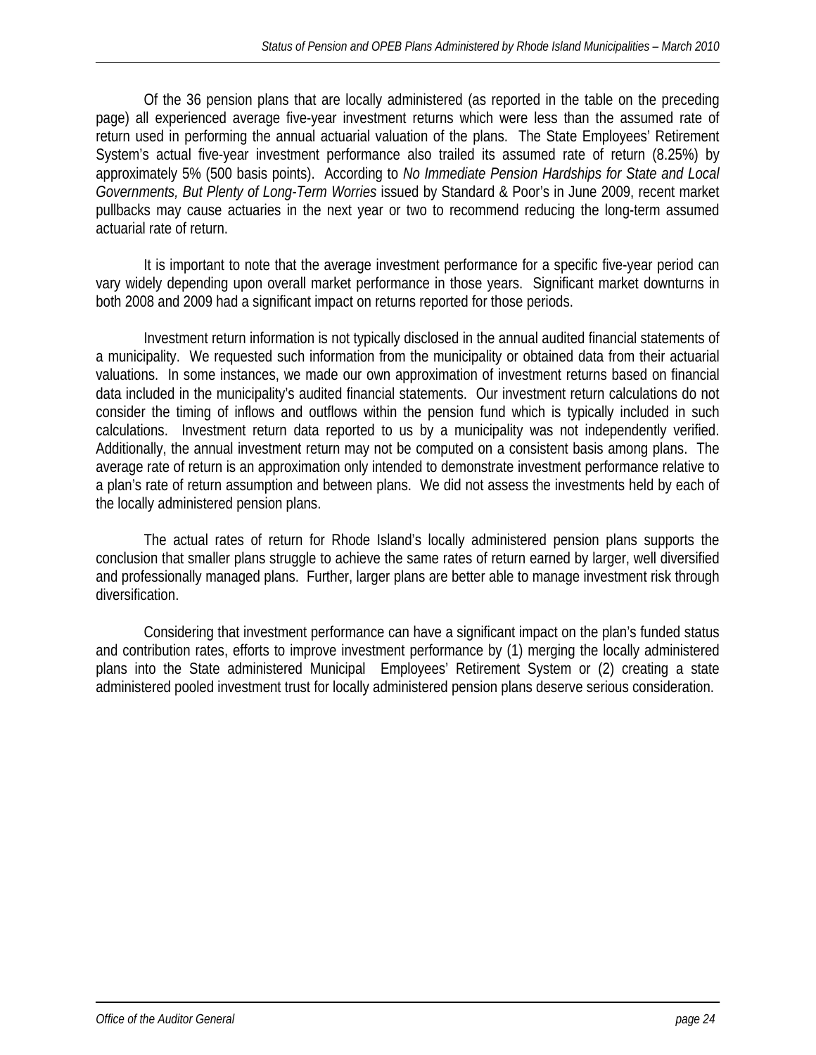Of the 36 pension plans that are locally administered (as reported in the table on the preceding page) all experienced average five-year investment returns which were less than the assumed rate of return used in performing the annual actuarial valuation of the plans. The State Employees' Retirement System's actual five-year investment performance also trailed its assumed rate of return (8.25%) by approximately 5% (500 basis points). According to *No Immediate Pension Hardships for State and Local Governments, But Plenty of Long-Term Worries* issued by Standard & Poor's in June 2009, recent market pullbacks may cause actuaries in the next year or two to recommend reducing the long-term assumed actuarial rate of return.

 It is important to note that the average investment performance for a specific five-year period can vary widely depending upon overall market performance in those years. Significant market downturns in both 2008 and 2009 had a significant impact on returns reported for those periods.

 Investment return information is not typically disclosed in the annual audited financial statements of a municipality. We requested such information from the municipality or obtained data from their actuarial valuations. In some instances, we made our own approximation of investment returns based on financial data included in the municipality's audited financial statements. Our investment return calculations do not consider the timing of inflows and outflows within the pension fund which is typically included in such calculations. Investment return data reported to us by a municipality was not independently verified. Additionally, the annual investment return may not be computed on a consistent basis among plans. The average rate of return is an approximation only intended to demonstrate investment performance relative to a plan's rate of return assumption and between plans. We did not assess the investments held by each of the locally administered pension plans.

 The actual rates of return for Rhode Island's locally administered pension plans supports the conclusion that smaller plans struggle to achieve the same rates of return earned by larger, well diversified and professionally managed plans. Further, larger plans are better able to manage investment risk through diversification.

Considering that investment performance can have a significant impact on the plan's funded status and contribution rates, efforts to improve investment performance by (1) merging the locally administered plans into the State administered Municipal Employees' Retirement System or (2) creating a state administered pooled investment trust for locally administered pension plans deserve serious consideration.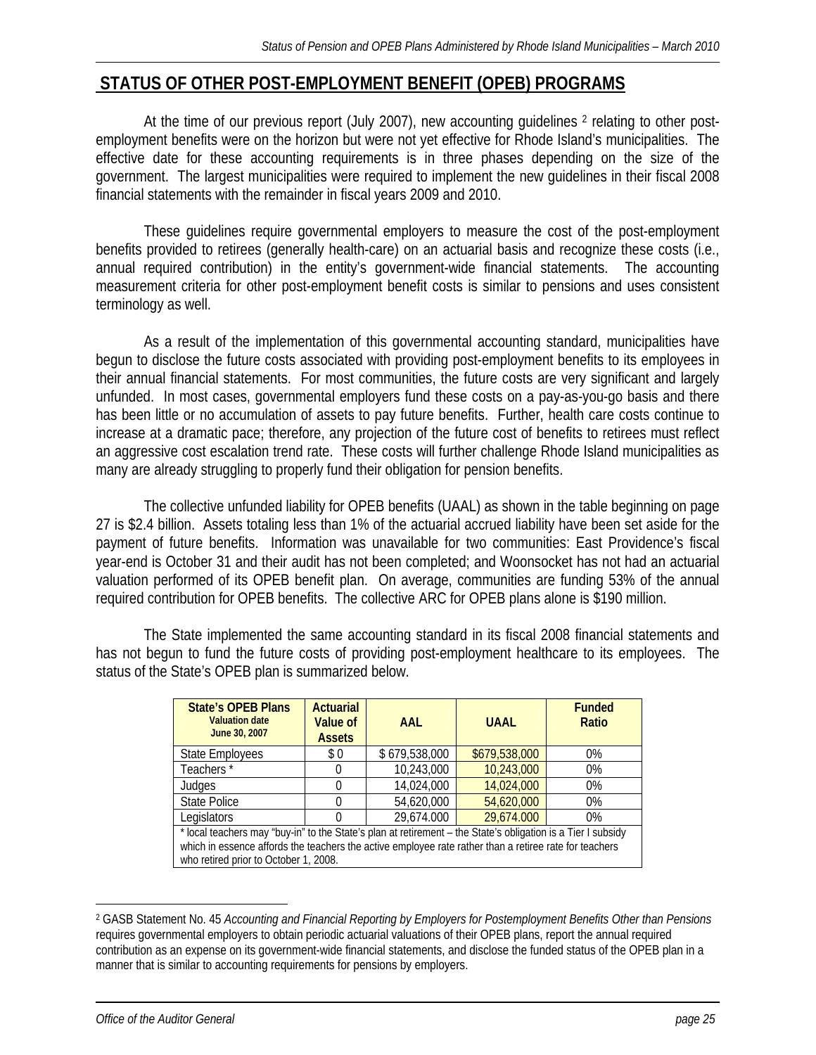# **STATUS OF OTHER POST-EMPLOYMENT BENEFIT (OPEB) PROGRAMS**

At the time of our previous report (July 2007), new accounting guidelines <sup>2</sup> relating to other postemployment benefits were on the horizon but were not yet effective for Rhode Island's municipalities. The effective date for these accounting requirements is in three phases depending on the size of the government. The largest municipalities were required to implement the new guidelines in their fiscal 2008 financial statements with the remainder in fiscal years 2009 and 2010.

These guidelines require governmental employers to measure the cost of the post-employment benefits provided to retirees (generally health-care) on an actuarial basis and recognize these costs (i.e., annual required contribution) in the entity's government-wide financial statements. The accounting measurement criteria for other post-employment benefit costs is similar to pensions and uses consistent terminology as well.

 As a result of the implementation of this governmental accounting standard, municipalities have begun to disclose the future costs associated with providing post-employment benefits to its employees in their annual financial statements. For most communities, the future costs are very significant and largely unfunded. In most cases, governmental employers fund these costs on a pay-as-you-go basis and there has been little or no accumulation of assets to pay future benefits. Further, health care costs continue to increase at a dramatic pace; therefore, any projection of the future cost of benefits to retirees must reflect an aggressive cost escalation trend rate. These costs will further challenge Rhode Island municipalities as many are already struggling to properly fund their obligation for pension benefits.

The collective unfunded liability for OPEB benefits (UAAL) as shown in the table beginning on page 27 is \$2.4 billion. Assets totaling less than 1% of the actuarial accrued liability have been set aside for the payment of future benefits. Information was unavailable for two communities: East Providence's fiscal year-end is October 31 and their audit has not been completed; and Woonsocket has not had an actuarial valuation performed of its OPEB benefit plan. On average, communities are funding 53% of the annual required contribution for OPEB benefits. The collective ARC for OPEB plans alone is \$190 million.

 The State implemented the same accounting standard in its fiscal 2008 financial statements and has not begun to fund the future costs of providing post-employment healthcare to its employees. The status of the State's OPEB plan is summarized below.

| <b>State's OPEB Plans</b><br><b>Valuation date</b><br>June 30, 2007 | <b>Actuarial</b><br>Value of<br><b>Assets</b>                                                                                                                                                                                                                   | AAI           | <b>UAAL</b>   | <b>Funded</b><br>Ratio |  |  |  |  |  |  |
|---------------------------------------------------------------------|-----------------------------------------------------------------------------------------------------------------------------------------------------------------------------------------------------------------------------------------------------------------|---------------|---------------|------------------------|--|--|--|--|--|--|
| <b>State Employees</b>                                              | \$0                                                                                                                                                                                                                                                             | \$679,538,000 | \$679,538,000 | $0\%$                  |  |  |  |  |  |  |
| Teachers*                                                           | 0                                                                                                                                                                                                                                                               | 10,243,000    | 10,243,000    | $0\%$                  |  |  |  |  |  |  |
| Judges                                                              | 0                                                                                                                                                                                                                                                               | 14,024,000    | 14,024,000    | $0\%$                  |  |  |  |  |  |  |
| <b>State Police</b>                                                 | 0                                                                                                                                                                                                                                                               | 54,620,000    | 54,620,000    | $0\%$                  |  |  |  |  |  |  |
| Legislators                                                         |                                                                                                                                                                                                                                                                 | 29,674.000    | 29,674.000    | $0\%$                  |  |  |  |  |  |  |
|                                                                     | * local teachers may "buy-in" to the State's plan at retirement - the State's obligation is a Tier I subsidy<br>which in essence affords the teachers the active employee rate rather than a retiree rate for teachers<br>who retired prior to October 1, 2008. |               |               |                        |  |  |  |  |  |  |

<sup>2</sup> GASB Statement No. 45 *Accounting and Financial Reporting by Employers for Postemployment Benefits Other than Pensions* requires governmental employers to obtain periodic actuarial valuations of their OPEB plans, report the annual required contribution as an expense on its government-wide financial statements, and disclose the funded status of the OPEB plan in a manner that is similar to accounting requirements for pensions by employers.

 $\overline{a}$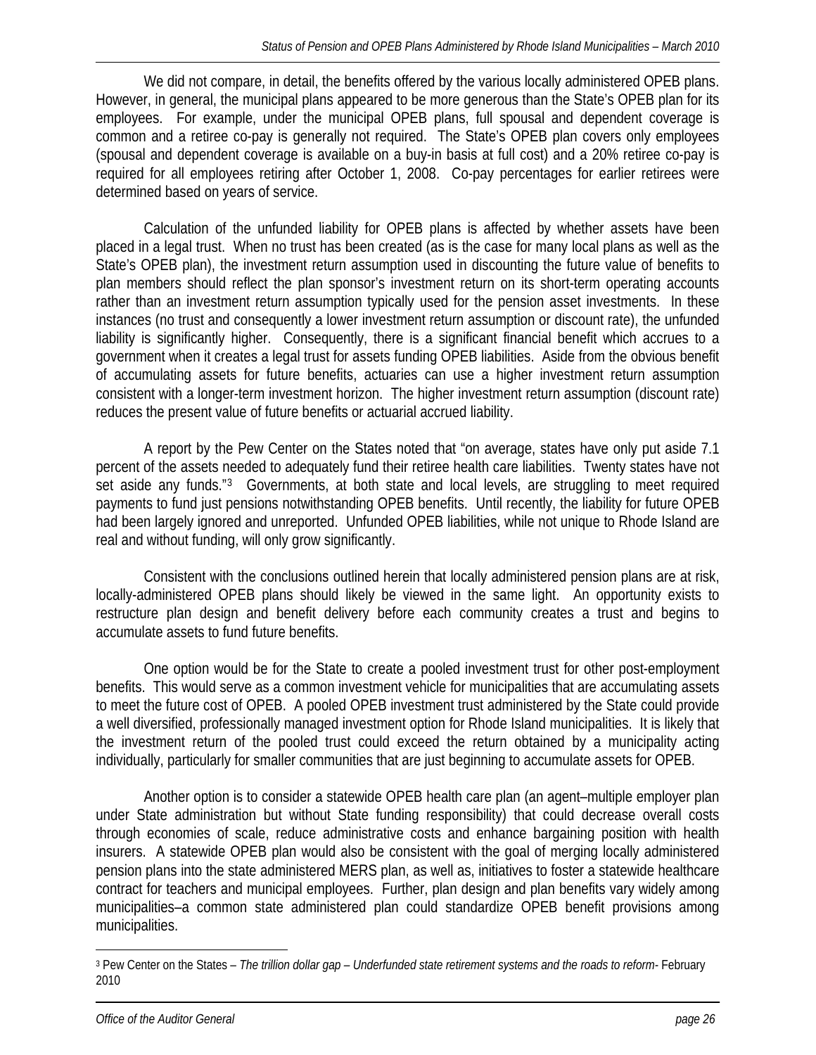<span id="page-28-0"></span>We did not compare, in detail, the benefits offered by the various locally administered OPEB plans. However, in general, the municipal plans appeared to be more generous than the State's OPEB plan for its employees. For example, under the municipal OPEB plans, full spousal and dependent coverage is common and a retiree co-pay is generally not required. The State's OPEB plan covers only employees (spousal and dependent coverage is available on a buy-in basis at full cost) and a 20% retiree co-pay is required for all employees retiring after October 1, 2008. Co-pay percentages for earlier retirees were determined based on years of service.

Calculation of the unfunded liability for OPEB plans is affected by whether assets have been placed in a legal trust. When no trust has been created (as is the case for many local plans as well as the State's OPEB plan), the investment return assumption used in discounting the future value of benefits to plan members should reflect the plan sponsor's investment return on its short-term operating accounts rather than an investment return assumption typically used for the pension asset investments. In these instances (no trust and consequently a lower investment return assumption or discount rate), the unfunded liability is significantly higher. Consequently, there is a significant financial benefit which accrues to a government when it creates a legal trust for assets funding OPEB liabilities. Aside from the obvious benefit of accumulating assets for future benefits, actuaries can use a higher investment return assumption consistent with a longer-term investment horizon. The higher investment return assumption (discount rate) reduces the present value of future benefits or actuarial accrued liability.

A report by the Pew Center on the States noted that "on average, states have only put aside 7.1 percent of the assets needed to adequately fund their retiree health care liabilities. Twenty states have not set aside any funds."<sup>[3](#page-28-0)</sup> Governments, at both state and local levels, are struggling to meet required payments to fund just pensions notwithstanding OPEB benefits. Until recently, the liability for future OPEB had been largely ignored and unreported. Unfunded OPEB liabilities, while not unique to Rhode Island are real and without funding, will only grow significantly.

Consistent with the conclusions outlined herein that locally administered pension plans are at risk, locally-administered OPEB plans should likely be viewed in the same light. An opportunity exists to restructure plan design and benefit delivery before each community creates a trust and begins to accumulate assets to fund future benefits.

 One option would be for the State to create a pooled investment trust for other post-employment benefits. This would serve as a common investment vehicle for municipalities that are accumulating assets to meet the future cost of OPEB. A pooled OPEB investment trust administered by the State could provide a well diversified, professionally managed investment option for Rhode Island municipalities. It is likely that the investment return of the pooled trust could exceed the return obtained by a municipality acting individually, particularly for smaller communities that are just beginning to accumulate assets for OPEB.

 Another option is to consider a statewide OPEB health care plan (an agent–multiple employer plan under State administration but without State funding responsibility) that could decrease overall costs through economies of scale, reduce administrative costs and enhance bargaining position with health insurers. A statewide OPEB plan would also be consistent with the goal of merging locally administered pension plans into the state administered MERS plan, as well as, initiatives to foster a statewide healthcare contract for teachers and municipal employees. Further, plan design and plan benefits vary widely among municipalities–a common state administered plan could standardize OPEB benefit provisions among municipalities.

 $\overline{a}$ 

<sup>3</sup> Pew Center on the States – *The trillion dollar gap – Underfunded state retirement systems and the roads to reform-* February 2010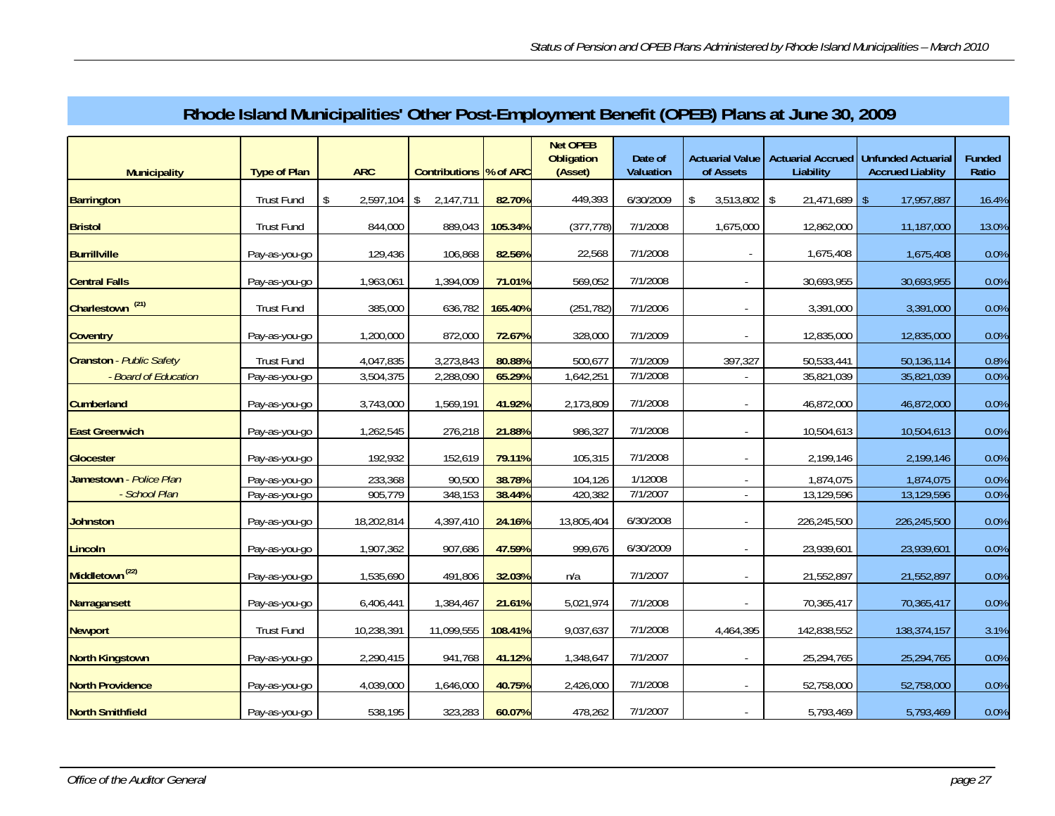| <b>Municipality</b>         | <b>Type of Plan</b> | <b>ARC</b>      | Contributions  % of ARC |         | <b>Net OPEB</b><br><b>Obligation</b><br>(Asset) | Date of<br>Valuation | <b>Actuarial Value</b><br>of Assets | <b>Actuarial Accrued</b><br>Liability | Unfunded Actuarial<br><b>Accrued Liablity</b> | <b>Funded</b><br>Ratio |
|-----------------------------|---------------------|-----------------|-------------------------|---------|-------------------------------------------------|----------------------|-------------------------------------|---------------------------------------|-----------------------------------------------|------------------------|
| <b>Barrington</b>           | <b>Trust Fund</b>   | 2,597,104<br>\$ | \$<br>2,147,711         | 82.70%  | 449,393                                         | 6/30/2009            | $3,513,802$ \$<br>\$                | 21,471,689                            | 17,957,887<br>-\$                             | 16.4%                  |
| <b>Bristol</b>              | <b>Trust Fund</b>   | 844,000         | 889,043                 | 105.34% | (377, 778)                                      | 7/1/2008             | 1,675,000                           | 12,862,000                            | 11,187,000                                    | 13.0%                  |
| <b>Burrillville</b>         | Pay-as-you-go       | 129,436         | 106,868                 | 82.56%  | 22,568                                          | 7/1/2008             | $\sim$                              | 1,675,408                             | 1,675,408                                     | 0.0%                   |
| <b>Central Falls</b>        | Pay-as-you-go       | 1,963,061       | 1,394,009               | 71.01%  | 569,052                                         | 7/1/2008             |                                     | 30,693,955                            | 30,693,955                                    | 0.0%                   |
| Charlestown <sup>(21)</sup> | <b>Trust Fund</b>   | 385,000         | 636,782                 | 165.40% | (251, 782)                                      | 7/1/2006             |                                     | 3,391,000                             | 3,391,000                                     | 0.0%                   |
| <b>Coventry</b>             | Pay-as-you-go       | 1,200,000       | 872,000                 | 72.67%  | 328,000                                         | 7/1/2009             |                                     | 12,835,000                            | 12,835,000                                    | 0.0%                   |
| Cranston - Public Safety    | <b>Trust Fund</b>   | 4,047,835       | 3,273,843               | 80.88%  | 500,677                                         | 7/1/2009             | 397,327                             | 50,533,441                            | 50,136,114                                    | 0.8%                   |
| - Board of Education        | Pay-as-you-go       | 3,504,375       | 2,288,090               | 65.29%  | 1,642,251                                       | 7/1/2008             |                                     | 35,821,039                            | 35,821,039                                    | 0.0%                   |
| <b>Cumberland</b>           | Pay-as-you-go       | 3,743,000       | 1,569,191               | 41.92%  | 2,173,809                                       | 7/1/2008             |                                     | 46,872,000                            | 46,872,000                                    | 0.0%                   |
| <b>East Greenwich</b>       | Pay-as-you-go       | 1,262,545       | 276,218                 | 21.88%  | 986,327                                         | 7/1/2008             |                                     | 10,504,613                            | 10,504,613                                    | 0.0%                   |
| <b>Glocester</b>            | Pay-as-you-go       | 192,932         | 152,619                 | 79.11%  | 105,315                                         | 7/1/2008             |                                     | 2,199,146                             | 2,199,146                                     | 0.0%                   |
| Jamestown - Police Plan     | Pay-as-you-go       | 233,368         | 90,500                  | 38.78%  | 104,126                                         | 1/12008              |                                     | 1,874,075                             | 1,874,075                                     | 0.0%                   |
| - School Plan               | Pay-as-you-go       | 905,779         | 348,153                 | 38.44%  | 420,382                                         | 7/1/2007             |                                     | 13,129,596                            | 13,129,596                                    | 0.0%                   |
| <b>Johnston</b>             | Pay-as-you-go       | 18,202,814      | 4,397,410               | 24.16%  | 13,805,404                                      | 6/30/2008            |                                     | 226,245,500                           | 226,245,500                                   | 0.0%                   |
| Lincoln                     | Pay-as-you-go       | 1,907,362       | 907,686                 | 47.59%  | 999,676                                         | 6/30/2009            |                                     | 23,939,601                            | 23,939,601                                    | 0.0%                   |
| Middletown <sup>(22)</sup>  | Pay-as-you-go       | 1,535,690       | 491,806                 | 32.03%  | n/a                                             | 7/1/2007             | $\sim$                              | 21,552,897                            | 21,552,897                                    | 0.0%                   |
| Narragansett                | Pay-as-you-go       | 6,406,441       | 1,384,467               | 21.61%  | 5,021,974                                       | 7/1/2008             |                                     | 70,365,417                            | 70,365,417                                    | 0.0%                   |
| <b>Newport</b>              | <b>Trust Fund</b>   | 10,238,391      | 11,099,555              | 108.41% | 9,037,637                                       | 7/1/2008             | 4,464,395                           | 142,838,552                           | 138,374,157                                   | 3.1%                   |
| <b>North Kingstown</b>      | Pay-as-you-go       | 2,290,415       | 941,768                 | 41.12%  | 1,348,647                                       | 7/1/2007             |                                     | 25,294,765                            | 25,294,765                                    | 0.0%                   |
| <b>North Providence</b>     | Pay-as-you-go       | 4,039,000       | 1,646,000               | 40.75%  | 2,426,000                                       | 7/1/2008             |                                     | 52,758,000                            | 52,758,000                                    | 0.0%                   |
| <b>North Smithfield</b>     | Pay-as-you-go       | 538,195         | 323,283                 | 60.07%  | 478,262                                         | 7/1/2007             |                                     | 5,793,469                             | 5,793,469                                     | 0.0%                   |

# **Rhode Island Municipalities' Other Post-Employment Benefit (OPEB) Plans at June 30, 2009**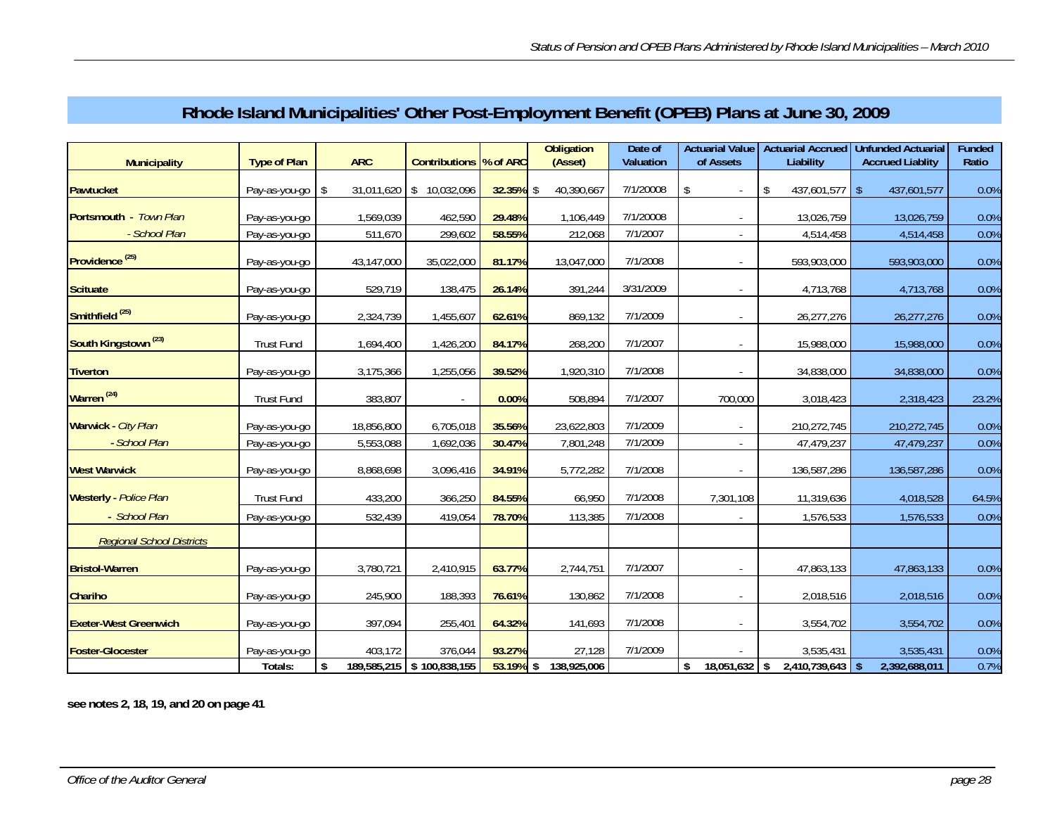| <b>Municipality</b>              | <b>Type of Plan</b> | <b>ARC</b> | Contributions  % of ARC   |              | <b>Obligation</b><br>(Asset) | Date of<br>Valuation | <b>Actuarial Value</b><br>of Assets | Liability                           | Actuarial Accrued   Unfunded Actuarial<br><b>Accrued Liablity</b> | Funded<br>Ratio |
|----------------------------------|---------------------|------------|---------------------------|--------------|------------------------------|----------------------|-------------------------------------|-------------------------------------|-------------------------------------------------------------------|-----------------|
| Pawtucket                        | Pay-as-you-go       | \$         | 31,011,620 \$ 10,032,096  | $32.35\%$ \$ | 40,390,667                   | 7/1/20008            | \$<br>$\sim$                        | \$<br>$437,601,577$ \$              | 437,601,577                                                       | 0.0%            |
| Portsmouth - Town Plan           | Pay-as-you-go       | 1,569,039  | 462,590                   | 29.48%       | 1,106,449                    | 7/1/20008            |                                     | 13,026,759                          | 13,026,759                                                        | 0.0%            |
| - School Plan                    | Pay-as-you-go       | 511,670    | 299,602                   | 58.55%       | 212,068                      | 7/1/2007             |                                     | 4,514,458                           | 4,514,458                                                         | 0.0%            |
| Providence <sup>(25)</sup>       | Pay-as-you-go       | 43,147,000 | 35,022,000                | 81.17%       | 13,047,000                   | 7/1/2008             | $\sim$                              | 593,903,000                         | 593,903,000                                                       | 0.0%            |
| <b>Scituate</b>                  | Pay-as-you-go       | 529,719    | 138,475                   | 26.14%       | 391,244                      | 3/31/2009            |                                     | 4,713,768                           | 4,713,768                                                         | 0.0%            |
| Smithfield <sup>(25)</sup>       | Pay-as-you-go       | 2,324,739  | 1,455,607                 | 62.61%       | 869,132                      | 7/1/2009             |                                     | 26,277,276                          | 26,277,276                                                        | 0.0%            |
| South Kingstown <sup>(23)</sup>  | <b>Trust Fund</b>   | 1,694,400  | 1,426,200                 | 84.17%       | 268,200                      | 7/1/2007             |                                     | 15,988,000                          | 15,988,000                                                        | 0.0%            |
| <b>Tiverton</b>                  | Pay-as-you-go       | 3,175,366  | 1,255,056                 | 39.52%       | 1,920,310                    | 7/1/2008             |                                     | 34,838,000                          | 34,838,000                                                        | 0.0%            |
| Warren <sup>(24)</sup>           | <b>Trust Fund</b>   | 383,807    |                           | 0.00%        | 508,894                      | 7/1/2007             | 700.000                             | 3,018,423                           | 2,318,423                                                         | 23.2%           |
| Warwick - City Plan              | Pay-as-you-go       | 18,856,800 | 6,705,018                 | 35.56%       | 23,622,803                   | 7/1/2009             |                                     | 210,272,745                         | 210,272,745                                                       | 0.0%            |
| - School Plan                    | Pay-as-you-go       | 5,553,088  | 1,692,036                 | 30.47%       | 7,801,248                    | 7/1/2009             |                                     | 47,479,237                          | 47,479,237                                                        | 0.0%            |
| <b>West Warwick</b>              | Pay-as-you-go       | 8,868,698  | 3,096,416                 | 34.91%       | 5,772,282                    | 7/1/2008             | $\sim$                              | 136,587,286                         | 136,587,286                                                       | 0.0%            |
| <b>Westerly</b> - Police Plan    | <b>Trust Fund</b>   | 433,200    | 366,250                   | 84.55%       | 66,950                       | 7/1/2008             | 7,301,108                           | 11,319,636                          | 4,018,528                                                         | 64.5%           |
| - School Plan                    | Pay-as-you-go       | 532,439    | 419,054                   | 78.70%       | 113,385                      | 7/1/2008             |                                     | 1,576,533                           | 1,576,533                                                         | 0.0%            |
| <b>Regional School Districts</b> |                     |            |                           |              |                              |                      |                                     |                                     |                                                                   |                 |
| <b>Bristol-Warren</b>            | Pay-as-you-go       | 3,780,721  | 2,410,915                 | 63.77%       | 2,744,751                    | 7/1/2007             |                                     | 47,863,133                          | 47,863,133                                                        | 0.0%            |
| Chariho                          | Pay-as-you-go       | 245,900    | 188,393                   | 76.61%       | 130,862                      | 7/1/2008             |                                     | 2,018,516                           | 2,018,516                                                         | 0.0%            |
| <b>Exeter-West Greenwich</b>     | Pay-as-you-go       | 397,094    | 255,401                   | 64.32%       | 141,693                      | 7/1/2008             |                                     | 3,554,702                           | 3,554,702                                                         | 0.0%            |
| <b>Foster-Glocester</b>          | Pay-as-you-go       | 403,172    | 376,044                   | 93.27%       | 27,128                       | 7/1/2009             |                                     | 3,535,431                           | 3,535,431                                                         | 0.0%            |
|                                  | Totals:             | \$         | 189,585,215 \$100,838,155 | $53.19%$ \$  | 138,925,006                  |                      | \$<br>18,051,632                    | $2,410,739,643$ \$<br>$\mathsf{\$}$ | 2,392,688,011                                                     | 0.7%            |

# **Rhode Island Municipalities' Other Post-Employment Benefit (OPEB) Plans at June 30, 2009**

**see notes 2, 18, 19, and 20 on page 41**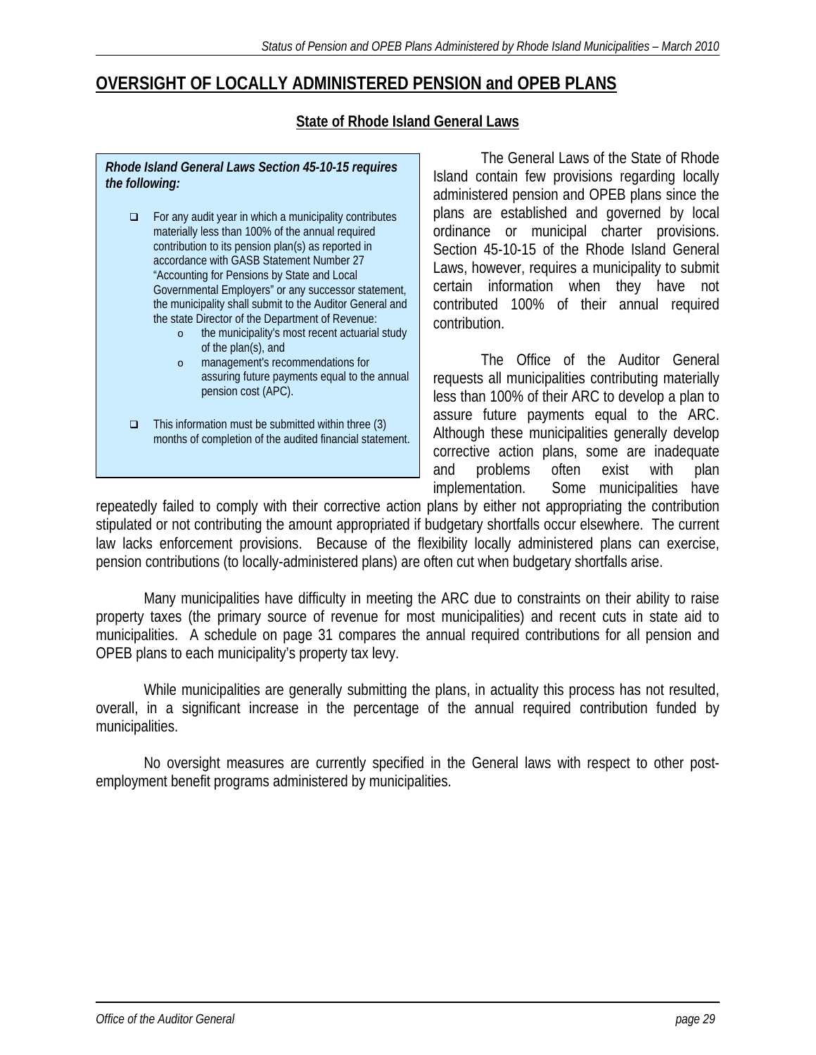# **OVERSIGHT OF LOCALLY ADMINISTERED PENSION and OPEB PLANS**

# **State of Rhode Island General Laws**

### *Rhode Island General Laws Section 45-10-15 requires the following:*

- $\Box$  For any audit year in which a municipality contributes materially less than 100% of the annual required contribution to its pension plan(s) as reported in accordance with GASB Statement Number 27 "Accounting for Pensions by State and Local Governmental Employers" or any successor statement, the municipality shall submit to the Auditor General and the state Director of the Department of Revenue:
	- o the municipality's most recent actuarial study of the plan(s), and
	- o management's recommendations for assuring future payments equal to the annual pension cost (APC).
- $\Box$  This information must be submitted within three (3) months of completion of the audited financial statement.

 The General Laws of the State of Rhode Island contain few provisions regarding locally administered pension and OPEB plans since the plans are established and governed by local ordinance or municipal charter provisions. Section 45-10-15 of the Rhode Island General Laws, however, requires a municipality to submit certain information when they have not contributed 100% of their annual required contribution.

 The Office of the Auditor General requests all municipalities contributing materially less than 100% of their ARC to develop a plan to assure future payments equal to the ARC. Although these municipalities generally develop corrective action plans, some are inadequate and problems often exist with plan implementation. Some municipalities have

repeatedly failed to comply with their corrective action plans by either not appropriating the contribution stipulated or not contributing the amount appropriated if budgetary shortfalls occur elsewhere. The current law lacks enforcement provisions. Because of the flexibility locally administered plans can exercise, pension contributions (to locally-administered plans) are often cut when budgetary shortfalls arise.

 Many municipalities have difficulty in meeting the ARC due to constraints on their ability to raise property taxes (the primary source of revenue for most municipalities) and recent cuts in state aid to municipalities. A schedule on page 31 compares the annual required contributions for all pension and OPEB plans to each municipality's property tax levy.

 While municipalities are generally submitting the plans, in actuality this process has not resulted, overall, in a significant increase in the percentage of the annual required contribution funded by municipalities.

 No oversight measures are currently specified in the General laws with respect to other postemployment benefit programs administered by municipalities.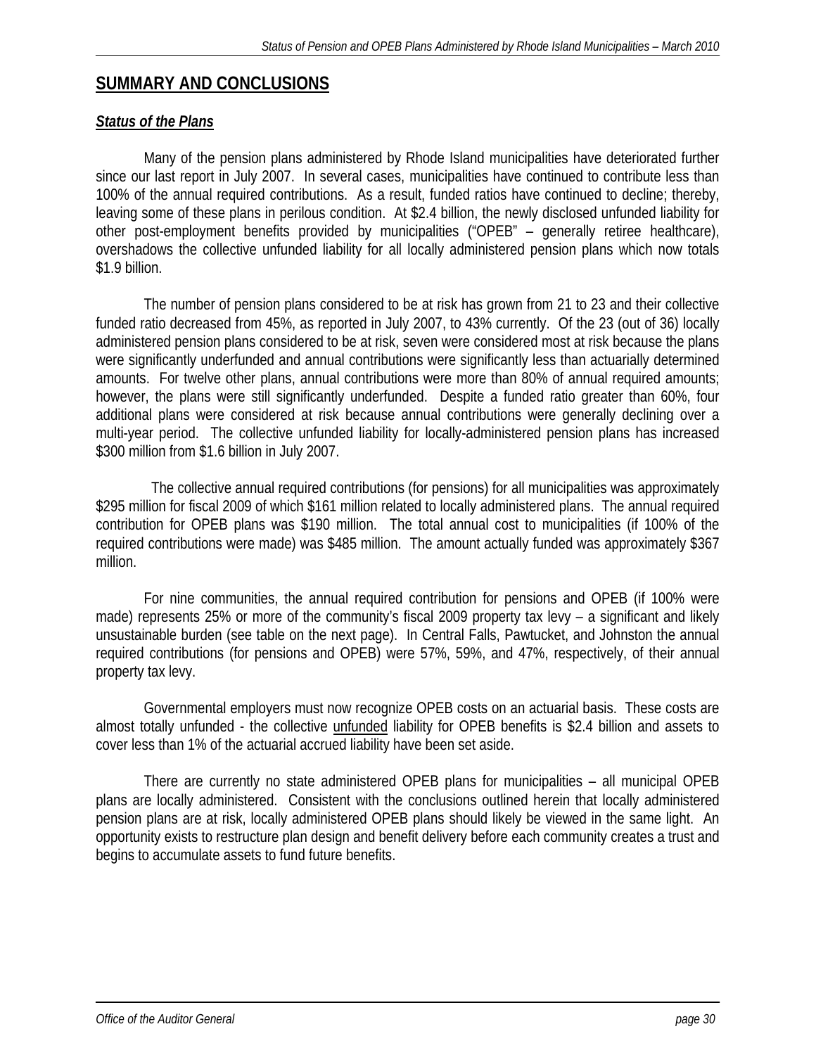# **SUMMARY AND CONCLUSIONS**

## *Status of the Plans*

Many of the pension plans administered by Rhode Island municipalities have deteriorated further since our last report in July 2007. In several cases, municipalities have continued to contribute less than 100% of the annual required contributions. As a result, funded ratios have continued to decline; thereby, leaving some of these plans in perilous condition. At \$2.4 billion, the newly disclosed unfunded liability for other post-employment benefits provided by municipalities ("OPEB" – generally retiree healthcare), overshadows the collective unfunded liability for all locally administered pension plans which now totals \$1.9 billion.

The number of pension plans considered to be at risk has grown from 21 to 23 and their collective funded ratio decreased from 45%, as reported in July 2007, to 43% currently. Of the 23 (out of 36) locally administered pension plans considered to be at risk, seven were considered most at risk because the plans were significantly underfunded and annual contributions were significantly less than actuarially determined amounts. For twelve other plans, annual contributions were more than 80% of annual required amounts; however, the plans were still significantly underfunded. Despite a funded ratio greater than 60%, four additional plans were considered at risk because annual contributions were generally declining over a multi-year period. The collective unfunded liability for locally-administered pension plans has increased \$300 million from \$1.6 billion in July 2007.

 The collective annual required contributions (for pensions) for all municipalities was approximately \$295 million for fiscal 2009 of which \$161 million related to locally administered plans. The annual required contribution for OPEB plans was \$190 million. The total annual cost to municipalities (if 100% of the required contributions were made) was \$485 million. The amount actually funded was approximately \$367 million.

For nine communities, the annual required contribution for pensions and OPEB (if 100% were made) represents 25% or more of the community's fiscal 2009 property tax levy – a significant and likely unsustainable burden (see table on the next page). In Central Falls, Pawtucket, and Johnston the annual required contributions (for pensions and OPEB) were 57%, 59%, and 47%, respectively, of their annual property tax levy.

Governmental employers must now recognize OPEB costs on an actuarial basis. These costs are almost totally unfunded - the collective unfunded liability for OPEB benefits is \$2.4 billion and assets to cover less than 1% of the actuarial accrued liability have been set aside.

There are currently no state administered OPEB plans for municipalities – all municipal OPEB plans are locally administered. Consistent with the conclusions outlined herein that locally administered pension plans are at risk, locally administered OPEB plans should likely be viewed in the same light. An opportunity exists to restructure plan design and benefit delivery before each community creates a trust and begins to accumulate assets to fund future benefits.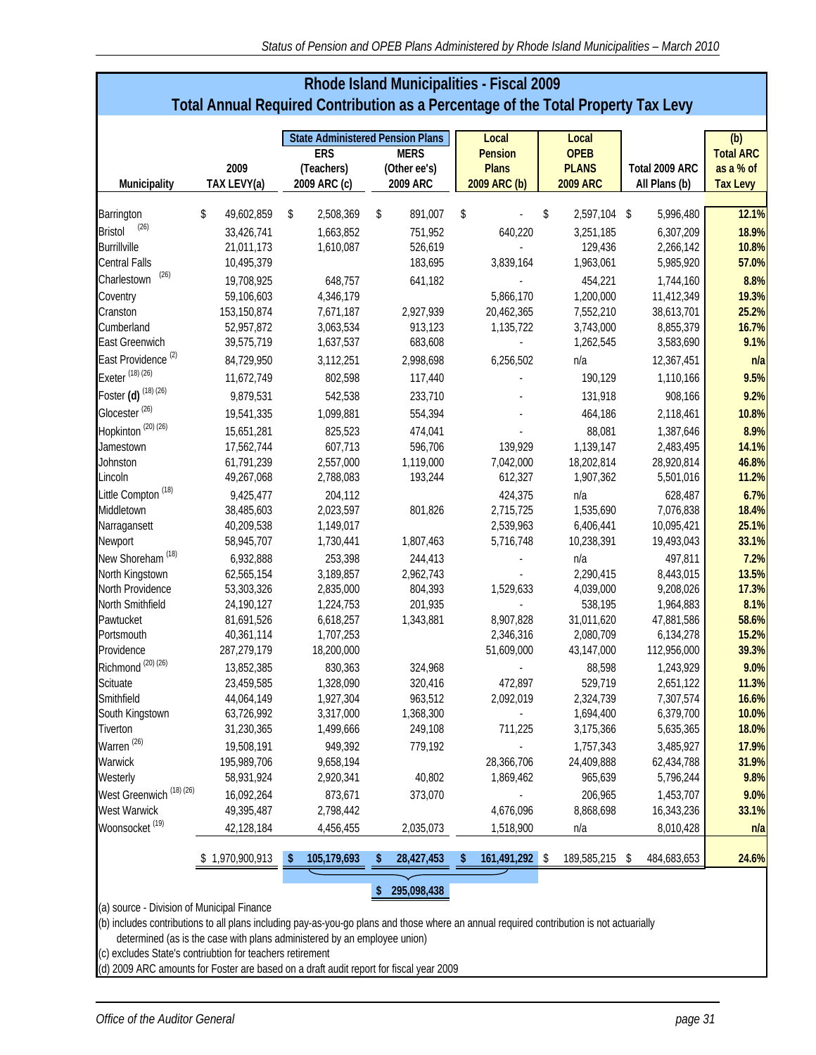| <b>Rhode Island Municipalities - Fiscal 2009</b>                                  |
|-----------------------------------------------------------------------------------|
| Total Annual Required Contribution as a Percentage of the Total Property Tax Levy |

|                                            |                     |                                        | <b>State Administered Pension Plans</b> | Local                        | Local                           |                                 | (b)                          |
|--------------------------------------------|---------------------|----------------------------------------|-----------------------------------------|------------------------------|---------------------------------|---------------------------------|------------------------------|
|                                            |                     | <b>ERS</b>                             | <b>MERS</b>                             | <b>Pension</b>               | <b>OPEB</b>                     |                                 | <b>Total ARC</b>             |
| Municipality                               | 2009<br>TAX LEVY(a) | (Teachers)<br>2009 ARC (c)             | (Other ee's)<br>2009 ARC                | <b>Plans</b><br>2009 ARC (b) | <b>PLANS</b><br><b>2009 ARC</b> | Total 2009 ARC<br>All Plans (b) | as a % of<br><b>Tax Levy</b> |
|                                            |                     |                                        |                                         |                              |                                 |                                 |                              |
| Barrington                                 | \$<br>49,602,859    | \$<br>2,508,369                        | \$<br>891,007                           | \$                           | \$<br>2,597,104 \$              | 5,996,480                       | 12.1%                        |
| (26)<br><b>Bristol</b>                     | 33,426,741          | 1,663,852                              | 751,952                                 | 640,220                      | 3,251,185                       | 6,307,209                       | 18.9%                        |
| <b>Burrillville</b>                        | 21,011,173          | 1,610,087                              | 526,619                                 |                              | 129,436                         | 2,266,142                       | 10.8%                        |
| <b>Central Falls</b>                       | 10,495,379          |                                        | 183,695                                 | 3,839,164                    | 1,963,061                       | 5,985,920                       | 57.0%                        |
| (26)<br>Charlestown                        | 19,708,925          | 648,757                                | 641,182                                 |                              | 454,221                         | 1,744,160                       | 8.8%                         |
| Coventry                                   | 59,106,603          | 4,346,179                              |                                         | 5,866,170                    | 1,200,000                       | 11,412,349                      | 19.3%                        |
| Cranston                                   | 153,150,874         | 7,671,187                              | 2,927,939                               | 20,462,365                   | 7,552,210                       | 38,613,701                      | 25.2%                        |
| Cumberland                                 | 52,957,872          | 3,063,534                              | 913,123                                 | 1,135,722                    | 3,743,000                       | 8,855,379                       | 16.7%                        |
| <b>East Greenwich</b>                      | 39,575,719          | 1,637,537                              | 683,608                                 |                              | 1,262,545                       | 3,583,690                       | 9.1%                         |
| East Providence <sup>(2)</sup>             | 84,729,950          | 3,112,251                              | 2,998,698                               | 6,256,502                    | n/a                             | 12,367,451                      | n/a                          |
| Exeter <sup>(18)(26)</sup>                 | 11,672,749          | 802,598                                | 117,440                                 |                              | 190,129                         | 1,110,166                       | 9.5%                         |
| Foster (d) (18) (26)                       | 9,879,531           | 542,538                                | 233,710                                 |                              | 131,918                         | 908,166                         | 9.2%                         |
| Glocester <sup>(26)</sup>                  | 19,541,335          | 1,099,881                              | 554,394                                 |                              | 464,186                         | 2,118,461                       | 10.8%                        |
| Hopkinton <sup>(20)(26)</sup>              | 15,651,281          | 825,523                                | 474,041                                 |                              | 88,081                          | 1,387,646                       | 8.9%                         |
| Jamestown                                  | 17,562,744          | 607,713                                | 596,706                                 | 139,929                      | 1,139,147                       | 2,483,495                       | 14.1%                        |
| Johnston                                   | 61,791,239          | 2,557,000                              | 1,119,000                               | 7,042,000                    | 18,202,814                      | 28,920,814                      | 46.8%                        |
| Lincoln                                    | 49,267,068          | 2,788,083                              | 193,244                                 | 612,327                      | 1,907,362                       | 5,501,016                       | 11.2%                        |
| Little Compton <sup>(18)</sup>             | 9,425,477           | 204,112                                |                                         | 424,375                      | n/a                             | 628,487                         | 6.7%                         |
| Middletown                                 | 38,485,603          | 2,023,597                              | 801,826                                 | 2,715,725                    | 1,535,690                       | 7,076,838                       | 18.4%                        |
| Narragansett                               | 40,209,538          | 1,149,017                              |                                         | 2,539,963                    | 6,406,441                       | 10,095,421                      | 25.1%                        |
| Newport                                    | 58,945,707          | 1,730,441                              | 1,807,463                               | 5,716,748                    | 10,238,391                      | 19,493,043                      | 33.1%                        |
| New Shoreham <sup>(18)</sup>               | 6,932,888           | 253,398                                | 244,413                                 |                              | n/a                             | 497,811                         | 7.2%                         |
| North Kingstown                            | 62,565,154          | 3,189,857                              | 2,962,743                               |                              | 2,290,415                       | 8,443,015                       | 13.5%                        |
| North Providence                           | 53,303,326          | 2,835,000                              | 804,393                                 | 1,529,633                    | 4,039,000                       | 9,208,026                       | 17.3%                        |
| North Smithfield                           | 24,190,127          | 1,224,753                              | 201,935                                 |                              | 538,195                         | 1,964,883                       | 8.1%                         |
| Pawtucket                                  | 81,691,526          | 6,618,257                              | 1,343,881                               | 8,907,828                    | 31,011,620                      | 47,881,586                      | 58.6%                        |
| Portsmouth                                 | 40,361,114          | 1,707,253                              |                                         | 2,346,316                    | 2,080,709                       | 6,134,278                       | 15.2%                        |
| Providence                                 | 287,279,179         | 18,200,000                             |                                         | 51,609,000                   | 43,147,000                      | 112,956,000                     | 39.3%                        |
| Richmond <sup>(20)(26)</sup>               | 13,852,385          | 830,363                                | 324,968                                 |                              | 88,598                          | 1,243,929                       | 9.0%                         |
| Scituate                                   | 23,459,585          | 1,328,090                              | 320,416                                 | 472,897                      | 529,719                         | 2,651,122                       | 11.3%                        |
| Smithfield                                 | 44,064,149          | 1,927,304                              | 963,512                                 | 2,092,019                    | 2,324,739                       | 7,307,574                       | 16.6%                        |
| South Kingstown                            | 63,726,992          | 3,317,000                              | 1,368,300                               |                              | 1,694,400                       | 6,379,700                       | 10.0%                        |
| Tiverton                                   | 31,230,365          | 1,499,666                              | 249,108                                 | 711,225                      | 3,175,366                       | 5,635,365                       | 18.0%                        |
| Warren <sup>(26)</sup>                     | 19,508,191          | 949,392                                | 779,192                                 |                              | 1,757,343                       | 3,485,927                       | 17.9%                        |
| Warwick                                    | 195,989,706         | 9,658,194                              |                                         | 28,366,706                   | 24,409,888                      | 62,434,788                      | 31.9%                        |
| Westerly                                   | 58,931,924          | 2,920,341                              | 40,802                                  | 1,869,462                    | 965,639                         | 5,796,244                       | 9.8%                         |
| West Greenwich <sup>(18)(26)</sup>         | 16,092,264          | 873,671                                | 373,070                                 |                              | 206,965                         | 1,453,707                       | 9.0%                         |
| West Warwick                               | 49,395,487          | 2,798,442                              |                                         | 4,676,096                    | 8,868,698                       | 16,343,236                      | 33.1%                        |
| Woonsocket <sup>(19)</sup>                 | 42,128,184          | 4,456,455                              | 2,035,073                               | 1,518,900                    | n/a                             | 8,010,428                       | n/a                          |
|                                            | \$1,970,900,913     | $\sqrt[6]{\frac{1}{2}}$<br>105,179,693 | 28,427,453<br>\$                        | 161,491,292 \$               | 189,585,215                     | 484,683,653<br>\$               | 24.6%                        |
|                                            |                     |                                        |                                         |                              |                                 |                                 |                              |
|                                            |                     |                                        | 295,098,438<br>\$                       |                              |                                 |                                 |                              |
| (a) source - Division of Municipal Finance |                     |                                        |                                         |                              |                                 |                                 |                              |

(b) includes contributions to all plans including pay-as-you-go plans and those where an annual required contribution is not actuarially

determined (as is the case with plans administered by an employee union)

(c) excludes State's contriubtion for teachers retirement

(d) 2009 ARC amounts for Foster are based on a draft audit report for fiscal year 2009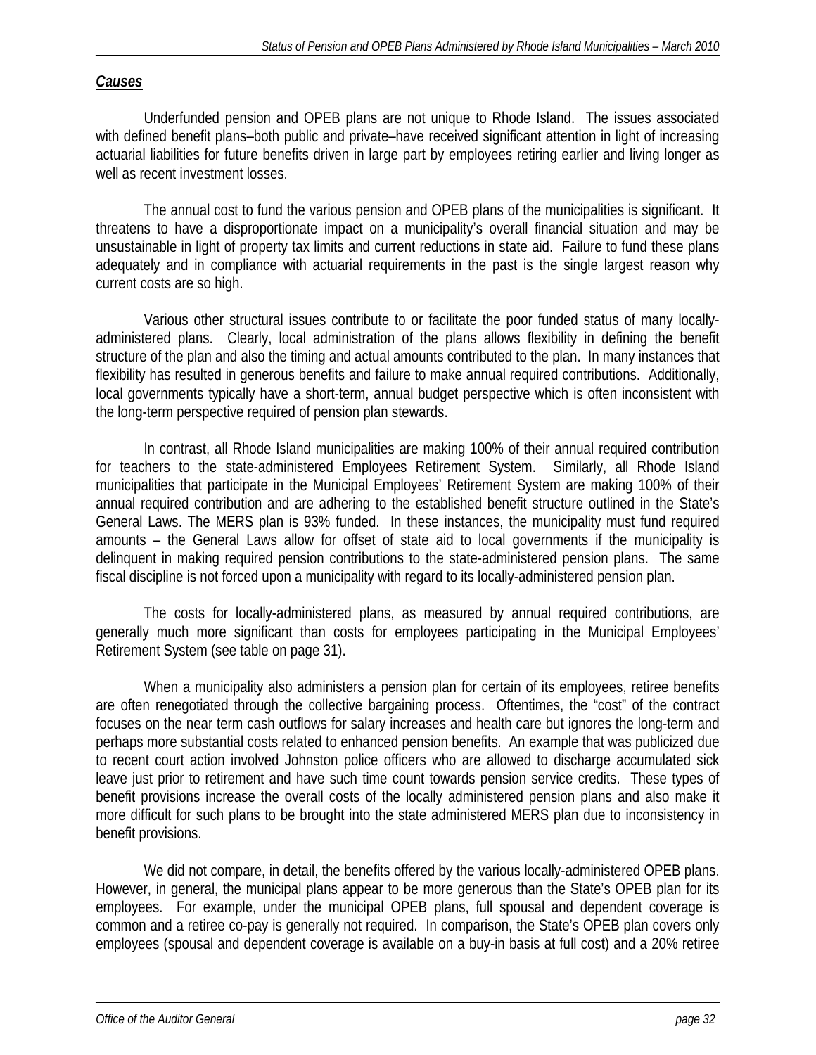# *Causes*

 Underfunded pension and OPEB plans are not unique to Rhode Island. The issues associated with defined benefit plans–both public and private–have received significant attention in light of increasing actuarial liabilities for future benefits driven in large part by employees retiring earlier and living longer as well as recent investment losses.

The annual cost to fund the various pension and OPEB plans of the municipalities is significant. It threatens to have a disproportionate impact on a municipality's overall financial situation and may be unsustainable in light of property tax limits and current reductions in state aid. Failure to fund these plans adequately and in compliance with actuarial requirements in the past is the single largest reason why current costs are so high.

 Various other structural issues contribute to or facilitate the poor funded status of many locallyadministered plans. Clearly, local administration of the plans allows flexibility in defining the benefit structure of the plan and also the timing and actual amounts contributed to the plan. In many instances that flexibility has resulted in generous benefits and failure to make annual required contributions. Additionally, local governments typically have a short-term, annual budget perspective which is often inconsistent with the long-term perspective required of pension plan stewards.

 In contrast, all Rhode Island municipalities are making 100% of their annual required contribution for teachers to the state-administered Employees Retirement System. Similarly, all Rhode Island municipalities that participate in the Municipal Employees' Retirement System are making 100% of their annual required contribution and are adhering to the established benefit structure outlined in the State's General Laws. The MERS plan is 93% funded. In these instances, the municipality must fund required amounts – the General Laws allow for offset of state aid to local governments if the municipality is delinquent in making required pension contributions to the state-administered pension plans. The same fiscal discipline is not forced upon a municipality with regard to its locally-administered pension plan.

 The costs for locally-administered plans, as measured by annual required contributions, are generally much more significant than costs for employees participating in the Municipal Employees' Retirement System (see table on page 31).

 When a municipality also administers a pension plan for certain of its employees, retiree benefits are often renegotiated through the collective bargaining process. Oftentimes, the "cost" of the contract focuses on the near term cash outflows for salary increases and health care but ignores the long-term and perhaps more substantial costs related to enhanced pension benefits. An example that was publicized due to recent court action involved Johnston police officers who are allowed to discharge accumulated sick leave just prior to retirement and have such time count towards pension service credits. These types of benefit provisions increase the overall costs of the locally administered pension plans and also make it more difficult for such plans to be brought into the state administered MERS plan due to inconsistency in benefit provisions.

We did not compare, in detail, the benefits offered by the various locally-administered OPEB plans. However, in general, the municipal plans appear to be more generous than the State's OPEB plan for its employees. For example, under the municipal OPEB plans, full spousal and dependent coverage is common and a retiree co-pay is generally not required. In comparison, the State's OPEB plan covers only employees (spousal and dependent coverage is available on a buy-in basis at full cost) and a 20% retiree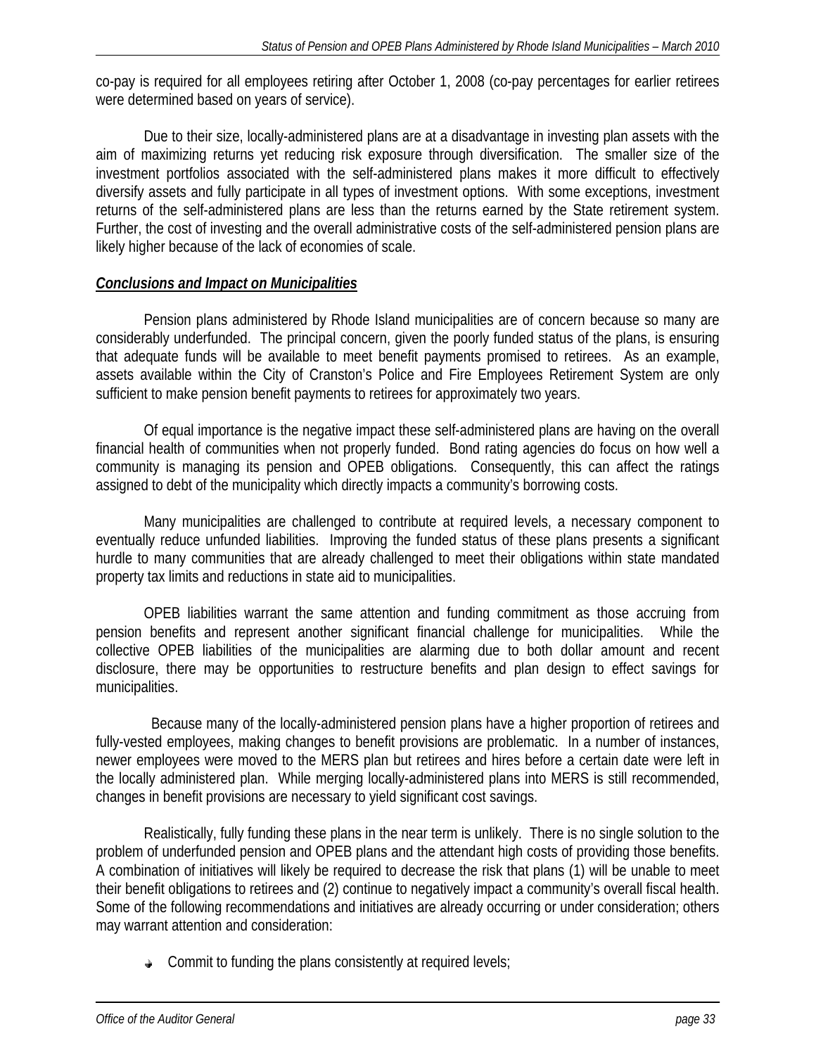co-pay is required for all employees retiring after October 1, 2008 (co-pay percentages for earlier retirees were determined based on years of service).

 Due to their size, locally-administered plans are at a disadvantage in investing plan assets with the aim of maximizing returns yet reducing risk exposure through diversification. The smaller size of the investment portfolios associated with the self-administered plans makes it more difficult to effectively diversify assets and fully participate in all types of investment options. With some exceptions, investment returns of the self-administered plans are less than the returns earned by the State retirement system. Further, the cost of investing and the overall administrative costs of the self-administered pension plans are likely higher because of the lack of economies of scale.

# *Conclusions and Impact on Municipalities*

Pension plans administered by Rhode Island municipalities are of concern because so many are considerably underfunded. The principal concern, given the poorly funded status of the plans, is ensuring that adequate funds will be available to meet benefit payments promised to retirees. As an example, assets available within the City of Cranston's Police and Fire Employees Retirement System are only sufficient to make pension benefit payments to retirees for approximately two years.

Of equal importance is the negative impact these self-administered plans are having on the overall financial health of communities when not properly funded. Bond rating agencies do focus on how well a community is managing its pension and OPEB obligations. Consequently, this can affect the ratings assigned to debt of the municipality which directly impacts a community's borrowing costs.

Many municipalities are challenged to contribute at required levels, a necessary component to eventually reduce unfunded liabilities. Improving the funded status of these plans presents a significant hurdle to many communities that are already challenged to meet their obligations within state mandated property tax limits and reductions in state aid to municipalities.

OPEB liabilities warrant the same attention and funding commitment as those accruing from pension benefits and represent another significant financial challenge for municipalities. While the collective OPEB liabilities of the municipalities are alarming due to both dollar amount and recent disclosure, there may be opportunities to restructure benefits and plan design to effect savings for municipalities.

 Because many of the locally-administered pension plans have a higher proportion of retirees and fully-vested employees, making changes to benefit provisions are problematic. In a number of instances, newer employees were moved to the MERS plan but retirees and hires before a certain date were left in the locally administered plan. While merging locally-administered plans into MERS is still recommended, changes in benefit provisions are necessary to yield significant cost savings.

Realistically, fully funding these plans in the near term is unlikely. There is no single solution to the problem of underfunded pension and OPEB plans and the attendant high costs of providing those benefits. A combination of initiatives will likely be required to decrease the risk that plans (1) will be unable to meet their benefit obligations to retirees and (2) continue to negatively impact a community's overall fiscal health. Some of the following recommendations and initiatives are already occurring or under consideration; others may warrant attention and consideration:

 $\triangle$  Commit to funding the plans consistently at required levels;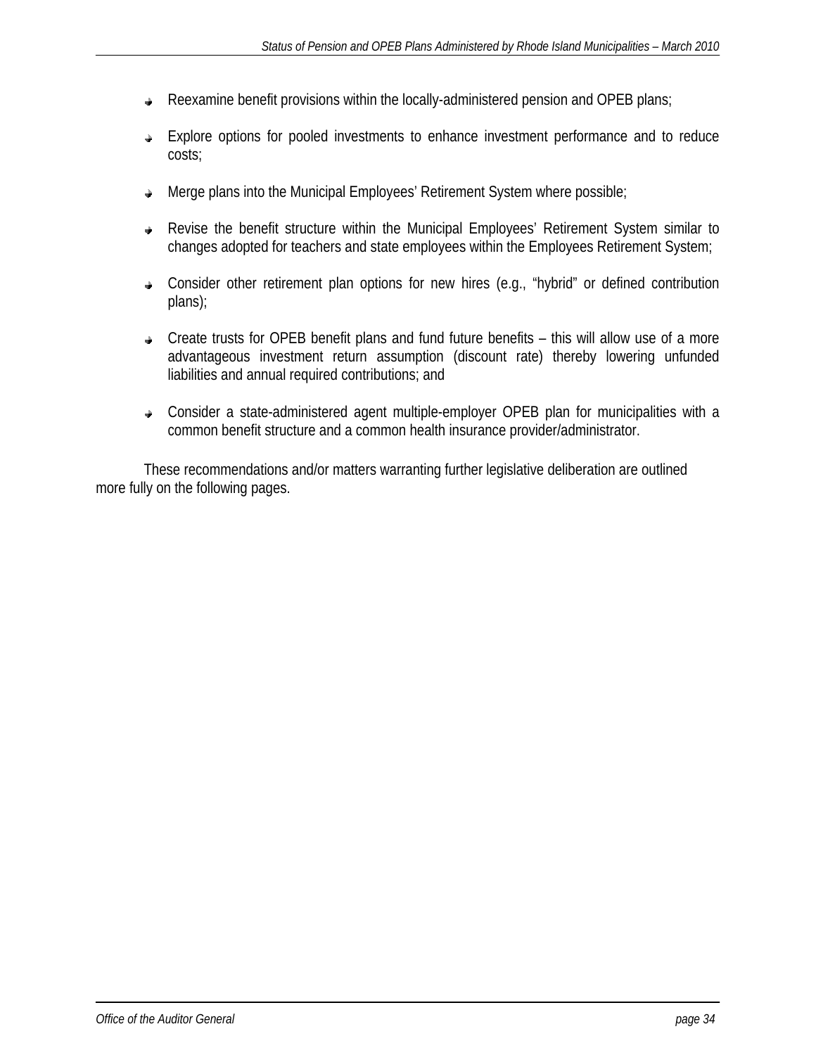- Reexamine benefit provisions within the locally-administered pension and OPEB plans;  $\hat{\Phi}$
- Explore options for pooled investments to enhance investment performance and to reduce  $\Delta$ costs;
- Merge plans into the Municipal Employees' Retirement System where possible;  $\hat{\mathbf{r}}$
- Revise the benefit structure within the Municipal Employees' Retirement System similar to changes adopted for teachers and state employees within the Employees Retirement System;
- Consider other retirement plan options for new hires (e.g., "hybrid" or defined contribution plans);
- Create trusts for OPEB benefit plans and fund future benefits this will allow use of a more advantageous investment return assumption (discount rate) thereby lowering unfunded liabilities and annual required contributions; and
- Consider a state-administered agent multiple-employer OPEB plan for municipalities with a common benefit structure and a common health insurance provider/administrator.

These recommendations and/or matters warranting further legislative deliberation are outlined more fully on the following pages.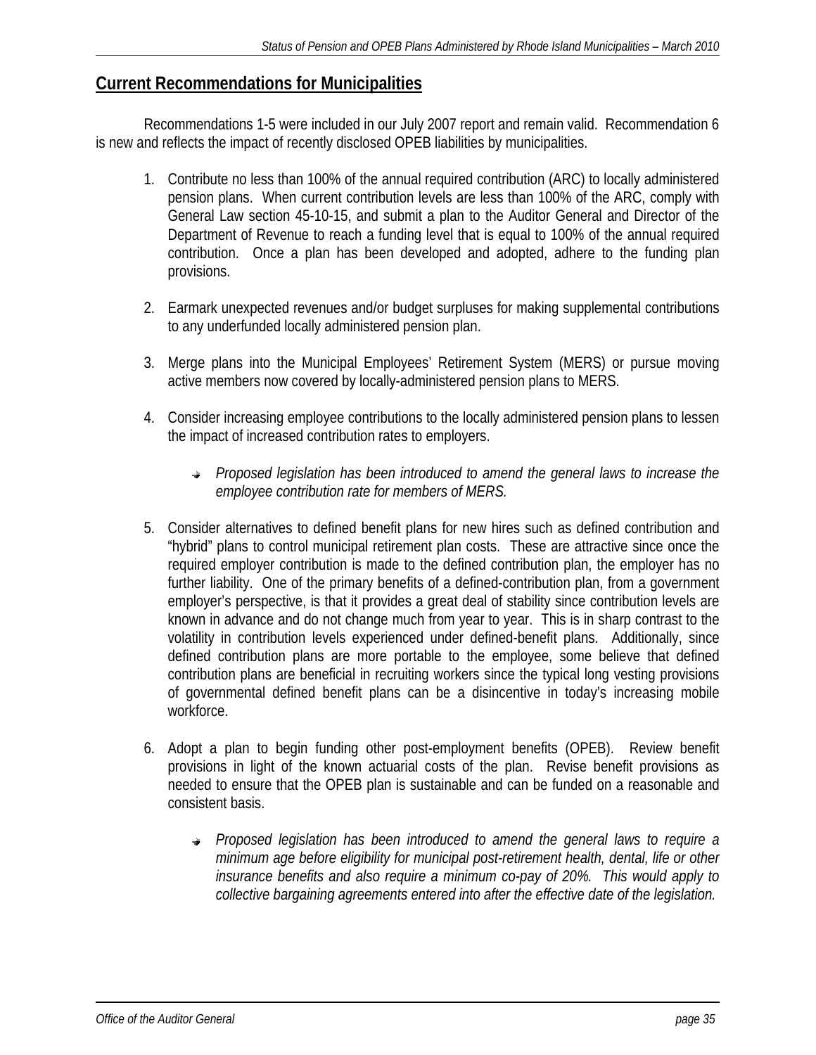# **Current Recommendations for Municipalities**

 Recommendations 1-5 were included in our July 2007 report and remain valid. Recommendation 6 is new and reflects the impact of recently disclosed OPEB liabilities by municipalities.

- 1. Contribute no less than 100% of the annual required contribution (ARC) to locally administered pension plans. When current contribution levels are less than 100% of the ARC, comply with General Law section 45-10-15, and submit a plan to the Auditor General and Director of the Department of Revenue to reach a funding level that is equal to 100% of the annual required contribution. Once a plan has been developed and adopted, adhere to the funding plan provisions.
- 2. Earmark unexpected revenues and/or budget surpluses for making supplemental contributions to any underfunded locally administered pension plan.
- 3. Merge plans into the Municipal Employees' Retirement System (MERS) or pursue moving active members now covered by locally-administered pension plans to MERS.
- 4. Consider increasing employee contributions to the locally administered pension plans to lessen the impact of increased contribution rates to employers.
	- *Proposed legislation has been introduced to amend the general laws to increase the employee contribution rate for members of MERS.*
- 5. Consider alternatives to defined benefit plans for new hires such as defined contribution and "hybrid" plans to control municipal retirement plan costs. These are attractive since once the required employer contribution is made to the defined contribution plan, the employer has no further liability. One of the primary benefits of a defined-contribution plan, from a government employer's perspective, is that it provides a great deal of stability since contribution levels are known in advance and do not change much from year to year. This is in sharp contrast to the volatility in contribution levels experienced under defined-benefit plans. Additionally, since defined contribution plans are more portable to the employee, some believe that defined contribution plans are beneficial in recruiting workers since the typical long vesting provisions of governmental defined benefit plans can be a disincentive in today's increasing mobile workforce.
- 6. Adopt a plan to begin funding other post-employment benefits (OPEB). Review benefit provisions in light of the known actuarial costs of the plan. Revise benefit provisions as needed to ensure that the OPEB plan is sustainable and can be funded on a reasonable and consistent basis.
	- *Proposed legislation has been introduced to amend the general laws to require a minimum age before eligibility for municipal post-retirement health, dental, life or other insurance benefits and also require a minimum co-pay of 20%. This would apply to collective bargaining agreements entered into after the effective date of the legislation.*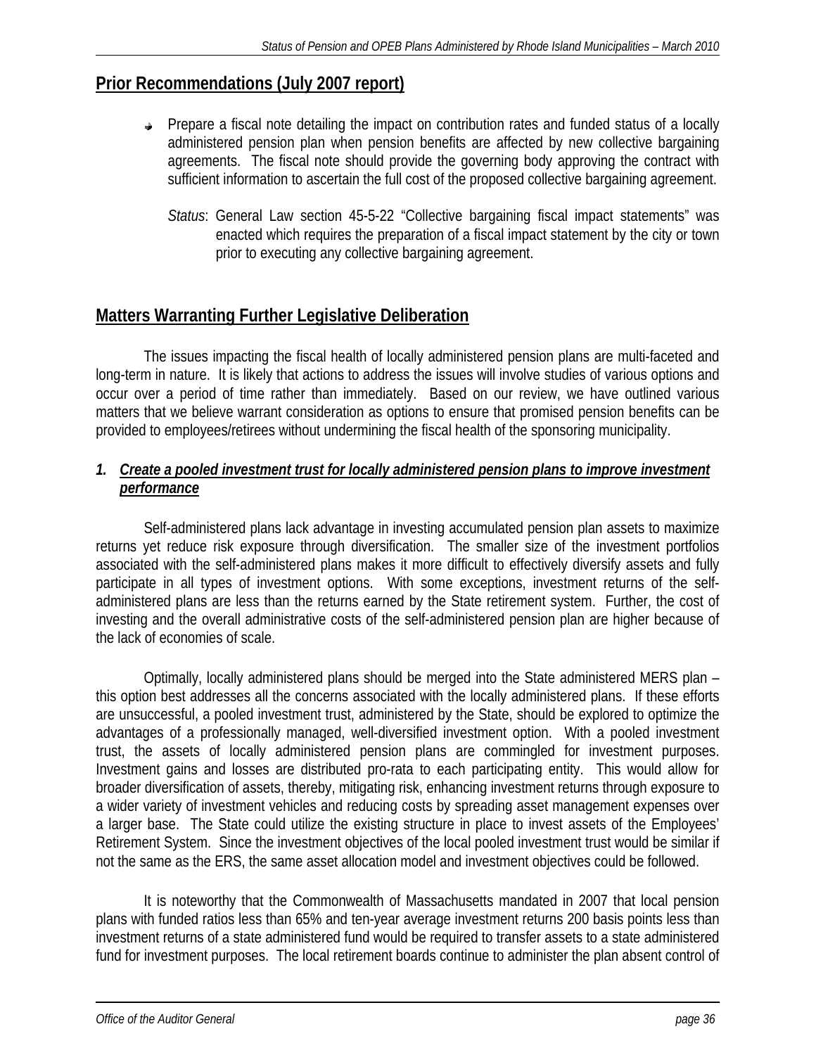# **Prior Recommendations (July 2007 report)**

- $\rightarrow$  Prepare a fiscal note detailing the impact on contribution rates and funded status of a locally administered pension plan when pension benefits are affected by new collective bargaining agreements. The fiscal note should provide the governing body approving the contract with sufficient information to ascertain the full cost of the proposed collective bargaining agreement.
	- *Status*: General Law section 45-5-22 "Collective bargaining fiscal impact statements" was enacted which requires the preparation of a fiscal impact statement by the city or town prior to executing any collective bargaining agreement.

# **Matters Warranting Further Legislative Deliberation**

 The issues impacting the fiscal health of locally administered pension plans are multi-faceted and long-term in nature. It is likely that actions to address the issues will involve studies of various options and occur over a period of time rather than immediately. Based on our review, we have outlined various matters that we believe warrant consideration as options to ensure that promised pension benefits can be provided to employees/retirees without undermining the fiscal health of the sponsoring municipality.

# 1. Create a pooled investment trust for locally administered pension plans to improve investment *performance*

 Self-administered plans lack advantage in investing accumulated pension plan assets to maximize returns yet reduce risk exposure through diversification. The smaller size of the investment portfolios associated with the self-administered plans makes it more difficult to effectively diversify assets and fully participate in all types of investment options. With some exceptions, investment returns of the selfadministered plans are less than the returns earned by the State retirement system. Further, the cost of investing and the overall administrative costs of the self-administered pension plan are higher because of the lack of economies of scale.

 Optimally, locally administered plans should be merged into the State administered MERS plan – this option best addresses all the concerns associated with the locally administered plans. If these efforts are unsuccessful, a pooled investment trust, administered by the State, should be explored to optimize the advantages of a professionally managed, well-diversified investment option. With a pooled investment trust, the assets of locally administered pension plans are commingled for investment purposes. Investment gains and losses are distributed pro-rata to each participating entity. This would allow for broader diversification of assets, thereby, mitigating risk, enhancing investment returns through exposure to a wider variety of investment vehicles and reducing costs by spreading asset management expenses over a larger base. The State could utilize the existing structure in place to invest assets of the Employees' Retirement System. Since the investment objectives of the local pooled investment trust would be similar if not the same as the ERS, the same asset allocation model and investment objectives could be followed.

 It is noteworthy that the Commonwealth of Massachusetts mandated in 2007 that local pension plans with funded ratios less than 65% and ten-year average investment returns 200 basis points less than investment returns of a state administered fund would be required to transfer assets to a state administered fund for investment purposes. The local retirement boards continue to administer the plan absent control of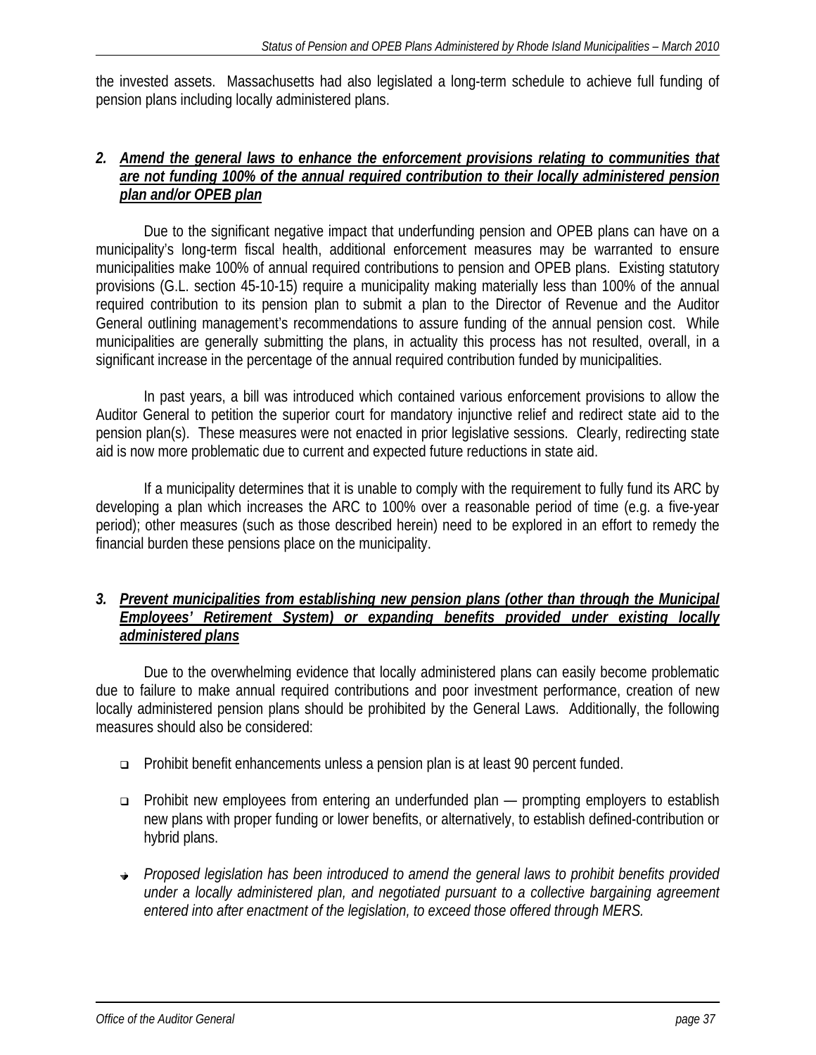the invested assets. Massachusetts had also legislated a long-term schedule to achieve full funding of pension plans including locally administered plans.

### *2. Amend the general laws to enhance the enforcement provisions relating to communities that are not funding 100% of the annual required contribution to their locally administered pension plan and/or OPEB plan*

 Due to the significant negative impact that underfunding pension and OPEB plans can have on a municipality's long-term fiscal health, additional enforcement measures may be warranted to ensure municipalities make 100% of annual required contributions to pension and OPEB plans. Existing statutory provisions (G.L. section 45-10-15) require a municipality making materially less than 100% of the annual required contribution to its pension plan to submit a plan to the Director of Revenue and the Auditor General outlining management's recommendations to assure funding of the annual pension cost. While municipalities are generally submitting the plans, in actuality this process has not resulted, overall, in a significant increase in the percentage of the annual required contribution funded by municipalities.

In past years, a bill was introduced which contained various enforcement provisions to allow the Auditor General to petition the superior court for mandatory injunctive relief and redirect state aid to the pension plan(s). These measures were not enacted in prior legislative sessions. Clearly, redirecting state aid is now more problematic due to current and expected future reductions in state aid.

 If a municipality determines that it is unable to comply with the requirement to fully fund its ARC by developing a plan which increases the ARC to 100% over a reasonable period of time (e.g. a five-year period); other measures (such as those described herein) need to be explored in an effort to remedy the financial burden these pensions place on the municipality.

# *3. Prevent municipalities from establishing new pension plans (other than through the Municipal Employees' Retirement System) or expanding benefits provided under existing locally administered plans*

 Due to the overwhelming evidence that locally administered plans can easily become problematic due to failure to make annual required contributions and poor investment performance, creation of new locally administered pension plans should be prohibited by the General Laws. Additionally, the following measures should also be considered:

- Prohibit benefit enhancements unless a pension plan is at least 90 percent funded.
- □ Prohibit new employees from entering an underfunded plan prompting employers to establish new plans with proper funding or lower benefits, or alternatively, to establish defined-contribution or hybrid plans.
- *Proposed legislation has been introduced to amend the general laws to prohibit benefits provided under a locally administered plan, and negotiated pursuant to a collective bargaining agreement entered into after enactment of the legislation, to exceed those offered through MERS.*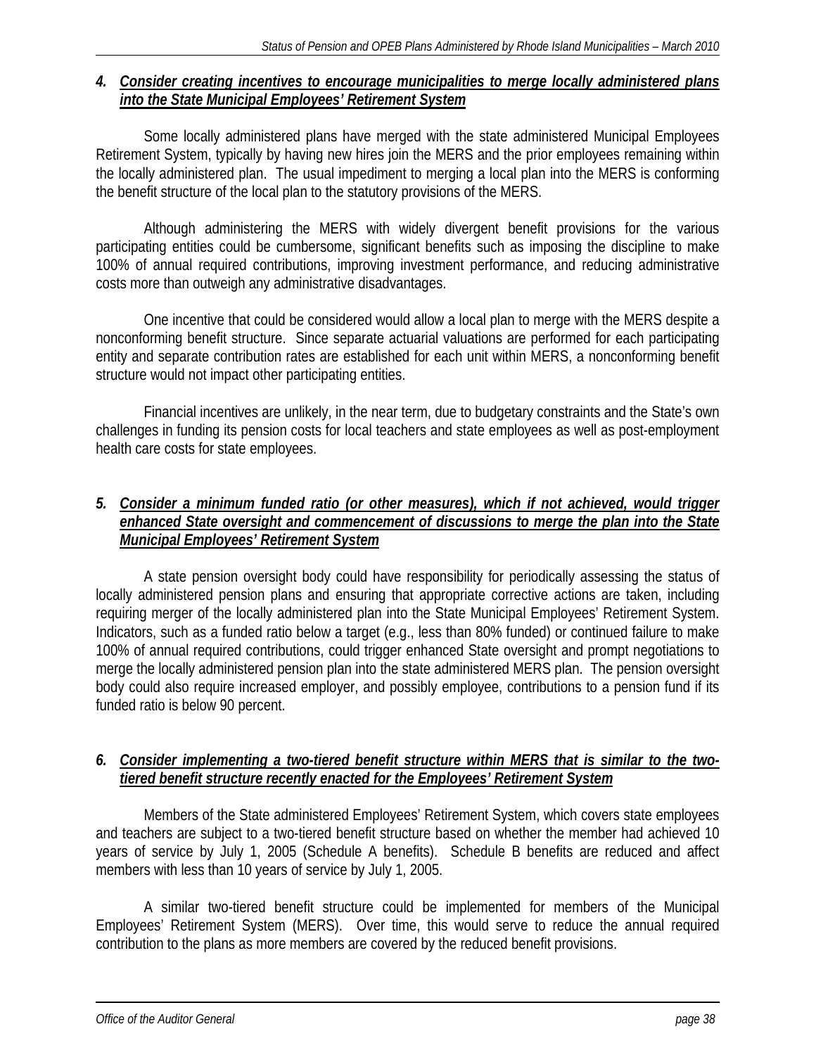## *4. Consider creating incentives to encourage municipalities to merge locally administered plans into the State Municipal Employees' Retirement System*

 Some locally administered plans have merged with the state administered Municipal Employees Retirement System, typically by having new hires join the MERS and the prior employees remaining within the locally administered plan. The usual impediment to merging a local plan into the MERS is conforming the benefit structure of the local plan to the statutory provisions of the MERS.

 Although administering the MERS with widely divergent benefit provisions for the various participating entities could be cumbersome, significant benefits such as imposing the discipline to make 100% of annual required contributions, improving investment performance, and reducing administrative costs more than outweigh any administrative disadvantages.

 One incentive that could be considered would allow a local plan to merge with the MERS despite a nonconforming benefit structure. Since separate actuarial valuations are performed for each participating entity and separate contribution rates are established for each unit within MERS, a nonconforming benefit structure would not impact other participating entities.

 Financial incentives are unlikely, in the near term, due to budgetary constraints and the State's own challenges in funding its pension costs for local teachers and state employees as well as post-employment health care costs for state employees.

# *5. Consider a minimum funded ratio (or other measures), which if not achieved, would trigger enhanced State oversight and commencement of discussions to merge the plan into the State Municipal Employees' Retirement System*

 A state pension oversight body could have responsibility for periodically assessing the status of locally administered pension plans and ensuring that appropriate corrective actions are taken, including requiring merger of the locally administered plan into the State Municipal Employees' Retirement System. Indicators, such as a funded ratio below a target (e.g., less than 80% funded) or continued failure to make 100% of annual required contributions, could trigger enhanced State oversight and prompt negotiations to merge the locally administered pension plan into the state administered MERS plan. The pension oversight body could also require increased employer, and possibly employee, contributions to a pension fund if its funded ratio is below 90 percent.

# *6. Consider implementing a two-tiered benefit structure within MERS that is similar to the twotiered benefit structure recently enacted for the Employees' Retirement System*

 Members of the State administered Employees' Retirement System, which covers state employees and teachers are subject to a two-tiered benefit structure based on whether the member had achieved 10 years of service by July 1, 2005 (Schedule A benefits). Schedule B benefits are reduced and affect members with less than 10 years of service by July 1, 2005.

 A similar two-tiered benefit structure could be implemented for members of the Municipal Employees' Retirement System (MERS). Over time, this would serve to reduce the annual required contribution to the plans as more members are covered by the reduced benefit provisions.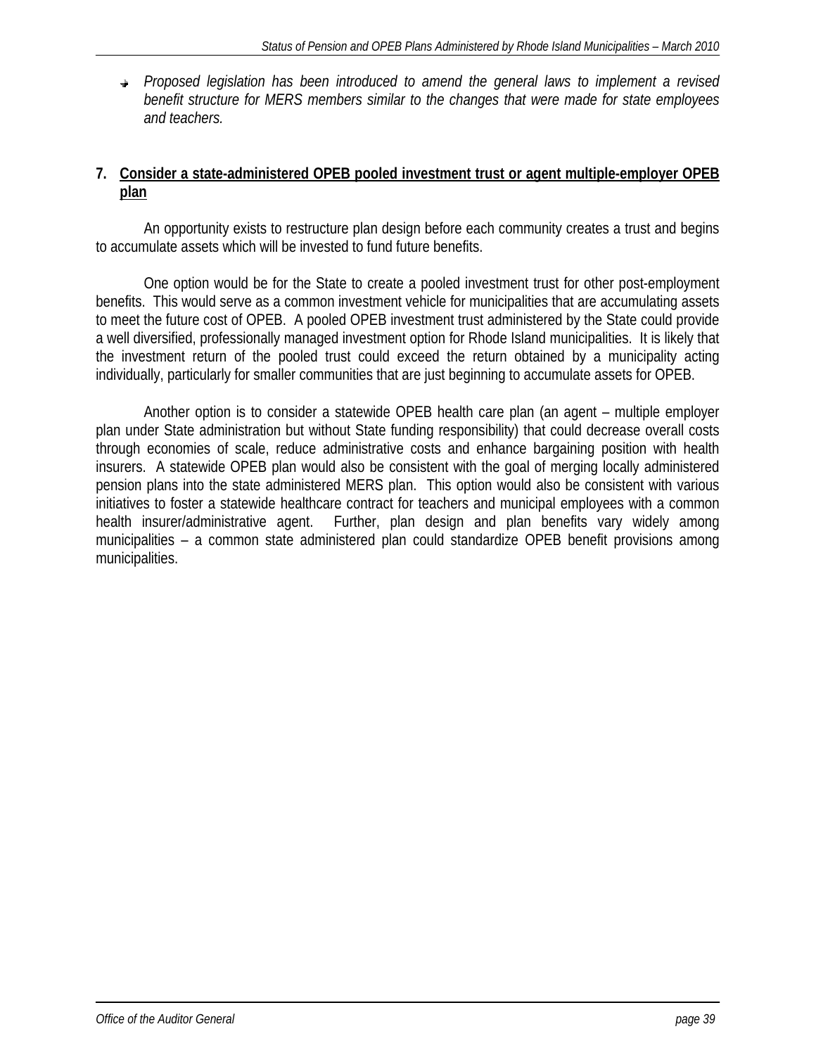*Proposed legislation has been introduced to amend the general laws to implement a revised benefit structure for MERS members similar to the changes that were made for state employees and teachers.* 

### **7. Consider a state-administered OPEB pooled investment trust or agent multiple-employer OPEB plan**

An opportunity exists to restructure plan design before each community creates a trust and begins to accumulate assets which will be invested to fund future benefits.

One option would be for the State to create a pooled investment trust for other post-employment benefits. This would serve as a common investment vehicle for municipalities that are accumulating assets to meet the future cost of OPEB. A pooled OPEB investment trust administered by the State could provide a well diversified, professionally managed investment option for Rhode Island municipalities. It is likely that the investment return of the pooled trust could exceed the return obtained by a municipality acting individually, particularly for smaller communities that are just beginning to accumulate assets for OPEB.

Another option is to consider a statewide OPEB health care plan (an agent – multiple employer plan under State administration but without State funding responsibility) that could decrease overall costs through economies of scale, reduce administrative costs and enhance bargaining position with health insurers. A statewide OPEB plan would also be consistent with the goal of merging locally administered pension plans into the state administered MERS plan. This option would also be consistent with various initiatives to foster a statewide healthcare contract for teachers and municipal employees with a common health insurer/administrative agent. Further, plan design and plan benefits vary widely among municipalities – a common state administered plan could standardize OPEB benefit provisions among municipalities.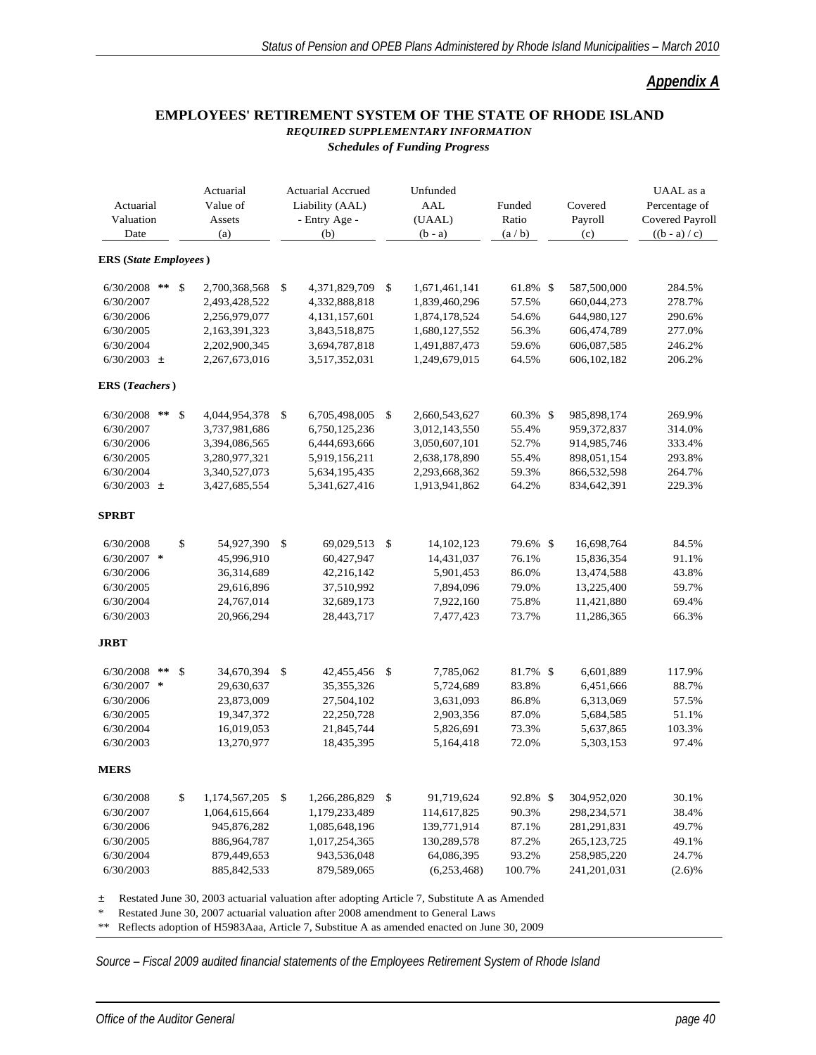### *Appendix A*

#### **EMPLOYEES' RETIREMENT SYSTEM OF THE STATE OF RHODE ISLAND** *REQUIRED SUPPLEMENTARY INFORMATION Schedules of Funding Progress*

| Actuarial<br>Valuation<br>Date |              | Actuarial<br>Value of<br>Assets<br>(a) | <b>Actuarial Accrued</b><br>Liability (AAL)<br>- Entry Age -<br>(b) | Unfunded<br><b>AAL</b><br>(UAAL)<br>$(b - a)$ | Funded<br>Ratio<br>(a/b) | Covered<br>Payroll<br>(c) | UAAL as a<br>Percentage of<br><b>Covered Payroll</b><br>$((b - a) / c)$ |
|--------------------------------|--------------|----------------------------------------|---------------------------------------------------------------------|-----------------------------------------------|--------------------------|---------------------------|-------------------------------------------------------------------------|
| <b>ERS</b> (State Employees)   |              |                                        |                                                                     |                                               |                          |                           |                                                                         |
| 6/30/2008                      | $***$        | \$<br>2,700,368,568                    | \$<br>4,371,829,709                                                 | \$<br>1,671,461,141                           | 61.8% \$                 | 587,500,000               | 284.5%                                                                  |
| 6/30/2007                      |              | 2,493,428,522                          | 4,332,888,818                                                       | 1,839,460,296                                 | 57.5%                    | 660,044,273               | 278.7%                                                                  |
| 6/30/2006                      |              | 2,256,979,077                          | 4, 131, 157, 601                                                    | 1,874,178,524                                 | 54.6%                    | 644,980,127               | 290.6%                                                                  |
| 6/30/2005                      |              | 2,163,391,323                          | 3,843,518,875                                                       | 1,680,127,552                                 | 56.3%                    | 606,474,789               | 277.0%                                                                  |
| 6/30/2004                      |              | 2,202,900,345                          | 3,694,787,818                                                       | 1,491,887,473                                 | 59.6%                    | 606,087,585               | 246.2%                                                                  |
| $6/30/2003 \pm$                |              | 2,267,673,016                          | 3,517,352,031                                                       | 1,249,679,015                                 | 64.5%                    | 606,102,182               | 206.2%                                                                  |
| <b>ERS</b> ( <i>Teachers</i> ) |              |                                        |                                                                     |                                               |                          |                           |                                                                         |
| 6/30/2008                      | $\star\star$ | \$<br>4,044,954,378                    | \$<br>6,705,498,005                                                 | \$<br>2,660,543,627                           | 60.3% \$                 | 985,898,174               | 269.9%                                                                  |
| 6/30/2007                      |              | 3,737,981,686                          | 6,750,125,236                                                       | 3,012,143,550                                 | 55.4%                    | 959,372,837               | 314.0%                                                                  |
| 6/30/2006                      |              | 3,394,086,565                          | 6,444,693,666                                                       | 3,050,607,101                                 | 52.7%                    | 914,985,746               | 333.4%                                                                  |
| 6/30/2005                      |              | 3,280,977,321                          | 5,919,156,211                                                       | 2,638,178,890                                 | 55.4%                    | 898,051,154               | 293.8%                                                                  |
| 6/30/2004                      |              | 3,340,527,073                          | 5,634,195,435                                                       | 2,293,668,362                                 | 59.3%                    | 866,532,598               | 264.7%                                                                  |
| $6/30/2003$ $\pm$              |              | 3,427,685,554                          | 5,341,627,416                                                       | 1,913,941,862                                 | 64.2%                    | 834,642,391               | 229.3%                                                                  |
| <b>SPRBT</b>                   |              |                                        |                                                                     |                                               |                          |                           |                                                                         |
| 6/30/2008                      |              | \$<br>54,927,390                       | \$<br>69,029,513                                                    | \$<br>14,102,123                              | 79.6% \$                 | 16,698,764                | 84.5%                                                                   |
| $6/30/2007$ *                  |              | 45,996,910                             | 60,427,947                                                          | 14,431,037                                    | 76.1%                    | 15,836,354                | 91.1%                                                                   |
| 6/30/2006                      |              | 36,314,689                             | 42,216,142                                                          | 5,901,453                                     | 86.0%                    | 13,474,588                | 43.8%                                                                   |
| 6/30/2005                      |              | 29,616,896                             | 37,510,992                                                          | 7,894,096                                     | 79.0%                    | 13,225,400                | 59.7%                                                                   |
| 6/30/2004                      |              | 24,767,014                             | 32,689,173                                                          | 7,922,160                                     | 75.8%                    | 11,421,880                | 69.4%                                                                   |
| 6/30/2003                      |              | 20,966,294                             | 28,443,717                                                          | 7,477,423                                     | 73.7%                    | 11,286,365                | 66.3%                                                                   |
| <b>JRBT</b>                    |              |                                        |                                                                     |                                               |                          |                           |                                                                         |
| 6/30/2008                      | $\star\star$ | \$<br>34,670,394                       | \$<br>42,455,456                                                    | \$<br>7,785,062                               | 81.7% \$                 | 6,601,889                 | 117.9%                                                                  |
| 6/30/2007 *                    |              | 29,630,637                             | 35, 355, 326                                                        | 5,724,689                                     | 83.8%                    | 6,451,666                 | 88.7%                                                                   |
| 6/30/2006                      |              | 23,873,009                             | 27,504,102                                                          | 3,631,093                                     | 86.8%                    | 6,313,069                 | 57.5%                                                                   |
| 6/30/2005                      |              | 19,347,372                             | 22,250,728                                                          | 2,903,356                                     | 87.0%                    | 5,684,585                 | 51.1%                                                                   |
| 6/30/2004                      |              | 16,019,053                             | 21,845,744                                                          | 5,826,691                                     | 73.3%                    | 5,637,865                 | 103.3%                                                                  |
| 6/30/2003                      |              | 13,270,977                             | 18,435,395                                                          | 5,164,418                                     | 72.0%                    | 5,303,153                 | 97.4%                                                                   |
| MERS                           |              |                                        |                                                                     |                                               |                          |                           |                                                                         |
| 6/30/2008                      |              | \$<br>1,174,567,205                    | \$<br>1,266,286,829                                                 | \$<br>91,719,624                              | 92.8% \$                 | 304,952,020               | 30.1%                                                                   |
| 6/30/2007                      |              | 1,064,615,664                          | 1,179,233,489                                                       | 114,617,825                                   | 90.3%                    | 298,234,571               | 38.4%                                                                   |
| 6/30/2006                      |              | 945,876,282                            | 1,085,648,196                                                       | 139,771,914                                   | 87.1%                    | 281, 291, 831             | 49.7%                                                                   |
| 6/30/2005                      |              | 886,964,787                            | 1,017,254,365                                                       | 130,289,578                                   | 87.2%                    | 265, 123, 725             | 49.1%                                                                   |
| 6/30/2004                      |              | 879,449,653                            | 943,536,048                                                         | 64,086,395                                    | 93.2%                    | 258,985,220               | 24.7%                                                                   |
| 6/30/2003                      |              | 885, 842, 533                          | 879,589,065                                                         | (6,253,468)                                   | 100.7%                   | 241,201,031               | (2.6)%                                                                  |

± Restated June 30, 2003 actuarial valuation after adopting Article 7, Substitute A as Amended

Restated June 30, 2007 actuarial valuation after 2008 amendment to General Laws

\*\* Reflects adoption of H5983Aaa, Article 7, Substitue A as amended enacted on June 30, 2009

*Source – Fiscal 2009 audited financial statements of the Employees Retirement System of Rhode Island*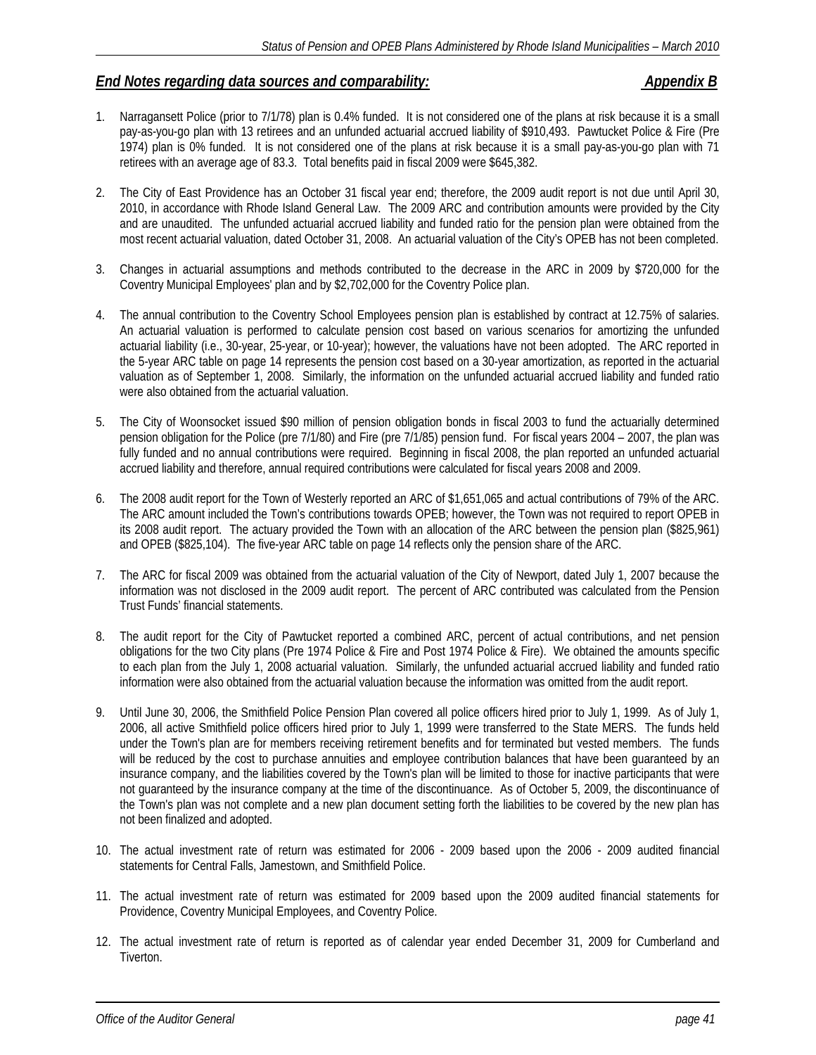### *End Notes regarding data sources and comparability: Appendix B*

- 1. Narragansett Police (prior to 7/1/78) plan is 0.4% funded. It is not considered one of the plans at risk because it is a small pay-as-you-go plan with 13 retirees and an unfunded actuarial accrued liability of \$910,493. Pawtucket Police & Fire (Pre 1974) plan is 0% funded. It is not considered one of the plans at risk because it is a small pay-as-you-go plan with 71 retirees with an average age of 83.3. Total benefits paid in fiscal 2009 were \$645,382.
- 2. The City of East Providence has an October 31 fiscal year end; therefore, the 2009 audit report is not due until April 30, 2010, in accordance with Rhode Island General Law. The 2009 ARC and contribution amounts were provided by the City and are unaudited. The unfunded actuarial accrued liability and funded ratio for the pension plan were obtained from the most recent actuarial valuation, dated October 31, 2008. An actuarial valuation of the City's OPEB has not been completed.
- 3. Changes in actuarial assumptions and methods contributed to the decrease in the ARC in 2009 by \$720,000 for the Coventry Municipal Employees' plan and by \$2,702,000 for the Coventry Police plan.
- 4. The annual contribution to the Coventry School Employees pension plan is established by contract at 12.75% of salaries. An actuarial valuation is performed to calculate pension cost based on various scenarios for amortizing the unfunded actuarial liability (i.e., 30-year, 25-year, or 10-year); however, the valuations have not been adopted. The ARC reported in the 5-year ARC table on page 14 represents the pension cost based on a 30-year amortization, as reported in the actuarial valuation as of September 1, 2008. Similarly, the information on the unfunded actuarial accrued liability and funded ratio were also obtained from the actuarial valuation.
- 5. The City of Woonsocket issued \$90 million of pension obligation bonds in fiscal 2003 to fund the actuarially determined pension obligation for the Police (pre 7/1/80) and Fire (pre 7/1/85) pension fund. For fiscal years 2004 – 2007, the plan was fully funded and no annual contributions were required. Beginning in fiscal 2008, the plan reported an unfunded actuarial accrued liability and therefore, annual required contributions were calculated for fiscal years 2008 and 2009.
- 6. The 2008 audit report for the Town of Westerly reported an ARC of \$1,651,065 and actual contributions of 79% of the ARC. The ARC amount included the Town's contributions towards OPEB; however, the Town was not required to report OPEB in its 2008 audit report. The actuary provided the Town with an allocation of the ARC between the pension plan (\$825,961) and OPEB (\$825,104). The five-year ARC table on page 14 reflects only the pension share of the ARC.
- 7. The ARC for fiscal 2009 was obtained from the actuarial valuation of the City of Newport, dated July 1, 2007 because the information was not disclosed in the 2009 audit report. The percent of ARC contributed was calculated from the Pension Trust Funds' financial statements.
- 8. The audit report for the City of Pawtucket reported a combined ARC, percent of actual contributions, and net pension obligations for the two City plans (Pre 1974 Police & Fire and Post 1974 Police & Fire). We obtained the amounts specific to each plan from the July 1, 2008 actuarial valuation. Similarly, the unfunded actuarial accrued liability and funded ratio information were also obtained from the actuarial valuation because the information was omitted from the audit report.
- 9. Until June 30, 2006, the Smithfield Police Pension Plan covered all police officers hired prior to July 1, 1999. As of July 1, 2006, all active Smithfield police officers hired prior to July 1, 1999 were transferred to the State MERS. The funds held under the Town's plan are for members receiving retirement benefits and for terminated but vested members. The funds will be reduced by the cost to purchase annuities and employee contribution balances that have been quaranteed by an insurance company, and the liabilities covered by the Town's plan will be limited to those for inactive participants that were not guaranteed by the insurance company at the time of the discontinuance. As of October 5, 2009, the discontinuance of the Town's plan was not complete and a new plan document setting forth the liabilities to be covered by the new plan has not been finalized and adopted.
- 10. The actual investment rate of return was estimated for 2006 2009 based upon the 2006 2009 audited financial statements for Central Falls, Jamestown, and Smithfield Police.
- 11. The actual investment rate of return was estimated for 2009 based upon the 2009 audited financial statements for Providence, Coventry Municipal Employees, and Coventry Police.
- 12. The actual investment rate of return is reported as of calendar year ended December 31, 2009 for Cumberland and Tiverton.